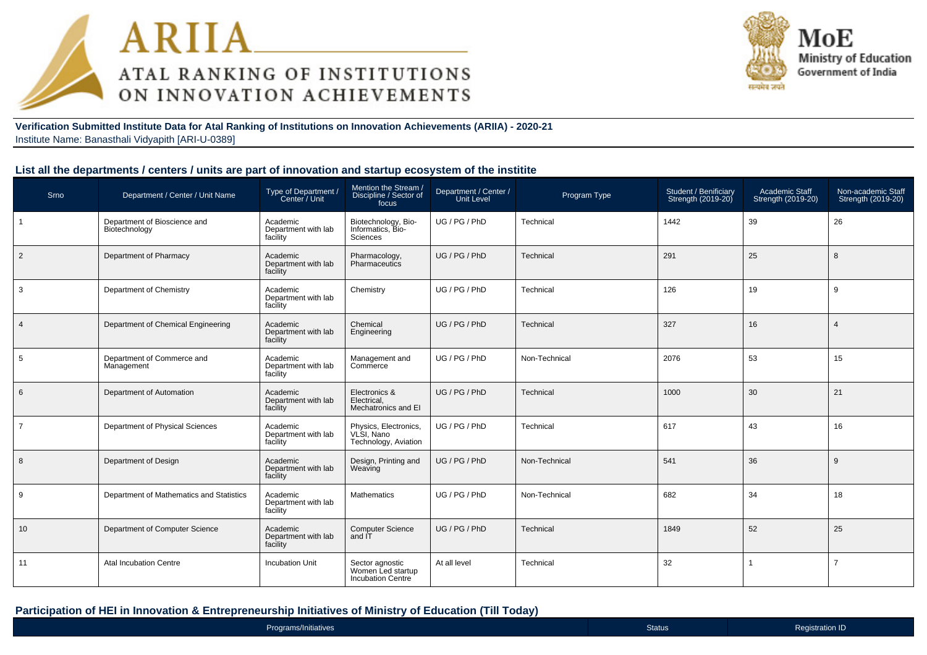



**Verification Submitted Institute Data for Atal Ranking of Institutions on Innovation Achievements (ARIIA) - 2020-21**Institute Name: Banasthali Vidyapith [ARI-U-0389]

#### **List all the departments / centers / units are part of innovation and startup ecosystem of the institite**

| Srno           | Department / Center / Unit Name               | Type of Department /<br>Center / Unit       | Mention the Stream /<br>Discipline / Sector of<br>focus          | Department / Center /<br><b>Unit Level</b> | Program Type  | Student / Benificiary<br>Strength (2019-20) | Academic Staff<br>Strength (2019-20) | Non-academic Staff<br>Strength (2019-20) |
|----------------|-----------------------------------------------|---------------------------------------------|------------------------------------------------------------------|--------------------------------------------|---------------|---------------------------------------------|--------------------------------------|------------------------------------------|
|                | Department of Bioscience and<br>Biotechnology | Academic<br>Department with lab<br>facility | Biotechnology, Bio-<br>Informatics, Bio-<br>Sciences             | UG / PG / PhD                              | Technical     | 1442                                        | 39                                   | 26                                       |
| $\overline{2}$ | Department of Pharmacy                        | Academic<br>Department with lab<br>facility | Pharmacology,<br>Pharmaceutics                                   | UG / PG / PhD                              | Technical     | 291                                         | 25                                   | 8                                        |
| 3              | Department of Chemistry                       | Academic<br>Department with lab<br>facility | Chemistry                                                        | UG / PG / PhD                              | Technical     | 126                                         | 19                                   | 9                                        |
| $\overline{4}$ | Department of Chemical Engineering            | Academic<br>Department with lab<br>facility | Chemical<br>Engineering                                          | UG / PG / PhD                              | Technical     | 327                                         | 16                                   | $\overline{4}$                           |
| 5              | Department of Commerce and<br>Management      | Academic<br>Department with lab<br>facility | Management and<br>Commerce                                       | UG / PG / PhD                              | Non-Technical | 2076                                        | 53                                   | 15                                       |
| 6              | Department of Automation                      | Academic<br>Department with lab<br>facility | Electronics &<br>Electrical,<br>Mechatronics and EI              | UG / PG / PhD                              | Technical     | 1000                                        | 30                                   | 21                                       |
| $\overline{7}$ | Department of Physical Sciences               | Academic<br>Department with lab<br>facility | Physics, Electronics,<br>VLSI, Nano<br>Technology, Aviation      | UG / PG / PhD                              | Technical     | 617                                         | 43                                   | 16                                       |
| 8              | Department of Design                          | Academic<br>Department with lab<br>facility | Design, Printing and<br>Weaving                                  | UG/PG/PhD                                  | Non-Technical | 541                                         | 36                                   | 9                                        |
| 9              | Department of Mathematics and Statistics      | Academic<br>Department with lab<br>facility | <b>Mathematics</b>                                               | UG / PG / PhD                              | Non-Technical | 682                                         | 34                                   | 18                                       |
| 10             | Department of Computer Science                | Academic<br>Department with lab<br>facility | <b>Computer Science</b><br>and IT                                | UG / PG / PhD                              | Technical     | 1849                                        | 52                                   | 25                                       |
| 11             | <b>Atal Incubation Centre</b>                 | <b>Incubation Unit</b>                      | Sector agnostic<br>Women Led startup<br><b>Incubation Centre</b> | At all level                               | Technical     | 32                                          | -1                                   | $\overline{7}$                           |

#### **Participation of HEI in Innovation & Entrepreneurship Initiatives of Ministry of Education (Till Today)**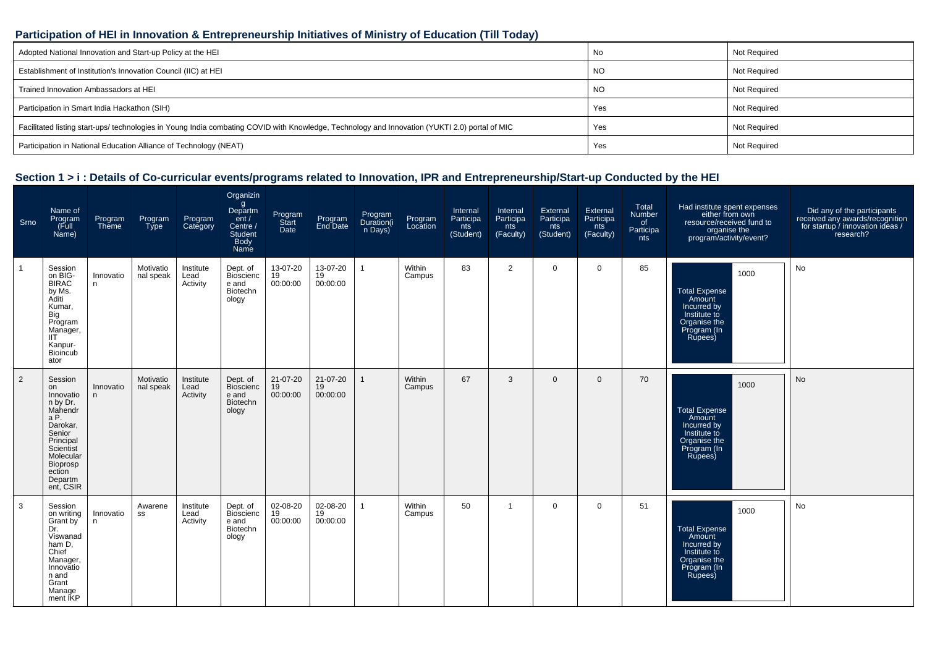#### **Participation of HEI in Innovation & Entrepreneurship Initiatives of Ministry of Education (Till Today)**

| Adopted National Innovation and Start-up Policy at the HEI                                                                                     | No  | Not Required        |
|------------------------------------------------------------------------------------------------------------------------------------------------|-----|---------------------|
| Establishment of Institution's Innovation Council (IIC) at HEI                                                                                 | NO. | Not Required        |
| Trained Innovation Ambassadors at HEI                                                                                                          | NO. | Not Required        |
| Participation in Smart India Hackathon (SIH)                                                                                                   | Yes | Not Required        |
| Facilitated listing start-ups/ technologies in Young India combating COVID with Knowledge, Technology and Innovation (YUKTI 2.0) portal of MIC | Yes | Not Required        |
| Participation in National Education Alliance of Technology (NEAT)                                                                              | Yes | <b>Not Required</b> |

| Srno           | Name of<br>Program<br>(Full<br>Name)                                                                                                                                | Program<br>Theme | Program<br><b>Type</b> | Program<br>Category           | Organizin<br>$\mathsf{g}$<br>Departm<br>ent/<br>Centre /<br>Student<br><b>Body</b><br>Name | Program<br>Start<br>Date   | Program<br>End Date        | Program<br>Duration(i<br>n Days) | Program<br>Location | Internal<br>Participa<br>nts<br>(Student) | Internal<br>Participa<br>nts<br>(Faculty) | External<br>Participa<br>nts<br>(Student) | External<br>Participa<br>nts<br>(Faculty) | Total<br>Number<br>of<br>Participa<br>nts | Had institute spent expenses<br>either from own<br>resource/received fund to<br>organise the<br>program/activity/event? | Did any of the participants<br>received any awards/recognition<br>for startup / innovation ideas /<br>research? |
|----------------|---------------------------------------------------------------------------------------------------------------------------------------------------------------------|------------------|------------------------|-------------------------------|--------------------------------------------------------------------------------------------|----------------------------|----------------------------|----------------------------------|---------------------|-------------------------------------------|-------------------------------------------|-------------------------------------------|-------------------------------------------|-------------------------------------------|-------------------------------------------------------------------------------------------------------------------------|-----------------------------------------------------------------------------------------------------------------|
|                | Session<br>on BIG-<br><b>BIRAC</b><br>by Ms.<br>Aditi<br>Kumar,<br>Big<br>Program<br>Manager,<br>IIT<br>Kanpur-<br><b>Bioincub</b><br>ator                          | Innovatio<br>n.  | Motivatio<br>nal speak | Institute<br>Lead<br>Activity | Dept. of<br><b>Bioscienc</b><br>e and<br>Biotechn<br>ology                                 | 13-07-20<br>19<br>00:00:00 | 13-07-20<br>19<br>00:00:00 | $\mathbf{1}$                     | Within<br>Campus    | 83                                        | 2                                         | $\mathbf{0}$                              | $\mathbf 0$                               | 85                                        | 1000<br><b>Total Expense</b><br>Amount<br>Incurred by<br>Institute to<br>Organise the<br>Program (In<br>Rupees)         | No                                                                                                              |
| $\overline{2}$ | Session<br>on<br>Innovatio<br>n by Dr.<br>Mahendr<br>aP.<br>Darokar,<br>Senior<br>Principal<br>Scientist<br>Molecular<br>Bioprosp<br>ection<br>Departm<br>ent, CSIR | Innovatio<br>n.  | Motivatio<br>nal speak | Institute<br>Lead<br>Activity | Dept. of<br>Bioscienc<br>e and<br>Biotechn<br>ology                                        | 21-07-20<br>19<br>00:00:00 | 21-07-20<br>19<br>00:00:00 |                                  | Within<br>Campus    | 67                                        | 3                                         | $\mathbf{0}$                              | $\mathbf{0}$                              | 70                                        | 1000<br><b>Total Expense</b><br>Amount<br>Incurred by<br>Institute to<br>Organise the<br>Program (In<br>Rupees)         | <b>No</b>                                                                                                       |
| 3              | Session<br>on writing<br>Grant by<br>Dr.<br>Viswanad<br>ham D,<br>Chief<br>Manager,<br>Innovatio<br>n and<br>Grant<br>Manage<br>ment IKP                            | Innovatio<br>n.  | Awarene<br>SS          | Institute<br>Lead<br>Activity | Dept. of<br><b>Bioscienc</b><br>e and<br>Biotechn<br>ology                                 | 02-08-20<br>19<br>00:00:00 | 02-08-20<br>19<br>00:00:00 |                                  | Within<br>Campus    | 50                                        | $\mathbf{1}$                              | $\mathbf 0$                               | $\mathbf 0$                               | 51                                        | 1000<br><b>Total Expense</b><br>Amount<br>Incurred by<br>Institute to<br>Organise the<br>Program (In<br>Rupees)         | <b>No</b>                                                                                                       |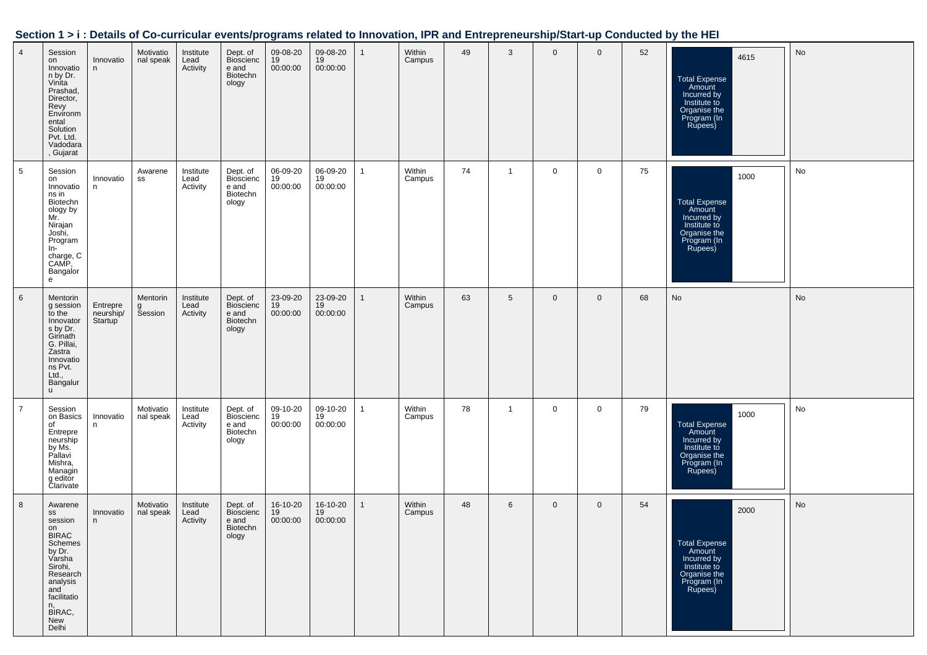| Section 1 > i : Details of Co-curricular events/programs related to Innovation, IPR and Entrepreneurship/Start-up Conducted by the HEI |  |  |
|----------------------------------------------------------------------------------------------------------------------------------------|--|--|
|                                                                                                                                        |  |  |

| $\overline{4}$  | Session<br>on<br>Innovatio<br>n by Dr.<br>Vinita<br>Prashad,<br>Director,<br>Revy<br>Environm<br>ental<br>Solution<br>Pvt. Ltd.<br>Vadodara<br>, Gujarat        | Innovatio<br>n.                  | Motivatio<br>nal speak   | Institute<br>Lead<br>Activity | Dept. of<br><b>Bioscienc</b><br>e and<br>Biotechn<br>ology | 09-08-20<br>19<br>00:00:00 | 09-08-20<br>19<br>00:00:00 | $\mathbf{1}$ | Within<br>Campus | 49 | 3            | $\mathbf 0$  | $\mathbf 0$    | 52 | 4615<br><b>Total Expense</b><br>Amount<br>Incurred by<br>Institute to<br>Organise the<br>Program (In<br>Rupees) | No |
|-----------------|-----------------------------------------------------------------------------------------------------------------------------------------------------------------|----------------------------------|--------------------------|-------------------------------|------------------------------------------------------------|----------------------------|----------------------------|--------------|------------------|----|--------------|--------------|----------------|----|-----------------------------------------------------------------------------------------------------------------|----|
| $5\phantom{.0}$ | Session<br>on<br>Innovatio<br>ns in<br>Biotechn<br>ology by<br>Mr.<br>Nirajan<br>Joshi,<br>Program<br>In-<br>charge, C<br>CAMP,<br>Bangalor<br>e                | Innovatio<br>n.                  | Awarene<br>SS            | Institute<br>Lead<br>Activity | Dept. of<br>Bioscienc<br>e and<br>Biotechn<br>ology        | 06-09-20<br>19<br>00:00:00 | 06-09-20<br>19<br>00:00:00 | $\mathbf{1}$ | Within<br>Campus | 74 | $\mathbf{1}$ | $\mathbf 0$  | $\mathbf 0$    | 75 | 1000<br>Total Expense<br>Amount<br>Incurred by<br>Institute to<br>Organise the<br>Program (In<br>Rupees)        | No |
| 6               | Mentorin<br>g session<br>to the<br>Innovator<br>s by Dr.<br>Girinath<br>G. Pillai,<br>Zastra<br>Innovatio<br>ns Pvt.<br>Ltd.,<br>Bangalur<br>$\mathsf{u}$       | Entrepre<br>neurship/<br>Startup | Mentorin<br>g<br>Session | Institute<br>Lead<br>Activity | Dept. of<br>Bioscienc<br>e and<br>Biotechn<br>ology        | 23-09-20<br>19<br>00:00:00 | 23-09-20<br>19<br>00:00:00 | $\mathbf{1}$ | Within<br>Campus | 63 | 5            | $\mathbf 0$  | $\overline{0}$ | 68 | No                                                                                                              | No |
| $\overline{7}$  | Session<br>on Basics<br>of<br>Entrepre<br>neurship<br>by Ms.<br>Pallavi<br>Mishra,<br>Managin<br>g editor<br>Clarivate                                          | Innovatio<br>n.                  | Motivatio<br>nal speak   | Institute<br>Lead<br>Activity | Dept. of<br><b>Bioscienc</b><br>e and<br>Biotechn<br>ology | 09-10-20<br>19<br>00:00:00 | 09-10-20<br>19<br>00:00:00 | $\mathbf{1}$ | Within<br>Campus | 78 | $\mathbf{1}$ | $\mathbf 0$  | $\mathbf 0$    | 79 | 1000<br><b>Total Expense</b><br>Amount<br>Incurred by<br>Institute to<br>Organise the<br>Program (In<br>Rupees) | No |
| 8               | Awarene<br>SS<br>session<br>on<br>BIRAC<br>Schemes<br>by Dr.<br>Varsha<br>Sirohi,<br>Research<br>analysis<br>and<br>facilitatio<br>n,<br>BIRAC,<br>New<br>Delhi | Innovatio<br>n                   | Motivatio<br>nal speak   | Institute<br>Lead<br>Activity | Dept. of<br><b>Bioscienc</b><br>e and<br>Biotechn<br>ology | 16-10-20<br>19<br>00:00:00 | 16-10-20<br>19<br>00:00:00 | $\mathbf{1}$ | Within<br>Campus | 48 | 6            | $\mathbf{0}$ | $\overline{0}$ | 54 | 2000<br>Total Expense<br>Amount<br>Incurred by<br>Institute to<br>Organise the<br>Program (In<br>Rupees)        | No |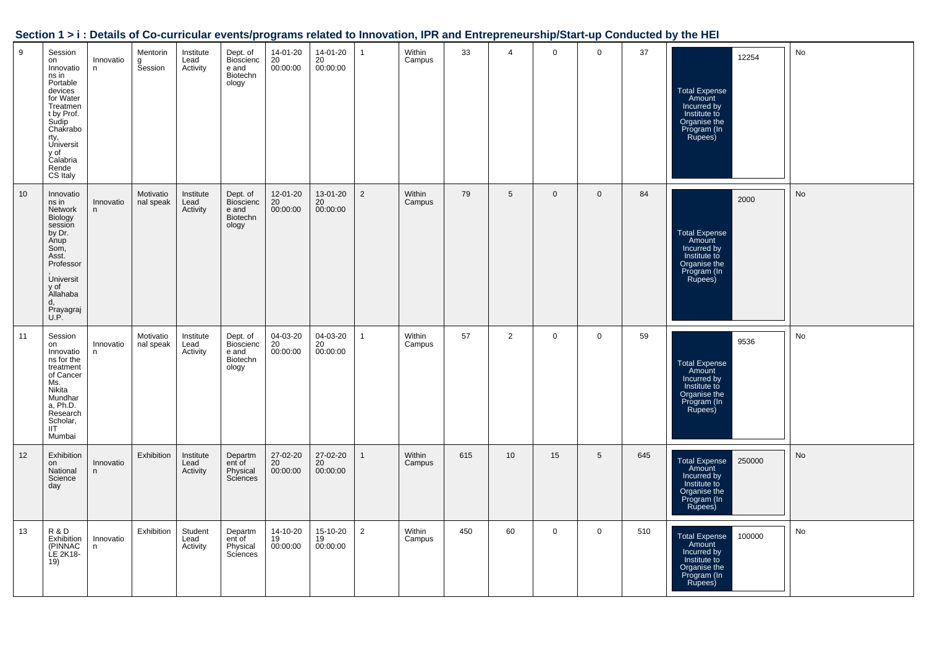|  |  | Section 1 > i : Details of Co-curricular events/programs related to Innovation, IPR and Entrepreneurship/Start-up Conducted by the HEI |
|--|--|----------------------------------------------------------------------------------------------------------------------------------------|
|  |  |                                                                                                                                        |

| 9  | Session<br>on<br>Innovatio<br>ns in<br>Portable<br>devices<br>for Water<br>Treatmen<br>t by Prof.<br>Sudip<br>Chakrabo<br>rty,<br>Universit<br>y of<br>Calabria<br>Rende<br>CS Italy | Innovatio<br>n | Mentorin<br>g<br>Session | Institute<br>Lead<br>Activity | Dept. of<br><b>Bioscienc</b><br>e and<br>Biotechn<br>ology | 14-01-20<br>20<br>00:00:00 | 14-01-20<br>20<br>00:00:00 | $\mathbf{1}$   | Within<br>Campus | 33  | $\overline{4}$ | $\mathbf 0$    | $\mathbf 0$    | 37  | 12254<br><b>Total Expense</b><br>Amount<br>Incurred by<br>Institute to<br>Organise the<br>Program (In<br>Rupees)  | No |
|----|--------------------------------------------------------------------------------------------------------------------------------------------------------------------------------------|----------------|--------------------------|-------------------------------|------------------------------------------------------------|----------------------------|----------------------------|----------------|------------------|-----|----------------|----------------|----------------|-----|-------------------------------------------------------------------------------------------------------------------|----|
| 10 | Innovatio<br>ns in<br>Network<br>Biology<br>session<br>by Dr.<br>Anup<br>Som,<br>Asst.<br>Professor<br><b>Universit</b><br>y of<br>Allahaba<br>d,<br>Prayagraj<br>U.P.               | Innovatio<br>n | Motivatio<br>nal speak   | Institute<br>Lead<br>Activity | Dept. of<br><b>Bioscienc</b><br>e and<br>Biotechn<br>ology | 12-01-20<br>20<br>00:00:00 | 13-01-20<br>20<br>00:00:00 | $\overline{2}$ | Within<br>Campus | 79  | 5              | $\overline{0}$ | $\overline{0}$ | 84  | 2000<br>Total Expense<br>Amount<br>Incurred by<br>Institute to<br>Organise the<br>Program (In<br>Rupees)          | No |
| 11 | Session<br>on<br>Innovatio<br>ns for the<br>treatment<br>of Cancer<br>Ms.<br>Nikita<br>Mundhar<br>a, Ph.D.<br>Research<br>Scholar,<br><b>IIT</b><br>Mumbai                           | Innovatio<br>n | Motivatio<br>nal speak   | Institute<br>Lead<br>Activity | Dept. of<br><b>Bioscienc</b><br>e and<br>Biotechn<br>ology | 04-03-20<br>20<br>00:00:00 | 04-03-20<br>20<br>00:00:00 | $\mathbf{1}$   | Within<br>Campus | 57  | $\overline{2}$ | $\mathbf 0$    | $\mathbf 0$    | 59  | 9536<br><b>Total Expense</b><br>Amount<br>Incurred by<br>Institute to<br>Organise the<br>Program (In<br>Rupees)   | No |
| 12 | Exhibition<br>on<br>National<br>Science<br>day                                                                                                                                       | Innovatio<br>n | Exhibition               | Institute<br>Lead<br>Activity | Departm<br>ent of<br>Physical<br>Sciences                  | 27-02-20<br>20<br>00:00:00 | 27-02-20<br>20<br>00:00:00 | $\mathbf{1}$   | Within<br>Campus | 615 | 10             | 15             | 5              | 645 | <b>Total Expense</b><br>250000<br>Amount<br>Incurred by<br>Institute to<br>Organise the<br>Program (In<br>Rupees) | No |
| 13 | R & D<br>Exhibition<br>(PINNAC<br>LE 2K18-<br>19)                                                                                                                                    | Innovatio<br>n | Exhibition               | Student<br>Lead<br>Activity   | Departm<br>ent of<br>Physical<br>Sciences                  | 14-10-20<br>19<br>00:00:00 | 15-10-20<br>19<br>00:00:00 | $\overline{2}$ | Within<br>Campus | 450 | 60             | $\mathbf{0}$   | $\mathbf 0$    | 510 | 100000<br><b>Total Expense</b><br>Amount<br>Incurred by<br>Institute to<br>Organise the<br>Program (In<br>Rupees) | No |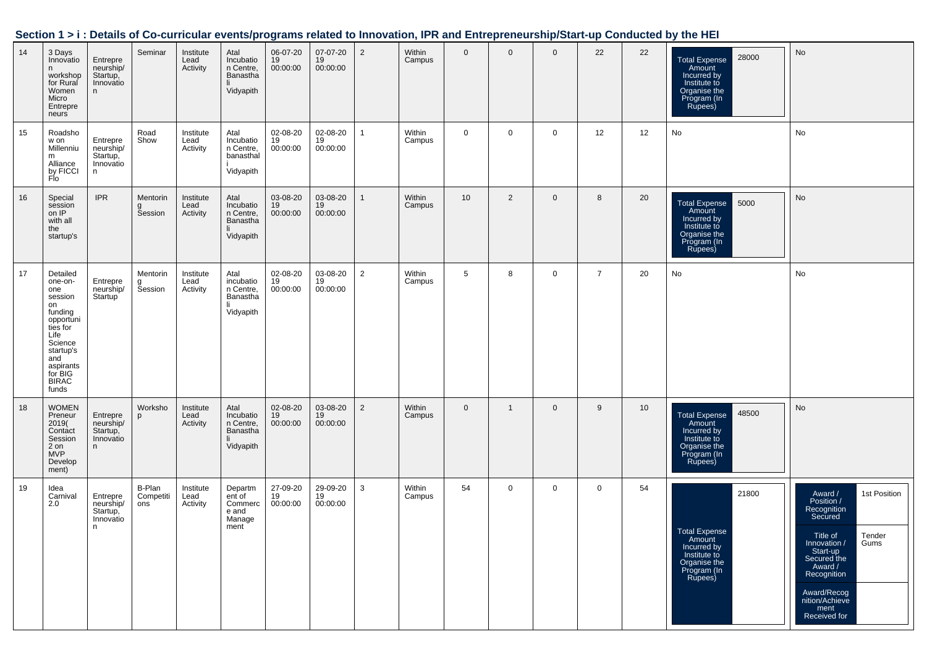|    |                                                                                                                                                                         |                                                      |                            |                               |                                                                |                            |                            |                |                  |                |                |             |                |    | VITTAT: Details of Oo barnoalar events/programs related to importation, if it and Entreprenearship/otail: ap conducted by the HET |                                                                                                                                                                                                                             |
|----|-------------------------------------------------------------------------------------------------------------------------------------------------------------------------|------------------------------------------------------|----------------------------|-------------------------------|----------------------------------------------------------------|----------------------------|----------------------------|----------------|------------------|----------------|----------------|-------------|----------------|----|-----------------------------------------------------------------------------------------------------------------------------------|-----------------------------------------------------------------------------------------------------------------------------------------------------------------------------------------------------------------------------|
| 14 | 3 Days<br>Innovatio<br>n<br>workshop<br>for Rural<br>Women<br>Micro<br>Entrepre<br>neurs                                                                                | Entrepre<br>neurship/<br>Startup,<br>Innovatio<br>n  | Seminar                    | Institute<br>Lead<br>Activity | Atal<br>Incubatio<br>n Centre,<br>Banastha<br>li.<br>Vidyapith | 06-07-20<br>19<br>00:00:00 | 07-07-20<br>19<br>00:00:00 | $\overline{2}$ | Within<br>Campus | $\overline{0}$ | $\overline{0}$ | $\mathbf 0$ | 22             | 22 | 28000<br><b>Total Expense</b><br>Amount<br>Incurred by<br>Institute to<br>Organise the<br>Program (In<br>Rupees)                  | No                                                                                                                                                                                                                          |
| 15 | Roadsho<br>w on<br>Millenniu<br>m<br>::<br>Alliance<br>by FICCI<br>Flo                                                                                                  | Entrepre<br>neurship/<br>Startup,<br>Innovatio<br>n  | Road<br>Show               | Institute<br>Lead<br>Activity | Atal<br>Incubatio<br>n Centre,<br>banasthal<br>Vidyapith       | 02-08-20<br>19<br>00:00:00 | 02-08-20<br>19<br>00:00:00 | $\overline{1}$ | Within<br>Campus | $\mathbf 0$    | $\mathbf 0$    | $\mathbf 0$ | 12             | 12 | No                                                                                                                                | No                                                                                                                                                                                                                          |
| 16 | Special<br>session<br>on IP<br>with all<br>the<br>startup's                                                                                                             | <b>IPR</b>                                           | Mentorin<br>g<br>Session   | Institute<br>Lead<br>Activity | Atal<br>Incubatio<br>n Centre,<br>Banastha<br>li.<br>Vidyapith | 03-08-20<br>19<br>00:00:00 | 03-08-20<br>19<br>00:00:00 | $\mathbf{1}$   | Within<br>Campus | 10             | 2              | $\mathbf 0$ | 8              | 20 | 5000<br>Total Expense<br>Amount<br>Incurred by<br>Institute to<br>Organise the<br>Program (In<br>Rupees)                          | No                                                                                                                                                                                                                          |
| 17 | Detailed<br>one-on-<br>one<br>session<br>on<br>funding<br>opportuni<br>ties for<br>Life<br>Science<br>startup's<br>and<br>aspirants<br>for BIG<br><b>BIRAC</b><br>funds | Entrepre<br>neurship/<br>Startup <sup>'</sup>        | Mentorin<br>g<br>Session   | Institute<br>Lead<br>Activity | Atal<br>incubatio<br>n Centre,<br>Banastha<br>li.<br>Vidyapith | 02-08-20<br>19<br>00:00:00 | 03-08-20<br>19<br>00:00:00 | $\overline{2}$ | Within<br>Campus | 5              | 8              | $\mathbf 0$ | $\overline{7}$ | 20 | No                                                                                                                                | No                                                                                                                                                                                                                          |
| 18 | <b>WOMEN</b><br>Preneur<br>2019(<br>Contact<br>Session<br>2 on<br><b>MVP</b><br>Develop<br>ment)                                                                        | Entrepre<br>neurship/<br>Startup,<br>Innovatio<br>n  | Worksho<br>p               | Institute<br>Lead<br>Activity | Atal<br>Incubatio<br>n Centre,<br>Banastha<br>Vidyapith        | 02-08-20<br>19<br>00:00:00 | 03-08-20<br>19<br>00:00:00 | $\overline{2}$ | Within<br>Campus | $\mathbf 0$    | $\overline{1}$ | $\mathbf 0$ | 9              | 10 | 48500<br>Total Expense<br>Amount<br>Incurred by<br>Institute to<br>Organise the<br>Program (In<br>Rupees)                         | No                                                                                                                                                                                                                          |
| 19 | Idea<br>Carnival<br>2.0                                                                                                                                                 | Entrepre<br>neurship/<br>Startup,<br>Innovatio<br>n. | B-Plan<br>Competiti<br>ons | Institute<br>Lead<br>Activity | Departm<br>ent of<br>Commerc<br>e and<br>Manage<br>ment        | 27-09-20<br>19<br>00:00:00 | 29-09-20<br>19<br>00:00:00 | 3              | Within<br>Campus | 54             | $\mathbf 0$    | $\mathbf 0$ | $\mathbf 0$    | 54 | 21800<br>otal Expense<br>Amount<br>Incurred by<br>Institute to<br>Organise the<br>Program (In<br>Rupees)                          | 1st Position<br>Award /<br>Position /<br>Recognition<br>Secured<br>Tender<br>Title of<br>Gums<br>Innovation /<br>Start-up<br>Secured the<br>Award /<br>Recognition<br>Award/Recog<br>nition/Achieve<br>ment<br>Received for |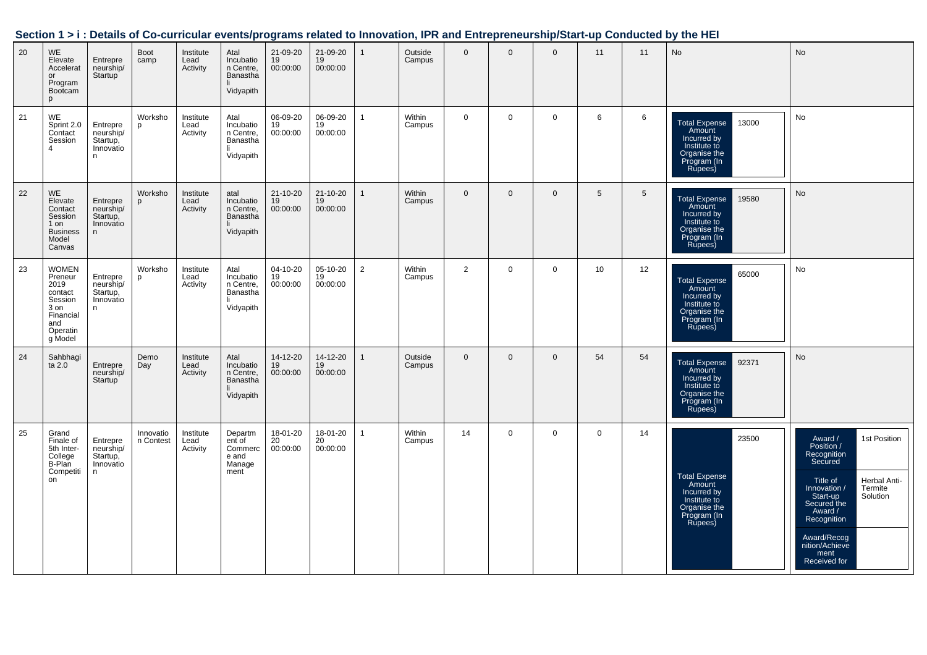|    |                                                                                                          |                                                     | ---                    |                               |                                                                |                                         |                                         |                |                   |                | carriedian cyclifoldical coldical to innovation, in it and Entropronourompletal tap |              |                 |                 | oonaasiya ay mo'nee                                                                                       |                                                                                                                                                                                                                                                  |
|----|----------------------------------------------------------------------------------------------------------|-----------------------------------------------------|------------------------|-------------------------------|----------------------------------------------------------------|-----------------------------------------|-----------------------------------------|----------------|-------------------|----------------|-------------------------------------------------------------------------------------|--------------|-----------------|-----------------|-----------------------------------------------------------------------------------------------------------|--------------------------------------------------------------------------------------------------------------------------------------------------------------------------------------------------------------------------------------------------|
| 20 | <b>WE</b><br>Elevate<br>Accelerat<br>or<br>Program<br>Bootcam<br>p                                       | Entrepre<br>neurship/<br>Startup <sup>'</sup>       | Boot<br>camp           | Institute<br>Lead<br>Activity | Atal<br>Incubatio<br>n Centre,<br>Banastha<br>li.<br>Vidyapith | 21-09-20<br>19<br>00:00:00              | 21-09-20<br>$\frac{11}{19}$<br>00:00:00 | $\overline{1}$ | Outside<br>Campus | $\overline{0}$ | $\mathbf 0$                                                                         | $\mathbf 0$  | 11              | 11              | <b>No</b>                                                                                                 | No                                                                                                                                                                                                                                               |
| 21 | WE<br>Sprint 2.0<br>Contact<br>Session                                                                   | Entrepre<br>neurship/<br>Startup,<br>Innovatio<br>n | Worksho<br>p           | Institute<br>Lead<br>Activity | Atal<br>Incubatio<br>n Centre,<br>Banastha<br>li.<br>Vidyapith | 06-09-20<br>19<br>00:00:00              | 06-09-20<br>19<br>00:00:00              | $\mathbf{1}$   | Within<br>Campus  | $\overline{0}$ | $\overline{0}$                                                                      | $\mathbf 0$  | 6               | 6               | Total Expense<br>Amount<br>Incurred by<br>Institute to<br>Organise the<br>Program (In<br>Rupees)<br>13000 | <b>No</b>                                                                                                                                                                                                                                        |
| 22 | WE<br>Elevate<br>Contact<br>Session<br>$1$ on<br><b>Business</b><br>Model<br>Canvas                      | Entrepre<br>neurship/<br>Startup,<br>Innovatio<br>n | Worksho                | Institute<br>Lead<br>Activity | atal<br>Incubatio<br>n Centre,<br>Banastha<br>li.<br>Vidyapith | 21-10-20<br>19<br>00:00:00              | 21-10-20<br>19<br>00:00:00              | $\mathbf{1}$   | Within<br>Campus  | $\overline{0}$ | $\overline{0}$                                                                      | $\mathbf{0}$ | $5\overline{5}$ | $5\phantom{.0}$ | 19580<br>Total Expense<br>Amount<br>Incurred by<br>Institute to<br>Organise the<br>Program (In<br>Rupees) | <b>No</b>                                                                                                                                                                                                                                        |
| 23 | <b>WOMEN</b><br>Preneur<br>2019<br>contact<br>Session<br>3 on<br>Financial<br>and<br>Operatin<br>g Model | Entrepre<br>neurship/<br>Startup,<br>Innovatio<br>n | Worksho<br>p           | Institute<br>Lead<br>Activity | Atal<br>Incubatio<br>n Centre,<br>Banastha<br>li.<br>Vidyapith | 04-10-20<br>19<br>00:00:00              | 05-10-20<br>19<br>00:00:00              | $\overline{2}$ | Within<br>Campus  | 2              | $\mathbf 0$                                                                         | $\mathbf 0$  | 10              | 12              | 65000<br>Total Expense<br>Amount<br>Incurred by<br>Institute to<br>Organise the<br>Program (In<br>Rupees) | No                                                                                                                                                                                                                                               |
| 24 | Sahbhagi<br>ta 2.0                                                                                       | Entrepre<br>neurship/<br>Startup                    | Demo<br>Day            | Institute<br>Lead<br>Activity | Atal<br>Incubatio<br>n Centre,<br>Banastha<br>Vidyapith        | 14-12-20<br>$19$<br>00:00:00            | 14-12-20<br>19<br>00:00:00              | $\overline{1}$ | Outside<br>Campus | $\overline{0}$ | $\mathbf 0$                                                                         | $\mathbf 0$  | 54              | 54              | Total Expense<br>Amount<br>Incurred by<br>92371<br>Institute to<br>Organise the<br>Program (In<br>Rupees) | <b>No</b>                                                                                                                                                                                                                                        |
| 25 | Grand<br>Finale of<br>5th Inter-<br>College<br>B-Plan<br>Competiti<br>on                                 | Entrepre<br>neurship/<br>Startup,<br>Innovatio<br>n | Innovatio<br>n Contest | Institute<br>Lead<br>Activity | Departm<br>ent of<br>Commerc<br>e and<br>Manage<br>ment        | 18-01-20<br>$\frac{20}{20}$<br>00:00:00 | 18-01-20<br>$20$<br>00:00:00            | $\mathbf{1}$   | Within<br>Campus  | 14             | $\mathbf 0$                                                                         | $\mathbf 0$  | $\overline{0}$  | 14              | 23500<br>Total Expense<br>Amount<br>Incurred by<br>Institute to<br>Organise the<br>Program (In<br>Rupees) | 1st Position<br>Award /<br>Position /<br>Recognition<br>Secured<br>Herbal Anti-<br>Title of<br>Innovation /<br>Start-up<br>Secured the<br>Termite<br>Solution<br>Award /<br>Recognition<br>Award/Recog<br>nition/Achieve<br>ment<br>Received for |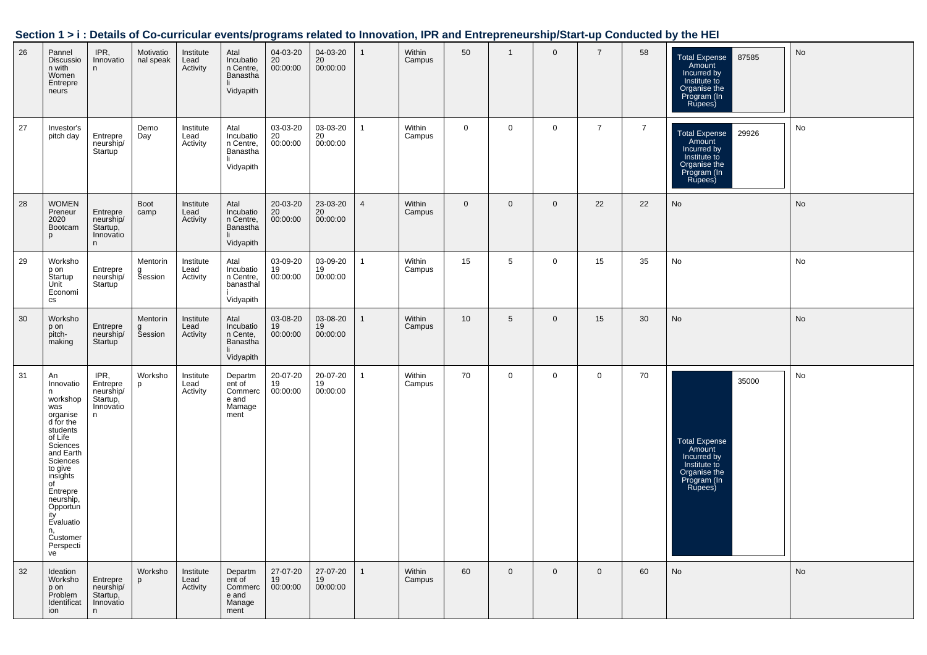|  | Section 1 > i : Details of Co-curricular events/programs related to Innovation, IPR and Entrepreneurship/Start-up Conducted by the HEI |  |  |  |  |
|--|----------------------------------------------------------------------------------------------------------------------------------------|--|--|--|--|
|  |                                                                                                                                        |  |  |  |  |

| 26 | Pannel<br>Discussio<br>n with<br>Women<br>Entrepre<br>neurs                                                                                                                                                                                             | IPR,<br>Innovatio<br>n                                      | Motivatio<br>nal speak          | Institute<br>Lead<br>Activity | Atal<br>Incubatio<br>n Centre,<br>Banastha<br>Vidyapith  | 04-03-20<br>20<br>00:00:00              | 04-03-20<br>20<br>00:00:00 | $\mathbf{1}$   | Within<br>Campus | 50           | $\mathbf{1}$ | $\mathbf 0$    | $\overline{7}$ | 58             | <b>Total Expense</b><br>87585<br>Amount<br>Incurred by<br>Institute to<br>Organise the<br>Program (In<br>Rupees) | No |
|----|---------------------------------------------------------------------------------------------------------------------------------------------------------------------------------------------------------------------------------------------------------|-------------------------------------------------------------|---------------------------------|-------------------------------|----------------------------------------------------------|-----------------------------------------|----------------------------|----------------|------------------|--------------|--------------|----------------|----------------|----------------|------------------------------------------------------------------------------------------------------------------|----|
| 27 | Investor's<br>pitch day                                                                                                                                                                                                                                 | Entrepre<br>neurship/<br>Startup <sup>1</sup>               | Demo<br>Day                     | Institute<br>Lead<br>Activity | Atal<br>Incubatio<br>n Centre,<br>Banastha<br>Vidyapith  | 03-03-20<br>$\frac{20}{20}$<br>00:00:00 | 03-03-20<br>20<br>00:00:00 | $\mathbf{1}$   | Within<br>Campus | $\mathbf 0$  | $\mathbf 0$  | $\overline{0}$ | $\overline{7}$ | $\overline{7}$ | <b>Total Expense</b><br>29926<br>Amount<br>Incurred by<br>Institute to<br>Organise the<br>Program (In<br>Rupees) | No |
| 28 | <b>WOMEN</b><br>Preneur<br>2020<br>Bootcam<br>p                                                                                                                                                                                                         | Entrepre<br>neurship/<br>Startup,<br>Innovatio<br>n         | <b>Boot</b><br>camp             | Institute<br>Lead<br>Activity | Atal<br>Incubatio<br>n Centre,<br>Banastha<br>Vidyapith  | 20-03-20<br>20<br>00:00:00              | 23-03-20<br>20<br>00:00:00 | $\overline{4}$ | Within<br>Campus | $\mathbf{0}$ | $\mathbf{0}$ | $\mathbf{0}$   | 22             | 22             | No                                                                                                               | No |
| 29 | Worksho<br>p on<br>Startup<br>Unit<br>Economi<br>CS                                                                                                                                                                                                     | Entrepre<br>neurship/<br>Startup                            | Mentorin<br>g<br>Session        | Institute<br>Lead<br>Activity | Atal<br>Incubatio<br>n Centre,<br>banasthal<br>Vidyapith | 03-09-20<br>19<br>00:00:00              | 03-09-20<br>19<br>00:00:00 | $\mathbf{1}$   | Within<br>Campus | 15           | $\sqrt{5}$   | $\mathbf 0$    | 15             | 35             | No                                                                                                               | No |
| 30 | Worksho<br>p on<br>pitch-<br>making                                                                                                                                                                                                                     | Entrepre<br>neurship/<br>Startup                            | <b>Mentorin</b><br>g<br>Session | Institute<br>Lead<br>Activity | Atal<br>Incubatio<br>n Cente,<br>Banastha<br>Vidyapith   | 03-08-20<br>19<br>00:00:00              | 03-08-20<br>19<br>00:00:00 | $\mathbf{1}$   | Within<br>Campus | 10           | 5            | $\mathbf{0}$   | 15             | 30             | <b>No</b>                                                                                                        | No |
| 31 | An<br>Innovatio<br>n<br>workshop<br>was<br>organise<br>d for the<br>students<br>of Life<br>Sciences<br>and Earth<br>Sciences<br>to give<br>insights<br>of<br>Entrepre<br>neurship,<br>Opportun<br>ity<br>Evaluatio<br>n,<br>Customer<br>Perspecti<br>ve | IPR,<br>Entrepre<br>neurship/<br>Startup,<br>Innovatio<br>n | Worksho<br>p                    | Institute<br>Lead<br>Activity | Departm<br>ent of<br>Commerc<br>e and<br>Mamage<br>ment  | 20-07-20<br>19<br>00:00:00              | 20-07-20<br>19<br>00:00:00 | $\mathbf{1}$   | Within<br>Campus | 70           | $\mathbf 0$  | $\mathbf 0$    | $\mathbf 0$    | 70             | 35000<br><b>Total Expense</b><br>Amount<br>Incurred by<br>Institute to<br>Organise the<br>Program (In<br>Rupees) | No |
| 32 | Ideation<br>Worksho<br>p on<br>Problem<br>Identificat<br>ion                                                                                                                                                                                            | Entrepre<br>neurship/<br>Startup,<br>Innovatio<br>n.        | Worksho<br>p                    | Institute<br>Lead<br>Activity | Departm<br>ent of<br>Commerc<br>e and<br>Manage<br>ment  | 27-07-20<br>19<br>00:00:00              | 27-07-20<br>19<br>00:00:00 | $\mathbf{1}$   | Within<br>Campus | 60           | $\mathbf{0}$ | $\mathbf{0}$   | $\overline{0}$ | 60             | No                                                                                                               | No |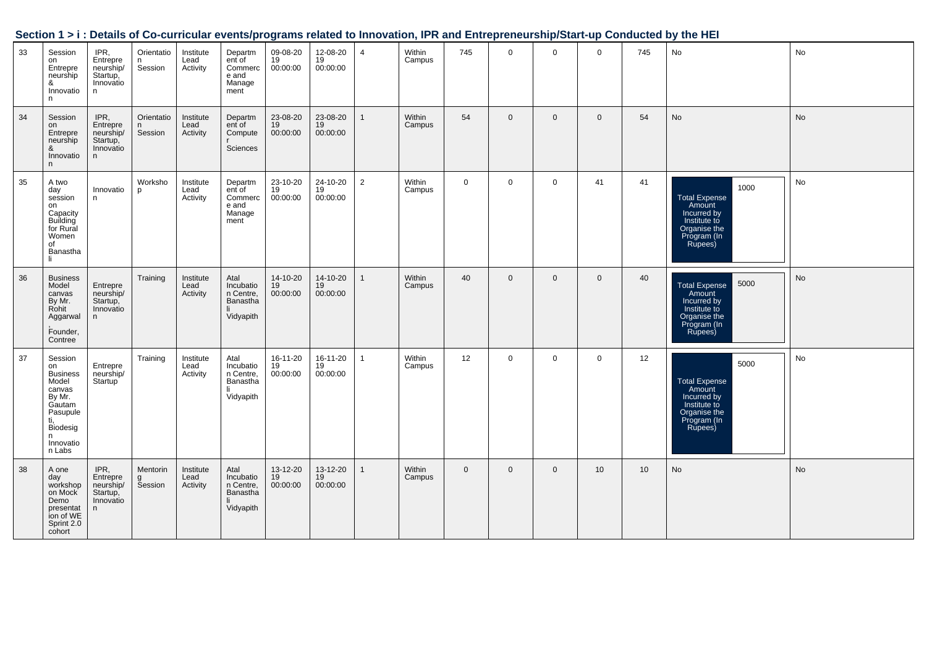|    |                                                                                                                                    |                                                             |                             |                               |                                                                |                            |                            |                |                  |                |                |              |                 |     | <u>Uccupit IVI. Details of Ob-curricular eventsipi ografiis related to impovation, if it and Entrepreneurship/otalt-up Conducted by the HET</u> |           |
|----|------------------------------------------------------------------------------------------------------------------------------------|-------------------------------------------------------------|-----------------------------|-------------------------------|----------------------------------------------------------------|----------------------------|----------------------------|----------------|------------------|----------------|----------------|--------------|-----------------|-----|-------------------------------------------------------------------------------------------------------------------------------------------------|-----------|
| 33 | Session<br>on<br>Entrepre<br>neurship<br>&<br>Innovatio<br>n.                                                                      | IPR,<br>Entrepre<br>neurship/<br>Startup,<br>Innovatio<br>n | Orientatio<br>n.<br>Session | Institute<br>Lead<br>Activity | Departm<br>ent of<br>Commerc<br>e and<br>Manage<br>ment        | 09-08-20<br>19<br>00:00:00 | 12-08-20<br>19<br>00:00:00 | $\overline{4}$ | Within<br>Campus | 745            | $\mathbf{0}$   | $\mathbf 0$  | $\overline{0}$  | 745 | No                                                                                                                                              | No        |
| 34 | Session<br>on<br>Entrepre<br>neurship<br>&<br>Innovatio<br>n                                                                       | IPR,<br>Entrepre<br>neurship/<br>Startup,<br>Innovatio<br>n | Orientatio<br>n.<br>Session | Institute<br>Lead<br>Activity | Departm<br>ent of<br>Compute<br>Sciences                       | 23-08-20<br>19<br>00:00:00 | 23-08-20<br>19<br>00:00:00 | $\mathbf{1}$   | Within<br>Campus | 54             | $\mathbf 0$    | $\mathbf{0}$ | $\overline{0}$  | 54  | <b>No</b>                                                                                                                                       | No        |
| 35 | A two<br>day<br>session<br>on<br>Capacity<br>Building<br>for Rural<br>Women<br>of<br>Banastha<br>li.                               | Innovatio<br>n                                              | Worksho<br>p                | Institute<br>Lead<br>Activity | Departm<br>ent of<br>Commerc<br>e and<br>Manage<br>ment        | 23-10-20<br>19<br>00:00:00 | 24-10-20<br>19<br>00:00:00 | $\overline{2}$ | Within<br>Campus | $\mathbf 0$    | $\mathbf 0$    | $\mathbf 0$  | 41              | 41  | 1000<br>Total Expense<br>Amount<br>Incurred by<br>Institute to<br>Organise the<br>Program (In<br>Rupees)                                        | No        |
| 36 | <b>Business</b><br>Model<br>canvas<br>By Mr.<br>Rohit<br>Aggarwal<br>Founder,<br>Contree                                           | Entrepre<br>neurship/<br>Startup,<br>Innovatio<br>n         | Training                    | Institute<br>Lead<br>Activity | Atal<br>Incubatio<br>n Centre,<br>Banastha<br>Vidyapith        | 14-10-20<br>19<br>00:00:00 | 14-10-20<br>19<br>00:00:00 | $\mathbf{1}$   | Within<br>Campus | 40             | $\mathbf{0}$   | $\mathbf{0}$ | $\overline{0}$  | 40  | 5000<br>Total Expense<br>Amount<br>Incurred by<br>Institute to<br>Organise the<br>Program (In<br>Rupees)                                        | <b>No</b> |
| 37 | Session<br>on<br><b>Business</b><br>Model<br>canvas<br>By Mr.<br>Gautam<br>Pasupule<br>ti,<br>Biodesig<br>n<br>Innovatio<br>n Labs | Entrepre<br>neurship/<br>Startup <sup>'</sup>               | Training                    | Institute<br>Lead<br>Activity | Atal<br>Incubatio<br>n Centre,<br>Banastha<br>li.<br>Vidyapith | 16-11-20<br>19<br>00:00:00 | 16-11-20<br>19<br>00:00:00 | $\overline{1}$ | Within<br>Campus | 12             | $\mathbf 0$    | $\mathbf 0$  | $\overline{0}$  | 12  | 5000<br>Total Expense<br>Amount<br>Incurred by<br>Institute to<br>Organise the<br>Program (In<br>Rupees)                                        | No        |
| 38 | A one<br>day<br>workshop<br>on Mock<br>Demo<br>presentat<br>ion of WE<br>Sprint 2.0<br>cohort                                      | IPR,<br>Entrepre<br>neurship/<br>Startup,<br>Innovatio<br>n | Mentorin<br>g<br>Session    | Institute<br>Lead<br>Activity | Atal<br>Incubatio<br>n Centre,<br>Banastha<br>-li<br>Vidyapith | 13-12-20<br>19<br>00:00:00 | 13-12-20<br>19<br>00:00:00 | $\mathbf{1}$   | Within<br>Campus | $\overline{0}$ | $\overline{0}$ | $\mathbf{0}$ | 10 <sup>°</sup> | 10  | No                                                                                                                                              | No        |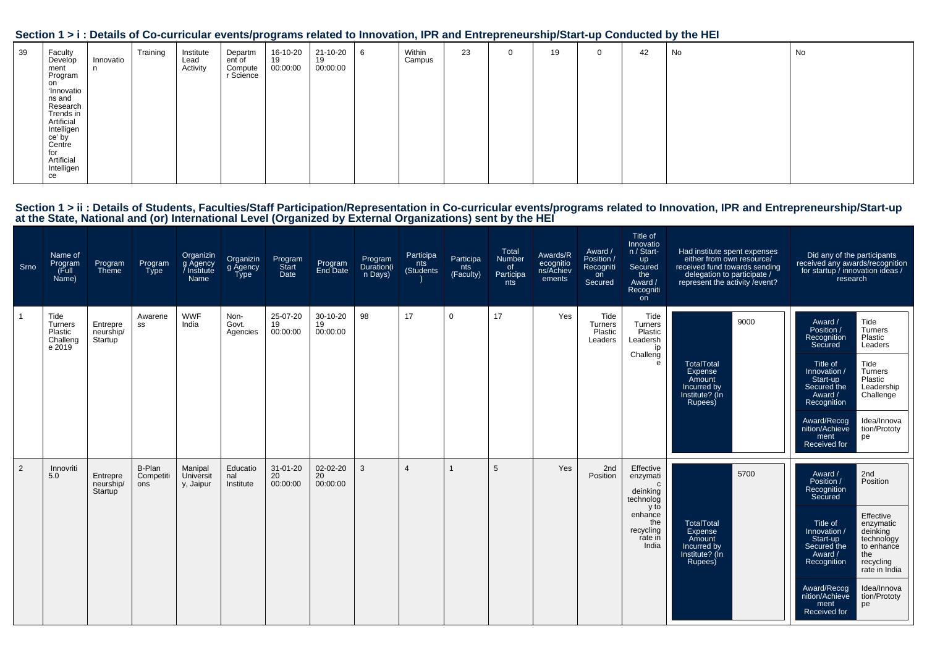|                                                                                                                                                                                                    |                |          |                               | and the state of the state                | $\overline{\phantom{a}}$   |                            |                  |    |          |    |              |    |    |    |
|----------------------------------------------------------------------------------------------------------------------------------------------------------------------------------------------------|----------------|----------|-------------------------------|-------------------------------------------|----------------------------|----------------------------|------------------|----|----------|----|--------------|----|----|----|
| 39<br>Faculty<br>Develop<br>ment<br>Program<br>on<br><b>'Innovatio</b><br>ns and<br>Research<br>Trends in<br>Artificial<br>Intelligen<br>ce' by<br>Centre<br>for<br>Artificial<br>Intelligen<br>ce | Innovatio<br>n | Training | Institute<br>Lead<br>Activity | Departm<br>ent of<br>Compute<br>r Science | 16-10-20<br>19<br>00:00:00 | 21-10-20<br>19<br>00:00:00 | Within<br>Campus | 23 | $\Omega$ | 19 | $\mathbf{0}$ | 42 | No | No |

# Section 1 > ii : Details of Students, Faculties/Staff Participation/Representation in Co-curricular events/programs related to Innovation, IPR and Entrepreneurship/Start-up<br>at the State, National and (or) International Lev

| Srno | Name of<br>Program<br>(Full<br>Name)             | Program<br>Theme                 | Program<br><b>Type</b>     | Organizin<br>g Agency<br>/ Institute<br>Name | Organizin<br>g Agency<br>Type | Program<br>Start<br>Date         | Program<br>End Date        | Program<br>Duration(i<br>n Days) | Participa<br>nts<br>(Students | Participa<br>nts<br>(Faculty) | Total<br>Number<br>of<br>Participa<br>nts | Awards/R<br>ecognitio<br>ns/Achiev<br>ements | Award /<br>Position /<br>Recogniti<br>on<br>Secured | Title of<br>Innovatio<br>n / Start-<br>up<br>Secured<br>the<br>Award /<br>Recogniti<br>on                      | Had institute spent expenses<br>either from own resource/<br>received fund towards sending<br>delegation to participate /<br>represent the activity / event? | Did any of the participants<br>received any awards/recognition<br>for startup / innovation ideas /<br>research                                                                                                                                                                                                                                           |
|------|--------------------------------------------------|----------------------------------|----------------------------|----------------------------------------------|-------------------------------|----------------------------------|----------------------------|----------------------------------|-------------------------------|-------------------------------|-------------------------------------------|----------------------------------------------|-----------------------------------------------------|----------------------------------------------------------------------------------------------------------------|--------------------------------------------------------------------------------------------------------------------------------------------------------------|----------------------------------------------------------------------------------------------------------------------------------------------------------------------------------------------------------------------------------------------------------------------------------------------------------------------------------------------------------|
|      | Tide<br>Turners<br>Plastic<br>Challeng<br>e 2019 | Entrepre<br>neurship/<br>Startup | Awarene<br>SS              | <b>WWF</b><br>India                          | Non-<br>Govt.<br>Agencies     | 25-07-20<br>19<br>00:00:00       | 30-10-20<br>19<br>00:00:00 | 98                               | 17                            | $\mathbf 0$                   | 17                                        | Yes                                          | Tide<br><b>Turners</b><br>Plastic<br>Leaders        | Tide<br>Turners<br>Plastic<br>Leadersh<br>ip<br>Challeng<br>e                                                  | 9000<br><b>TotalTotal</b><br>Expense<br>Amount<br>Incurred by<br>Institute? (In<br>Rupees)                                                                   | Tide<br>Award /<br>Position /<br>Turners<br>Plastic<br>Recognition<br>Secured<br>Leaders<br>Title of<br>Tide<br>Turners<br>Innovation /<br>Plastic<br>Start-up<br>Leadership<br>Secured the<br>Challenge<br>Award /<br>Recognition<br>Award/Recog<br>Idea/Innova<br>nition/Achieve<br>tion/Prototy<br>ment<br>pe<br>Received for                         |
| 2    | Innovriti<br>5.0                                 | Entrepre<br>neurship/<br>Startup | B-Plan<br>Competiti<br>ons | Manipal<br>Universit<br>y, Jaipur            | Educatio<br>nal<br>Institute  | $31 - 01 - 20$<br>20<br>00:00:00 | 02-02-20<br>20<br>00:00:00 | 3                                |                               |                               | 5                                         | Yes                                          | 2nd<br>Position                                     | Effective<br>enzymati<br>C<br>deinking<br>technolog<br>y to<br>enhance<br>the<br>recycling<br>rate in<br>India | 5700<br><b>TotalTotal</b><br>Expense<br>Amount<br>Incurred by<br>Institute? (In<br>Rupees)                                                                   | Award /<br>2nd<br>Position<br>Position /<br>Recognition<br>Secured<br>Effective<br>Title of<br>enzymatic<br>deinking<br>Innovation /<br>Start-up<br>technology<br>Secured the<br>to enhance<br>the<br>Award /<br>recycling<br>Recognition<br>rate in India<br>Award/Recog<br>Idea/Innova<br>nition/Achieve<br>tion/Prototy<br>ment<br>pe<br>Received for |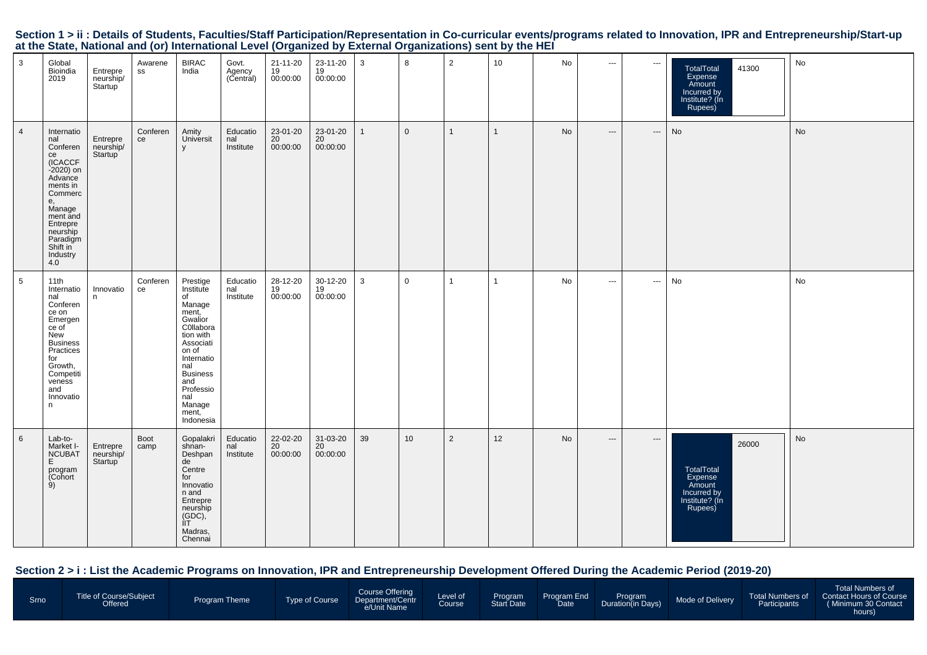|                 | at the State, National and (0) international Lever (Organized by External Organizations) Sent by the HET                                                                                     |                                  |                |                                                                                                                                                                                                             |                              |                            |                            |              |                |                |              |    |                          |                          |                                                                                      |           |
|-----------------|----------------------------------------------------------------------------------------------------------------------------------------------------------------------------------------------|----------------------------------|----------------|-------------------------------------------------------------------------------------------------------------------------------------------------------------------------------------------------------------|------------------------------|----------------------------|----------------------------|--------------|----------------|----------------|--------------|----|--------------------------|--------------------------|--------------------------------------------------------------------------------------|-----------|
| $\mathbf{3}$    | Global<br>Bioindia<br>2019                                                                                                                                                                   | Entrepre<br>neurship/<br>Startup | Awarene<br>SS  | <b>BIRAC</b><br>India                                                                                                                                                                                       | Govt.<br>Agency<br>(Central) | 21-11-20<br>19<br>00:00:00 | 23-11-20<br>19<br>00:00:00 | $\mathbf{3}$ | 8              | $\overline{2}$ | 10           | No | $\cdots$                 | $\hspace{0.05cm} \ldots$ | 41300<br>TotalTotal<br>Expense<br>Amount<br>Incurred by<br>Institute? (In<br>Rupees) | No        |
| $\overline{4}$  | Internatio<br>nal<br>Conferen<br>ce<br>(ICACCF<br>-2020) on<br>Advance<br>ments in<br>Commerc<br>e,<br>Manage<br>ment and<br>Entrepre<br>Entrepre<br>Paradigm<br>Shift in<br>Industry<br>4.0 | Entrepre<br>neurship/<br>Startup | Conferen<br>ce | Amity<br>Universit<br>y                                                                                                                                                                                     | Educatio<br>nal<br>Institute | 23-01-20<br>20<br>00:00:00 | 23-01-20<br>20<br>00:00:00 | $\mathbf{1}$ | $\overline{0}$ | $\mathbf{1}$   | $\mathbf{1}$ | No | $\hspace{0.05cm} \ldots$ | $\hspace{0.05cm} \ldots$ | No                                                                                   | <b>No</b> |
| $5\phantom{.0}$ | 11th<br>Internatio<br>nal<br>Conferen<br>ce on<br>Emergen<br>ce of<br>New<br>Business<br>Practices<br>for<br>Growth,<br>Competiti<br>veness<br>and<br>Innovatio<br>n.                        | Innovatio<br>n                   | Conferen<br>ce | Prestige<br>Institute<br>of<br>Manage<br>manage<br>ment,<br>C0llabora<br>tion with<br>Associati<br>on of<br>Internatio<br>nal<br><b>Business</b><br>and<br>Professio<br>nal<br>Manage<br>ment,<br>Indonesia | Educatio<br>nal<br>Institute | 28-12-20<br>19<br>00:00:00 | 30-12-20<br>19<br>00:00:00 | 3            | $\overline{0}$ | $\mathbf{1}$   | $\mathbf{1}$ | No | $\cdots$                 | $\overline{\phantom{a}}$ | No                                                                                   | No        |
| $6\overline{6}$ | Lab-to-<br>Market I-<br><b>NCUBAT</b><br>E<br>program<br>(Cohort<br>9)                                                                                                                       | Entrepre<br>neurship/<br>Startup | Boot<br>camp   | Gopalakri<br>shnan-<br>Deshpan<br>de<br>Centre<br>for<br>Innovatio<br>n and<br>Entrepre<br>neurship<br>(GDC),<br>ÌГ.<br>Madras,<br>Chennai                                                                  | Educatio<br>nal<br>Institute | 22-02-20<br>20<br>00:00:00 | 31-03-20<br>20<br>00:00:00 | 39           | 10             | $\overline{2}$ | 12           | No | $\hspace{0.05cm} \ldots$ | ---                      | 26000<br>TotalTotal<br>Expense<br>Amount<br>Incurred by<br>Institute? (In<br>Rupees) | No        |

Section 1 > ii : Details of Students, Faculties/Staff Participation/Representation in Co-curricular events/programs related to Innovation, IPR and Entrepreneurship/Start-up<br>at the State, National and (or) International Lev

### **Section 2 > i : List the Academic Programs on Innovation, IPR and Entrepreneurship Development Offered During the Academic Period (2019-20)**

| <b>Total Numbers of</b><br>Course Offering<br>Level of<br>Course<br>Title of Course/Subject<br>Program Program End<br>Start Date Date<br>Total Numbers of Contact Hours of Course<br>Program<br>Duration(in Days)<br>Mode of Delivery<br><b>Type of Course</b><br>Srno<br><b>Program Theme</b><br>Department/Centr<br>Participants<br>(Minimum 30 Contact<br>Offered<br>e/Unit Name<br>hours) |
|-----------------------------------------------------------------------------------------------------------------------------------------------------------------------------------------------------------------------------------------------------------------------------------------------------------------------------------------------------------------------------------------------|
|-----------------------------------------------------------------------------------------------------------------------------------------------------------------------------------------------------------------------------------------------------------------------------------------------------------------------------------------------------------------------------------------------|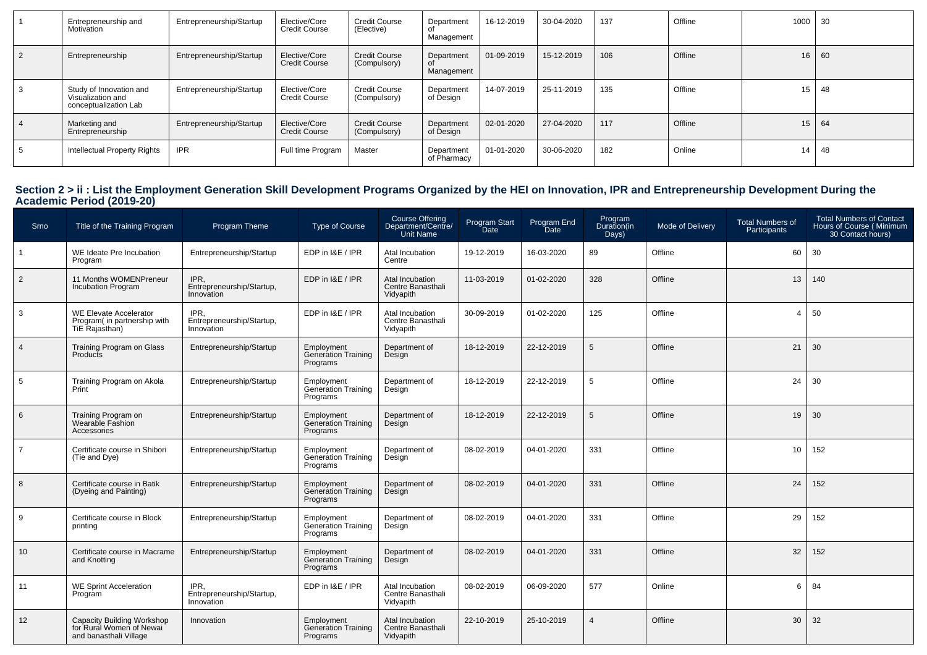| Entrepreneurship and<br>Motivation                                    | Entrepreneurship/Startup | Elective/Core<br><b>Credit Course</b> | <b>Credit Course</b><br>(Elective)   | Department<br>Management  | 16-12-2019 | 30-04-2020 | 137 | Offline | 1000 | 30 |
|-----------------------------------------------------------------------|--------------------------|---------------------------------------|--------------------------------------|---------------------------|------------|------------|-----|---------|------|----|
| Entrepreneurship                                                      | Entrepreneurship/Startup | Elective/Core<br><b>Credit Course</b> | <b>Credit Course</b><br>(Compulsory) | Department<br>Management  | 01-09-2019 | 15-12-2019 | 106 | Offline | 16   | 60 |
| Study of Innovation and<br>Visualization and<br>conceptualization Lab | Entrepreneurship/Startup | Elective/Core<br><b>Credit Course</b> | <b>Credit Course</b><br>(Compulsory) | Department<br>of Design   | 14-07-2019 | 25-11-2019 | 135 | Offline | 15   | 48 |
| Marketing and<br>Entrepreneurship                                     | Entrepreneurship/Startup | Elective/Core<br><b>Credit Course</b> | <b>Credit Course</b><br>(Compulsory) | Department<br>of Design   | 02-01-2020 | 27-04-2020 | 117 | Offline | 15   | 64 |
| Intellectual Property Rights                                          | <b>IPR</b>               | Full time Program                     | Master                               | Department<br>of Pharmacy | 01-01-2020 | 30-06-2020 | 182 | Online  | 14   | 48 |

# **Section 2 > ii : List the Employment Generation Skill Development Programs Organized by the HEI on Innovation, IPR and Entrepreneurship Development During the Academic Period (2019-20)**

| Srno            | Title of the Training Program                                                    | Program Theme                                   | Type of Course                                       | Course Offering<br>Department/Centre/<br><b>Unit Name</b> | Program Start<br>Date | Program End<br><b>Date</b> | Program<br>Duration(in<br>Days) | Mode of Delivery | <b>Total Numbers of</b><br>Participants | <b>Total Numbers of Contact</b><br>Hours of Course (Minimum<br>30 Contact hours) |
|-----------------|----------------------------------------------------------------------------------|-------------------------------------------------|------------------------------------------------------|-----------------------------------------------------------|-----------------------|----------------------------|---------------------------------|------------------|-----------------------------------------|----------------------------------------------------------------------------------|
|                 | WE Ideate Pre Incubation<br>Program                                              | Entrepreneurship/Startup                        | EDP in I&E / IPR                                     | Atal Incubation<br>Centre                                 | 19-12-2019            | 16-03-2020                 | 89                              | Offline          | 60                                      | 30                                                                               |
| $\overline{2}$  | 11 Months WOMENPreneur<br><b>Incubation Program</b>                              | IPR.<br>Entrepreneurship/Startup,<br>Innovation | EDP in I&E / IPR                                     | Atal Incubation<br>Centre Banasthali<br>Vidyapith         | 11-03-2019            | 01-02-2020                 | 328                             | Offline          | 13                                      | 140                                                                              |
| $\mathbf{3}$    | WE Elevate Accelerator<br>Program( in partnership with<br>TiE Rajasthan)         | IPR.<br>Entrepreneurship/Startup,<br>Innovation | EDP in I&E / IPR                                     | Atal Incubation<br>Centre Banasthali<br>Vidyapith         | 30-09-2019            | 01-02-2020                 | 125                             | Offline          | $\overline{4}$                          | 50                                                                               |
| $\overline{4}$  | Training Program on Glass<br>Products                                            | Entrepreneurship/Startup                        | Employment<br>Generation Training<br>Programs        | Department of<br>Design                                   | 18-12-2019            | 22-12-2019                 | 5                               | Offline          | 21                                      | 30                                                                               |
| $5\phantom{.0}$ | Training Program on Akola<br>Print                                               | Entrepreneurship/Startup                        | Employment<br>Generation Training<br>Programs        | Department of<br>Design                                   | 18-12-2019            | 22-12-2019                 | 5                               | Offline          | 24                                      | 30                                                                               |
| 6               | Training Program on<br>Wearable Fashion<br>Accessories                           | Entrepreneurship/Startup                        | Employment<br>Generation Training<br>Programs        | Department of<br>Design                                   | 18-12-2019            | 22-12-2019                 | 5                               | Offline          | 19                                      | 30                                                                               |
| $\overline{7}$  | Certificate course in Shibori<br>(Tie and Dye)                                   | Entrepreneurship/Startup                        | Employment<br><b>Generation Training</b><br>Programs | Department of<br>Design                                   | 08-02-2019            | 04-01-2020                 | 331                             | Offline          | 10                                      | 152                                                                              |
| 8               | Certificate course in Batik<br>(Dyeing and Painting)                             | Entrepreneurship/Startup                        | Employment<br>Generation Training<br>Programs        | Department of<br>Design                                   | 08-02-2019            | 04-01-2020                 | 331                             | Offline          | 24                                      | 152                                                                              |
| 9               | Certificate course in Block<br>printing                                          | Entrepreneurship/Startup                        | Employment<br>Generation Training<br>Programs        | Department of<br>Design                                   | 08-02-2019            | 04-01-2020                 | 331                             | Offline          | 29                                      | 152                                                                              |
| 10 <sup>1</sup> | Certificate course in Macrame<br>and Knotting                                    | Entrepreneurship/Startup                        | Employment<br>Generation Training<br>Programs        | Department of<br>Desian                                   | 08-02-2019            | 04-01-2020                 | 331                             | Offline          | 32                                      | 152                                                                              |
| 11              | <b>WE Sprint Acceleration</b><br>Program                                         | IPR.<br>Entrepreneurship/Startup,<br>Innovation | EDP in I&E / IPR                                     | Atal Incubation<br>Centre Banasthali<br>Vidyapith         | 08-02-2019            | 06-09-2020                 | 577                             | Online           | 6                                       | 84                                                                               |
| 12              | Capacity Building Workshop<br>for Rural Women of Newai<br>and banasthali Village | Innovation                                      | Employment<br>Generation Training<br>Programs        | Atal Incubation<br>Centre Banasthali<br>Vidyapith         | 22-10-2019            | 25-10-2019                 | 4                               | Offline          | 30                                      | 32                                                                               |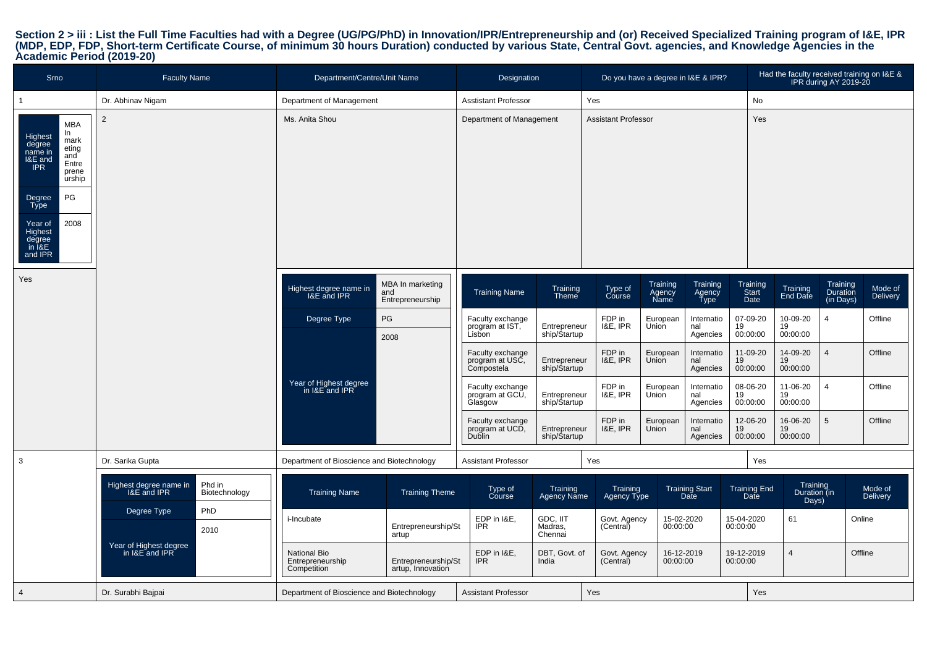# Section 2 > iii : List the Full Time Faculties had with a Degree (UG/PG/PhD) in Innovation/IPR/Entrepreneurship and (or) Received Specialized Training program of I&E, IPR<br>(MDP, EDP, FDP, Short-term Certificate Course, of m

| <b>Srno</b>                                                                                                                         | <b>Faculty Name</b>                                              | Department/Centre/Unit Name                     |                                             | Designation                                       |                                |                            | Do you have a degree in I&E & IPR?                       |                             | Had the faculty received training on I&E & | IPR during AY 2019-20             |                            |
|-------------------------------------------------------------------------------------------------------------------------------------|------------------------------------------------------------------|-------------------------------------------------|---------------------------------------------|---------------------------------------------------|--------------------------------|----------------------------|----------------------------------------------------------|-----------------------------|--------------------------------------------|-----------------------------------|----------------------------|
| $\mathbf{1}$                                                                                                                        | Dr. Abhinav Nigam                                                | Department of Management                        |                                             | <b>Asstistant Professor</b>                       |                                | Yes                        |                                                          | No                          |                                            |                                   |                            |
| <b>MBA</b><br>In<br>Highest<br>mark<br>degree<br>eting<br>name in<br>and<br>I&E and<br>Entre<br><b>IPR</b><br>prene<br>urship<br>PG | $\overline{2}$                                                   | Ms. Anita Shou                                  |                                             | Department of Management                          |                                | <b>Assistant Professor</b> |                                                          | Yes                         |                                            |                                   |                            |
| Degree<br>Type<br>2008<br>Year of<br><b>Highest</b><br>degree<br>in I&E<br>and IPR                                                  |                                                                  |                                                 |                                             |                                                   |                                |                            |                                                          |                             |                                            |                                   |                            |
| Yes                                                                                                                                 |                                                                  | Highest degree name in<br>I&E and IPR           | MBA In marketing<br>and<br>Entrepreneurship | <b>Training Name</b>                              | Training<br>Theme              | Type of<br>Course          | Training<br>Training<br>Agency<br>Name<br>Agency<br>Type | Training<br>Start<br>Date   | Training<br>End Date                       | Training<br>Duration<br>(in Days) | Mode of<br>Delivery        |
|                                                                                                                                     |                                                                  | Degree Type                                     | PG<br>2008                                  | Faculty exchange<br>program at IST,               | Entrepreneur<br>ship/Startup   | FDP in<br>I&E, IPR         | European<br>Internatio<br>Union<br>nal<br>Agencies       | 07-09-20<br>19<br>00:00:00  | 10-09-20<br>19<br>00:00:00                 | $\overline{4}$                    | Offline                    |
|                                                                                                                                     |                                                                  |                                                 |                                             | Faculty exchange<br>program at USC,<br>Compostela | Entrepreneur<br>ship/Startup   | FDP in<br>1&E, IPR         | European<br>Internatio<br>Union<br>nal<br>Agencies       | 11-09-20<br>19<br>00:00:00  | 14-09-20<br>19<br>00:00:00                 | $\overline{4}$                    | Offline                    |
|                                                                                                                                     |                                                                  | Year of Highest degree<br>in I&E and IPR        |                                             | Faculty exchange<br>program at GCU,<br>Glasgow    | Entrepreneur<br>ship/Startup   | FDP in<br>I&E, IPR         | European<br>Internatio<br>Union<br>nal<br>Agencies       | 08-06-20<br>19<br>00:00:00  | 11-06-20<br>19<br>00:00:00                 | $\overline{4}$                    | Offline                    |
|                                                                                                                                     |                                                                  |                                                 |                                             | Faculty exchange<br>program at UCD,<br>Dublin     | Entrepreneur<br>ship/Startup   | FDP in<br>I&E, IPR         | European<br>Internatio<br>Union<br>nal<br>Agencies       | 12-06-20<br>19<br>00:00:00  | 16-06-20<br>19<br>00:00:00                 | 5                                 | Offline                    |
| $\overline{3}$                                                                                                                      | Dr. Sarika Gupta                                                 | Department of Bioscience and Biotechnology      |                                             | <b>Assistant Professor</b>                        |                                | Yes                        |                                                          | Yes                         |                                            |                                   |                            |
|                                                                                                                                     | Phd in<br>Highest degree name in<br>I&E and IPR<br>Biotechnology | <b>Training Name</b>                            | <b>Training Theme</b>                       | Type of<br>Course                                 | Training<br><b>Agency Name</b> | Training<br>Agency Type    | <b>Training Start</b><br>Date                            | <b>Training End</b><br>Date | Training<br>Duration (in<br>Days)          |                                   | Mode of<br><b>Delivery</b> |
|                                                                                                                                     | PhD<br>Degree Type<br>2010                                       | i-Incubate                                      | Entrepreneurship/St<br>artup                | EDP in I&E,<br><b>IPR</b>                         | GDC, IIT<br>Madras,<br>Chennai | Govt. Agency<br>(Central)  | 15-02-2020<br>00:00:00                                   | 15-04-2020<br>00:00:00      | 61                                         |                                   | Online                     |
|                                                                                                                                     | Year of Highest degree<br>in I&E and IPR                         | National Bio<br>Entrepreneurship<br>Competition | Entrepreneurship/St<br>artup, Innovation    | EDP in I&E,<br><b>IPR</b>                         | DBT, Govt. of<br>India         | Govt. Agency<br>(Central)  | 16-12-2019<br>00:00:00                                   | 19-12-2019<br>00:00:00      | $\overline{4}$                             |                                   | Offline                    |
| $\overline{4}$                                                                                                                      | Dr. Surabhi Bajpai                                               | Department of Bioscience and Biotechnology      |                                             | <b>Assistant Professor</b>                        |                                | Yes                        |                                                          | Yes                         |                                            |                                   |                            |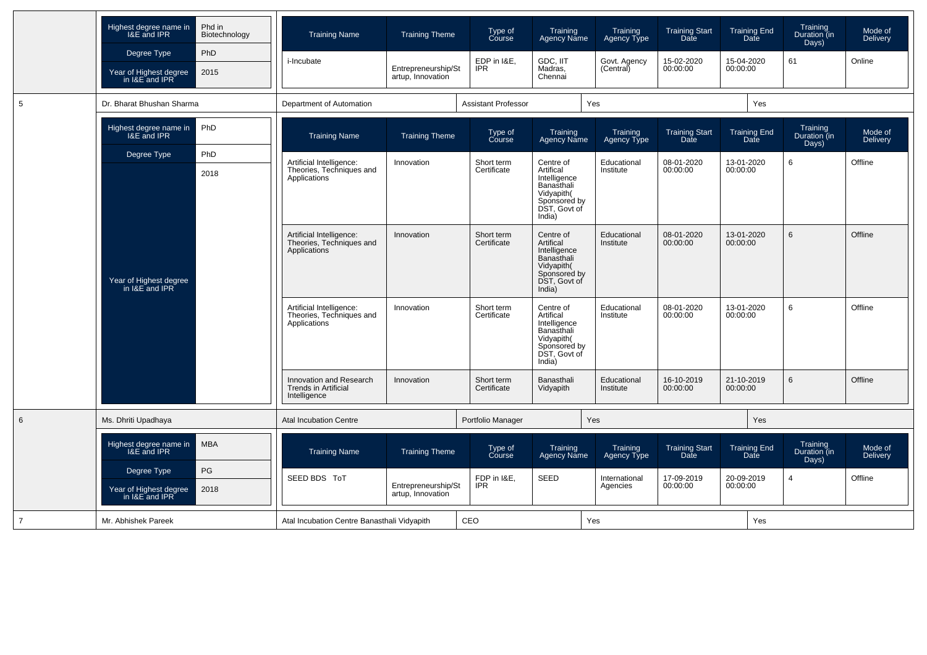|                | Highest degree name in<br>I&E and IPR<br>Degree Type<br>Year of Highest degree | Phd in<br>Biotechnology<br>PhD<br>2015   | <b>Training Name</b><br><i>i</i> -Incubate                             | <b>Training Theme</b><br>Entrepreneurship/St | Type of<br>Course<br>EDP in I&E,<br><b>IPR</b> | Training<br><b>Agency Name</b><br>GDC, IIT<br>Madras,                                                        | Training<br>Agency Type<br>Govt. Agency<br>(Central) | <b>Training Start</b><br>Date<br>15-02-2020<br>00:00:00 | <b>Training End</b><br>Date<br>15-04-2020<br>00:00:00 | Training<br>Duration (in<br>Days)<br>61 | Mode of<br>Delivery<br>Online |
|----------------|--------------------------------------------------------------------------------|------------------------------------------|------------------------------------------------------------------------|----------------------------------------------|------------------------------------------------|--------------------------------------------------------------------------------------------------------------|------------------------------------------------------|---------------------------------------------------------|-------------------------------------------------------|-----------------------------------------|-------------------------------|
|                | in I&E and IPR                                                                 |                                          |                                                                        | artup, Innovation                            |                                                | Chennai                                                                                                      |                                                      |                                                         |                                                       |                                         |                               |
| 5              | Dr. Bharat Bhushan Sharma                                                      |                                          | Department of Automation                                               |                                              | <b>Assistant Professor</b>                     |                                                                                                              | Yes                                                  |                                                         | Yes                                                   |                                         |                               |
|                | Highest degree name in<br><b>I&amp;E</b> and IPR                               | PhD                                      | <b>Training Name</b>                                                   | <b>Training Theme</b>                        | Type of<br>Course                              | Training<br>Agency Name                                                                                      | Training<br>Agency Type                              | <b>Training Start</b><br>Date                           | <b>Training End</b><br>Date                           | Training<br>Duration (in<br>Days)       | Mode of<br>Delivery           |
|                | Degree Type                                                                    | PhD                                      | Artificial Intelligence:                                               | Innovation                                   | Short term                                     | Centre of                                                                                                    | Educational                                          | 08-01-2020                                              | 13-01-2020                                            | 6                                       | Offline                       |
|                | 2018<br>Year of Highest degree<br>in I&E and IPR                               |                                          | Theories, Techniques and<br>Applications                               |                                              | Certificate                                    | Artifical<br>Intelligence<br>Banasthali<br>Vidyapith(<br>Sponsored by<br>DST, Govt of<br>India)              | Institute                                            | 00:00:00                                                | 00:00:00                                              |                                         |                               |
|                |                                                                                |                                          | Artificial Intelligence:<br>Theories, Techniques and<br>Applications   | Innovation                                   | Short term<br>Certificate                      | Centre of<br>Artifical<br>Intelligence<br>Banasthali<br>Vidyapith(<br>Sponsored by<br>DST, Govt of<br>India) | Educational<br>Institute                             | 08-01-2020<br>00:00:00                                  | 13-01-2020<br>00:00:00                                | 6                                       | Offline                       |
|                |                                                                                |                                          | Artificial Intelligence:<br>Theories, Techniques and<br>Applications   | Innovation                                   | Short term<br>Certificate                      | Centre of<br>Artifical<br>Intelligence<br>Banasthali<br>Vidyapith(<br>Sponsored by<br>DST, Govt of<br>India) | Educational<br>Institute                             | 08-01-2020<br>00:00:00                                  | 13-01-2020<br>00:00:00                                | 6                                       | Offline                       |
|                |                                                                                |                                          | Innovation and Research<br><b>Trends in Artificial</b><br>Intelligence | Innovation                                   | Short term<br>Certificate                      | Banasthali<br>Vidyapith                                                                                      | Educational<br>Institute                             | 16-10-2019<br>00:00:00                                  | 21-10-2019<br>00:00:00                                | 6                                       | Offline                       |
| 6              | Ms. Dhriti Upadhaya                                                            |                                          | <b>Atal Incubation Centre</b>                                          |                                              | Portfolio Manager                              |                                                                                                              | Yes                                                  |                                                         | Yes                                                   |                                         |                               |
|                | Highest degree name in<br>I&E and IPR                                          | <b>MBA</b>                               | <b>Training Name</b>                                                   | <b>Training Theme</b>                        | Type of<br>Course                              | Training<br><b>Agency Name</b>                                                                               | Training<br>Agency Type                              | <b>Training Start</b><br><b>Date</b>                    | <b>Training End</b><br>Date                           | Training<br>Duration (in<br>Days)       | Mode of<br><b>Delivery</b>    |
|                | PG<br>Degree Type<br>Year of Highest degree<br>in I&E and IPR<br>2018          | SEED BDS ToT                             |                                                                        | FDP in I&E,<br><b>IPR</b>                    | SEED                                           | International                                                                                                | 17-09-2019                                           | 20-09-2019                                              | 4                                                     | Offline                                 |                               |
|                |                                                                                | Entrepreneurship/St<br>artup, Innovation |                                                                        |                                              |                                                | Agencies                                                                                                     | 00:00:00                                             | 00:00:00                                                |                                                       |                                         |                               |
| $\overline{7}$ | Mr. Abhishek Pareek                                                            |                                          | Atal Incubation Centre Banasthali Vidyapith                            |                                              | CEO                                            |                                                                                                              | Yes                                                  |                                                         | Yes                                                   |                                         |                               |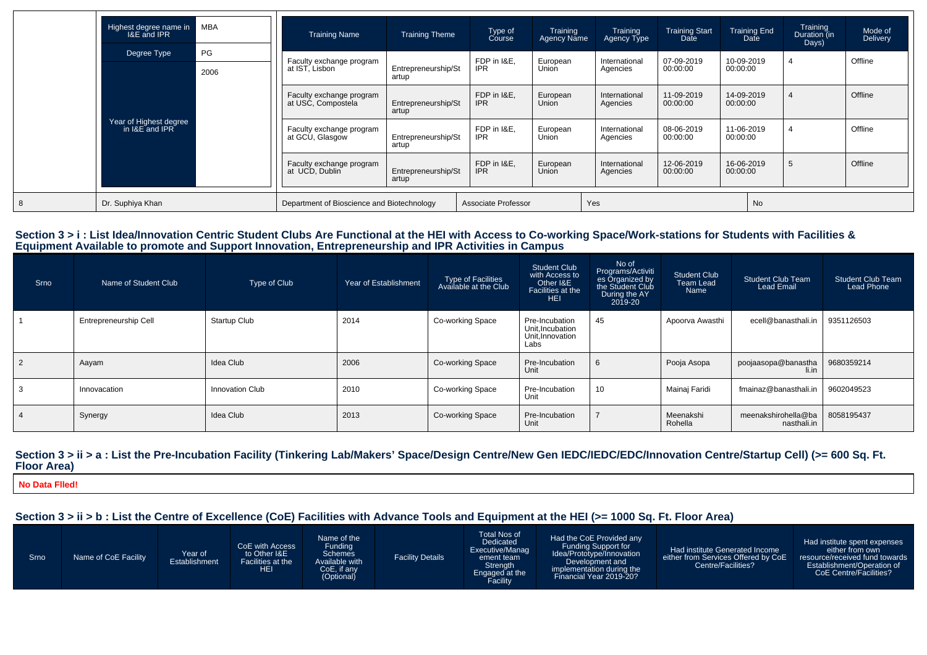|   | Highest degree name in<br><b>I&amp;E</b> and IPR | MBA        | <b>Training Name</b>                           | <b>Training Theme</b>        | Type of<br>Course         | Training<br><b>Agency Name</b> | Training<br>Agency Type   | <b>Training Start</b><br>Date | <b>Training End</b><br>Date | Training<br>Duration (in<br>Days) | Mode of<br><b>Delivery</b> |
|---|--------------------------------------------------|------------|------------------------------------------------|------------------------------|---------------------------|--------------------------------|---------------------------|-------------------------------|-----------------------------|-----------------------------------|----------------------------|
|   | Degree Type                                      | PG<br>2006 | Faculty exchange program<br>at IST, Lisbon     | Entrepreneurship/St<br>artup | FDP in I&E,<br>IPR.       | European<br>Union              | International<br>Agencies | 07-09-2019<br>00:00:00        | 10-09-2019<br>00:00:00      | 4                                 | Offline                    |
|   | Year of Highest degree<br>in I&E and IPR         |            | Faculty exchange program<br>at USC, Compostela | Entrepreneurship/St<br>artup | FDP in I&E.<br><b>IPR</b> | European<br>Union              | International<br>Agencies | 11-09-2019<br>00:00:00        | 14-09-2019<br>00:00:00      |                                   | Offline                    |
|   |                                                  |            | Faculty exchange program<br>at GCU, Glasgow    | Entrepreneurship/St<br>artup | FDP in I&E.<br><b>IPR</b> | European<br>Union              | International<br>Agencies | 08-06-2019<br>00:00:00        | 11-06-2019<br>00:00:00      |                                   | Offline                    |
|   |                                                  |            | Faculty exchange program<br>at UCD. Dublin     | Entrepreneurship/St<br>artup | FDP in I&E.<br><b>IPR</b> | European<br>Union              | International<br>Agencies | 12-06-2019<br>00:00:00        | 16-06-2019<br>00:00:00      | -5                                | Offline                    |
| 8 | Dr. Suphiya Khan                                 |            | Department of Bioscience and Biotechnology     | Associate Professor          |                           | Yes                            |                           | No                            |                             |                                   |                            |

# Section 3 > i : List Idea/Innovation Centric Student Clubs Are Functional at the HEI with Access to Co-working Space/Work-stations for Students with Facilities &<br>Equipment Available to promote and Support Innovation, Entre

| Srno | Name of Student Club  | Type of Club           | Year of Establishment | Type of Facilities<br>Available at the Club | <b>Student Club</b><br>with Access to<br>Other I&E<br>Facilities at the<br><b>HEI</b> | No of<br>Programs/Activiti<br>es Organized by<br>During the AY<br>2019-20 | Student Club<br>Team Lead<br>Name | <b>Student Club Team</b><br><b>Lead Email</b> | <b>Student Club Team</b><br>Lead Phone |
|------|-----------------------|------------------------|-----------------------|---------------------------------------------|---------------------------------------------------------------------------------------|---------------------------------------------------------------------------|-----------------------------------|-----------------------------------------------|----------------------------------------|
|      | Entrepreneurship Cell | <b>Startup Club</b>    | 2014                  | Co-working Space                            | Pre-Incubation<br>Unit, Incubation<br>Unit, Innovation<br>Labs                        | 45                                                                        | Apoorva Awasthi                   | ecell@banasthali.in                           | 9351126503                             |
| 2    | Aayam                 | Idea Club              | 2006                  | Co-working Space                            | Pre-Incubation<br>Unit                                                                | 6                                                                         | Pooja Asopa                       | poojaasopa@banastha<br>li.in                  | 9680359214                             |
| 3    | Innovacation          | <b>Innovation Club</b> | 2010                  | Co-working Space                            | Pre-Incubation<br>Unit                                                                | 10                                                                        | Mainaj Faridi                     | fmainaz@banasthali.in                         | 9602049523                             |
|      | Synergy               | Idea Club              | 2013                  | Co-working Space                            | Pre-Incubation<br>Unit                                                                |                                                                           | Meenakshi<br>Rohella              | meenakshirohella@ba<br>nasthali.in            | 8058195437                             |

#### Section 3 > ii > a : List the Pre-Incubation Facility (Tinkering Lab/Makers' Space/Design Centre/New Gen IEDC/IEDC/EDC/Innovation Centre/Startup Cell) (>= 600 Sq. Ft. **Floor Area)**

**No Data Flled!**

#### **Section 3 > ii > b : List the Centre of Excellence (CoE) Facilities with Advance Tools and Equipment at the HEI (>= 1000 Sq. Ft. Floor Area)**

| Srno | Name of CoE Facility | Year of<br>Establishment | CoE with Access<br>to Other I&E<br>Facilities at the<br>HEI | Name of the<br>Funding<br><b>Schemes</b><br>Available with<br>CoE, if any<br>(Optional) | <b>Facility Details</b> | Total Nos of<br>Dedicated<br>Executive/Manag<br>ement team<br>Strength<br>Engaged at the<br>Facility | Had the CoE Provided any<br>Funding Support for<br>Idea/Prototype/Innovation<br>Development and<br>implementation during the<br>Financial Year 2019-20? | Had institute Generated Income<br>either from Services Offered by CoE<br>Centre/Facilities? | Had institute spent expenses<br>either from own<br>resource/received fund towards<br>Establishment/Operation of<br>CoE Centre/Facilities? |
|------|----------------------|--------------------------|-------------------------------------------------------------|-----------------------------------------------------------------------------------------|-------------------------|------------------------------------------------------------------------------------------------------|---------------------------------------------------------------------------------------------------------------------------------------------------------|---------------------------------------------------------------------------------------------|-------------------------------------------------------------------------------------------------------------------------------------------|
|------|----------------------|--------------------------|-------------------------------------------------------------|-----------------------------------------------------------------------------------------|-------------------------|------------------------------------------------------------------------------------------------------|---------------------------------------------------------------------------------------------------------------------------------------------------------|---------------------------------------------------------------------------------------------|-------------------------------------------------------------------------------------------------------------------------------------------|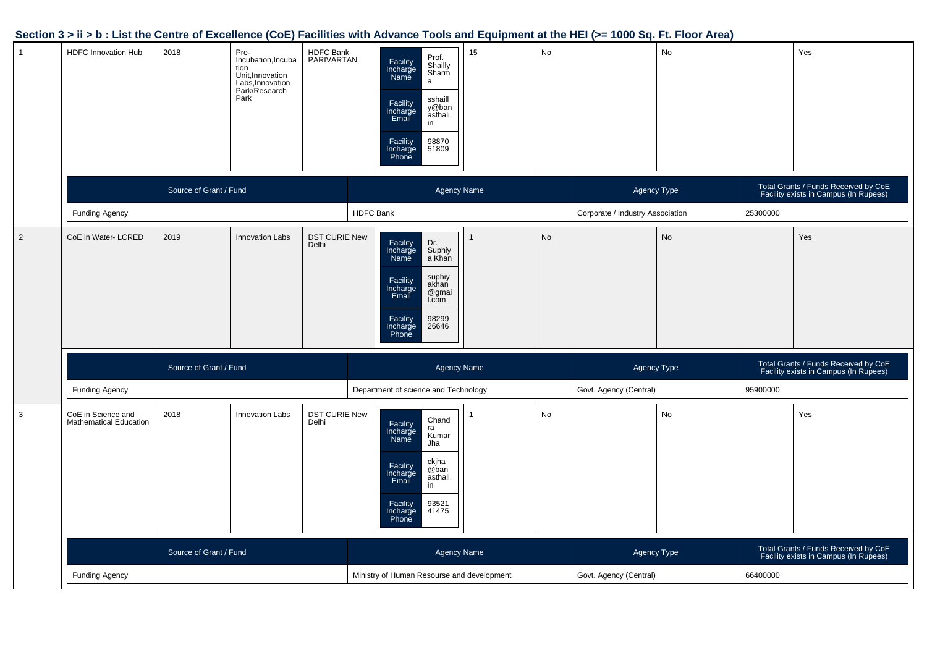#### **Section 3 > ii > b : List the Centre of Excellence (CoE) Facilities with Advance Tools and Equipment at the HEI (>= 1000 Sq. Ft. Floor Area)**

| $\mathbf{1}$   | <b>HDFC Innovation Hub</b>                          | 2018                   | Pre-<br>Incubation, Incuba<br>tion<br>Unit, Innovation<br>Labs, Innovation<br>Park/Research<br>Park | <b>HDFC Bank</b><br>PARIVARTAN | Prof.<br>Facility<br>Shailly<br>Sharm<br>Incharge<br>a<br>sshaill<br>Facility<br>Incharge<br>Email<br>y@ban<br>asthali.<br>in<br>98870<br>51809<br>Facility<br>Incharge<br>Phone   | 15 <sup>15</sup>       | No |                                  | No                                                                            |          | Yes                                                                           |
|----------------|-----------------------------------------------------|------------------------|-----------------------------------------------------------------------------------------------------|--------------------------------|------------------------------------------------------------------------------------------------------------------------------------------------------------------------------------|------------------------|----|----------------------------------|-------------------------------------------------------------------------------|----------|-------------------------------------------------------------------------------|
|                |                                                     | Source of Grant / Fund |                                                                                                     |                                | Agency Name                                                                                                                                                                        |                        |    | Agency Type                      |                                                                               |          | Total Grants / Funds Received by CoE<br>Facility exists in Campus (In Rupees) |
|                | <b>Funding Agency</b>                               |                        |                                                                                                     |                                | <b>HDFC Bank</b>                                                                                                                                                                   |                        |    | Corporate / Industry Association |                                                                               | 25300000 |                                                                               |
| $\overline{2}$ | CoE in Water- LCRED                                 | 2019                   | <b>Innovation Labs</b>                                                                              | <b>DST CURIE New</b><br>Delhi  | Facility<br>Incharge<br>Dr.<br>Suphiy<br>a Khan<br>Name<br>suphiy<br>akhan<br>Facility<br>Incharge<br>@gmai<br>Email<br>I.com<br>98299<br>Facility<br>Incharge<br>Phone<br>26646   |                        | No |                                  | No                                                                            |          | Yes                                                                           |
|                |                                                     | Source of Grant / Fund |                                                                                                     |                                | Agency Name                                                                                                                                                                        |                        |    | Agency Type                      |                                                                               |          | Total Grants / Funds Received by CoE<br>Facility exists in Campus (In Rupees) |
|                | <b>Funding Agency</b>                               |                        |                                                                                                     |                                | Department of science and Technology                                                                                                                                               |                        |    | Govt. Agency (Central)           |                                                                               | 95900000 |                                                                               |
| 3              | CoE in Science and<br><b>Mathematical Education</b> | 2018                   | <b>Innovation Labs</b>                                                                              | DST CURIE New<br>Delhi         | Chand<br>Facility<br>ra<br>Incharge<br>Name<br>Kumar<br>Jha<br>ckjha<br>@ban<br>Facility<br>Incharge<br>Email<br>asthali.<br>in<br>Facility<br>93521<br>41475<br>Incharge<br>Phone |                        | No |                                  | No                                                                            |          | Yes                                                                           |
|                |                                                     | Source of Grant / Fund |                                                                                                     |                                | Agency Name                                                                                                                                                                        | Agency Type            |    |                                  | Total Grants / Funds Received by CoE<br>Facility exists in Campus (In Rupees) |          |                                                                               |
|                | <b>Funding Agency</b>                               |                        |                                                                                                     |                                | Ministry of Human Resourse and development                                                                                                                                         | Govt. Agency (Central) |    | 66400000                         |                                                                               |          |                                                                               |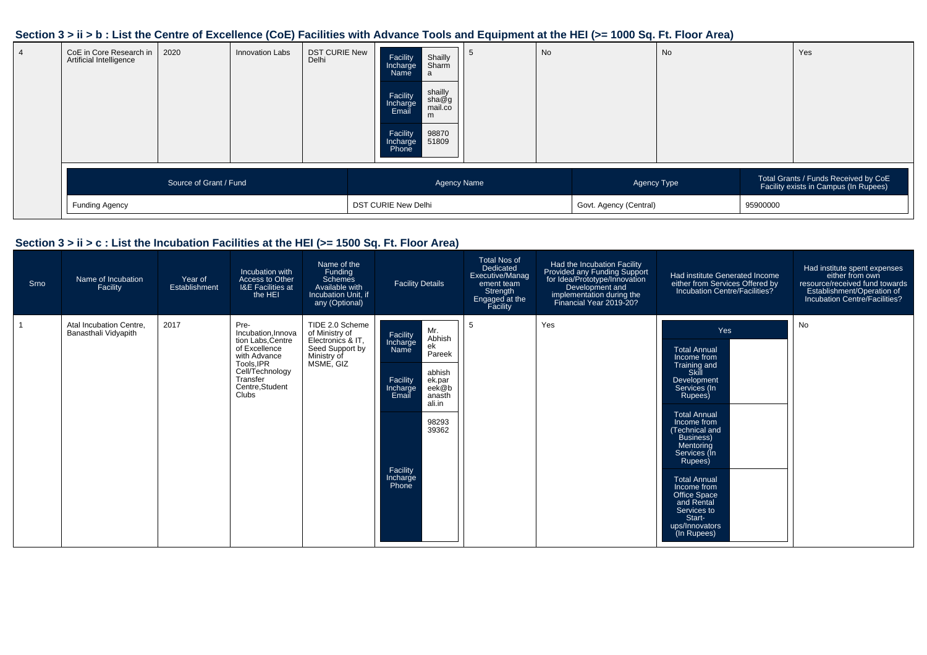#### **Section 3 > ii > b : List the Centre of Excellence (CoE) Facilities with Advance Tools and Equipment at the HEI (>= 1000 Sq. Ft. Floor Area)**

| CoE in Core Research in<br>Artificial Intelligence | 2020                   | Innovation Labs | <b>DST CURIE New</b><br>Delhi | Facility<br>Incharge<br>Name<br>Facility<br>Incharge<br>Email<br>Facility<br>Incharge<br>Phone | Shailly<br>Sharm<br>l a<br>shailly<br>sha@g<br>mail.co<br>m<br>98870<br>51809 | <b>No</b> |                        | No |          | Yes                                                                           |
|----------------------------------------------------|------------------------|-----------------|-------------------------------|------------------------------------------------------------------------------------------------|-------------------------------------------------------------------------------|-----------|------------------------|----|----------|-------------------------------------------------------------------------------|
|                                                    | Source of Grant / Fund |                 |                               |                                                                                                | <b>Agency Name</b>                                                            |           | Agency Type            |    |          | Total Grants / Funds Received by CoE<br>Facility exists in Campus (In Rupees) |
| Funding Agency                                     |                        |                 |                               | <b>DST CURIE New Delhi</b>                                                                     |                                                                               |           | Govt. Agency (Central) |    | 95900000 |                                                                               |

#### **Section 3 > ii > c : List the Incubation Facilities at the HEI (>= 1500 Sq. Ft. Floor Area)**

| Srno | Name of Incubation<br>Facility                  | Year of<br>Establishment | Incubation with<br>Access to Other<br><b>I&amp;E Facilities at</b><br>the HEI                                                                         | Name of the<br>Funding<br>Schemes<br>Available with<br>Incubation Unit. if<br>any (Optional)          | <b>Facility Details</b>                                                                                                                                                                            | <b>Total Nos of</b><br>Dedicated<br>Executive/Manag<br>ement team<br>Strength<br>Engaged at the<br>Facility | Had the Incubation Facility<br>Provided any Funding Support<br>for Idea/Prototype/Innovation<br>Development and<br>implementation during the<br>Financial Year 2019-20? | Had institute Generated Income<br>either from Services Offered by<br>Incubation Centre/Facilities?                                                                                                                                                                                                                                                     | Had institute spent expenses<br>either from own<br>resource/received fund towards<br>Establishment/Operation of<br>Incubation Centre/Facilities? |
|------|-------------------------------------------------|--------------------------|-------------------------------------------------------------------------------------------------------------------------------------------------------|-------------------------------------------------------------------------------------------------------|----------------------------------------------------------------------------------------------------------------------------------------------------------------------------------------------------|-------------------------------------------------------------------------------------------------------------|-------------------------------------------------------------------------------------------------------------------------------------------------------------------------|--------------------------------------------------------------------------------------------------------------------------------------------------------------------------------------------------------------------------------------------------------------------------------------------------------------------------------------------------------|--------------------------------------------------------------------------------------------------------------------------------------------------|
|      | Atal Incubation Centre.<br>Banasthali Vidyapith | 2017                     | Pre-<br>Incubation.Innova<br>tion Labs.Centre<br>of Excellence<br>with Advance<br>Tools.IPR<br>Cell/Technology<br>Transfer<br>Centre.Student<br>Clubs | TIDE 2.0 Scheme<br>of Ministry of<br>Electronics & IT.<br>Seed Support by<br>Ministry of<br>MSME, GIZ | Mr.<br>Facility<br>Incharge<br>Abhish<br>ek<br>Pareek<br>Name<br>abhish<br>Facility<br>ek.par<br>eek@b<br>Incharge<br>Email<br>anasth<br>ali.in<br>98293<br>39362<br>Facility<br>Incharge<br>Phone | 5                                                                                                           | Yes                                                                                                                                                                     | Yes<br><b>Total Annual</b><br>Income from<br>Training and<br>Skill<br>Development<br>Services (In<br>Rupees)<br><b>Total Annual</b><br>Income from<br>Technical and<br>Business)<br>Mentorina<br>Services (In<br>Rupees)<br><b>Total Annual</b><br>Income from<br>Office Space<br>and Rental<br>Services to<br>Start-<br>ups/Innovators<br>(In Rupees) | No                                                                                                                                               |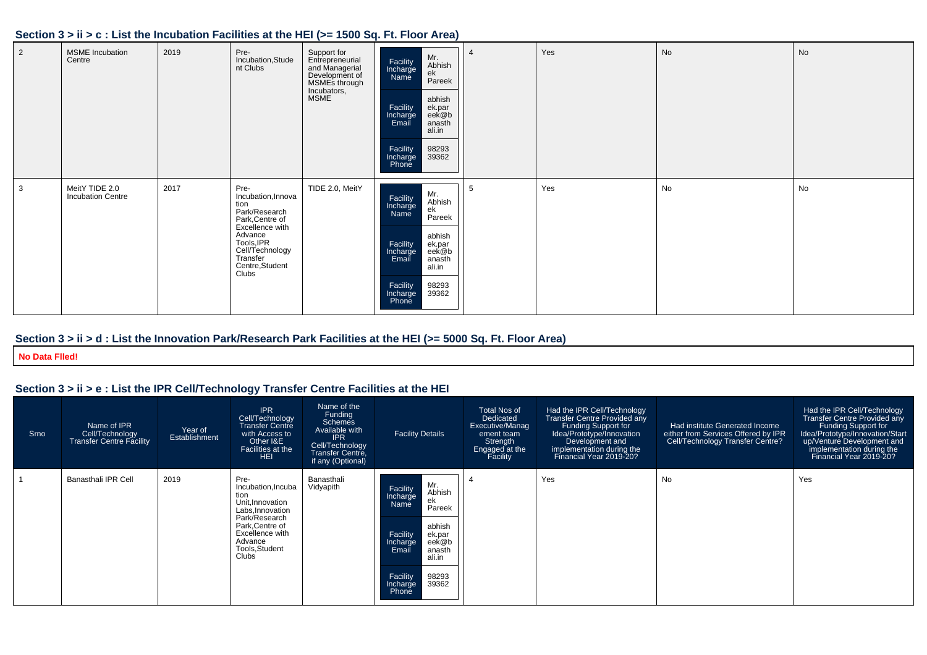#### **Section 3 > ii > c : List the Incubation Facilities at the HEI (>= 1500 Sq. Ft. Floor Area)**

| $\overline{2}$ | <b>MSME</b> Incubation<br>Centre           | 2019 | Pre-<br>Incubation, Stude<br>nt Clubs                                                                                                                                         | Support for<br>Entrepreneurial<br>and Managerial<br>Development of<br>MSMEs through<br>Incubators,<br>MSME | Mr.<br>Abhish<br>Facility<br>Incharge<br>Name<br>ek<br>Pareek<br>abhish<br>Facility<br>Incharge<br>ek.par<br>eek@b<br>Email<br>anasth<br>ali.in<br>Facility<br>Incharge<br>Phone<br>98293<br>39362 | $\overline{a}$ | Yes | No | <b>No</b> |
|----------------|--------------------------------------------|------|-------------------------------------------------------------------------------------------------------------------------------------------------------------------------------|------------------------------------------------------------------------------------------------------------|----------------------------------------------------------------------------------------------------------------------------------------------------------------------------------------------------|----------------|-----|----|-----------|
| 3              | MeitY TIDE 2.0<br><b>Incubation Centre</b> | 2017 | Pre-<br>Incubation, Innova<br>tion<br>Park/Research<br>Park, Centre of<br>Excellence with<br>Advance<br>Tools, IPR<br>Cell/Technology<br>Transfer<br>Centre, Student<br>Clubs | TIDE 2.0, MeitY                                                                                            | Mr.<br>Abhish<br>Facility<br>Incharge<br>Name<br>ek<br>Pareek<br>abhish<br>Facility<br>Incharge<br>Email<br>ek.par<br>eek@b<br>anasth<br>ali.in<br>Facility<br>Incharge<br>98293<br>39362<br>Phone | 5              | Yes | No | No        |

#### **Section 3 > ii > d : List the Innovation Park/Research Park Facilities at the HEI (>= 5000 Sq. Ft. Floor Area)**

#### **No Data Flled!**

#### **Section 3 > ii > e : List the IPR Cell/Technology Transfer Centre Facilities at the HEI**

| Srno | Name of IPR<br>Cell/Technology<br><b>Transfer Centre Facility</b> | Year of<br>Establishment | <b>IPR</b><br>Cell/Technology<br><b>Transfer Centre</b><br>with Access to<br>Other I&E<br>Facilities at the<br>HEI                                                     | Name of the<br>Funding<br><b>Schemes</b><br>Available with<br><b>IPR</b><br>Cell/Technology<br>Transfer Centre.<br>if any (Optional) | <b>Facility Details</b>                                                                                                                                                                            | <b>Total Nos of</b><br>Dedicated<br>Executive/Manag<br>ement team<br>Strength<br>Engaged at the<br>Facility | Had the IPR Cell/Technology<br>Transfer Centre Provided any<br><b>Funding Support for</b><br>Idea/Prototype/Innovation<br>Development and<br>implementation during the<br>Financial Year 2019-20? | Had institute Generated Income<br>either from Services Offered by IPR<br>Cell/Technology Transfer Centre? | Had the IPR Cell/Technology<br><b>Transfer Centre Provided any</b><br>Funding Support for<br>Idea/Prototype/Innovation/Start<br>up/Venture Development and<br>implementation during the<br>Financial Year 2019-20? |
|------|-------------------------------------------------------------------|--------------------------|------------------------------------------------------------------------------------------------------------------------------------------------------------------------|--------------------------------------------------------------------------------------------------------------------------------------|----------------------------------------------------------------------------------------------------------------------------------------------------------------------------------------------------|-------------------------------------------------------------------------------------------------------------|---------------------------------------------------------------------------------------------------------------------------------------------------------------------------------------------------|-----------------------------------------------------------------------------------------------------------|--------------------------------------------------------------------------------------------------------------------------------------------------------------------------------------------------------------------|
|      | <b>Banasthali IPR Cell</b>                                        | 2019                     | Pre-<br>Incubation, Incuba<br>tion<br>Unit, Innovation<br>Labs, Innovation<br>Park/Research<br>Park.Centre of<br>Excellence with<br>Advance<br>Tools, Student<br>Clubs | Banasthali<br>Vidyapith                                                                                                              | Mr.<br>Facility<br>Abhish<br>Incharge<br>ek<br>Name<br>Pareek<br>abhish<br>Facility<br>ek.par<br>eek@b<br>Incharge<br>Email<br>anasth<br>ali.in<br>98293<br>Facility<br>39362<br>Incharge<br>Phone |                                                                                                             | Yes                                                                                                                                                                                               | No                                                                                                        | Yes                                                                                                                                                                                                                |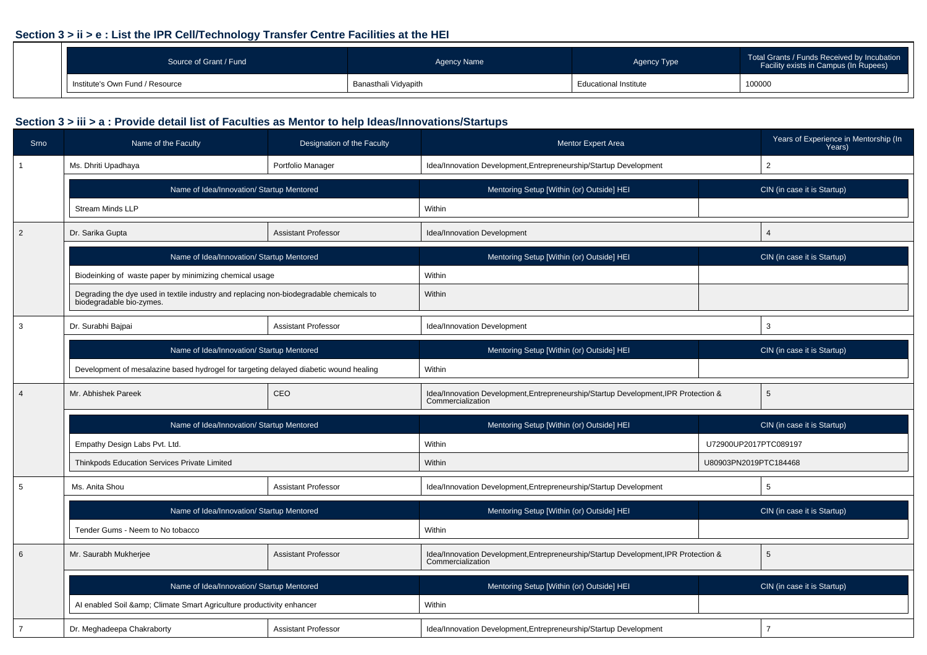#### **Section 3 > ii > e : List the IPR Cell/Technology Transfer Centre Facilities at the HEI**

| Source of Grant / Fund          | Agency Name          | Agency Type                  | Total Grants / Funds Received by Incubation<br>Facility exists in Campus (In Rupees) |
|---------------------------------|----------------------|------------------------------|--------------------------------------------------------------------------------------|
| Institute's Own Fund / Resource | Banasthali Vidyapith | <b>Educational Institute</b> | 100000                                                                               |

| <b>Srno</b>    | Designation of the Faculty<br>Name of the Faculty                                                                   |                                                                                        | Mentor Expert Area                                                                                       |                             | Years of Experience in Mentorship (In<br>Years) |  |  |
|----------------|---------------------------------------------------------------------------------------------------------------------|----------------------------------------------------------------------------------------|----------------------------------------------------------------------------------------------------------|-----------------------------|-------------------------------------------------|--|--|
|                | Ms. Dhriti Upadhaya                                                                                                 | Portfolio Manager                                                                      | Idea/Innovation Development, Entrepreneurship/Startup Development                                        |                             | $\overline{2}$                                  |  |  |
|                | Name of Idea/Innovation/ Startup Mentored                                                                           |                                                                                        | Mentoring Setup [Within (or) Outside] HEI                                                                |                             | CIN (in case it is Startup)                     |  |  |
|                | <b>Stream Minds LLP</b>                                                                                             |                                                                                        | Within                                                                                                   |                             |                                                 |  |  |
| $\overline{2}$ | Dr. Sarika Gupta                                                                                                    | <b>Assistant Professor</b>                                                             | Idea/Innovation Development                                                                              |                             | $\overline{4}$                                  |  |  |
|                | Name of Idea/Innovation/ Startup Mentored                                                                           |                                                                                        | Mentoring Setup [Within (or) Outside] HEI                                                                | CIN (in case it is Startup) |                                                 |  |  |
|                | Biodeinking of waste paper by minimizing chemical usage                                                             |                                                                                        | Within                                                                                                   |                             |                                                 |  |  |
|                | Degrading the dye used in textile industry and replacing non-biodegradable chemicals to<br>biodegradable bio-zymes. |                                                                                        | Within                                                                                                   |                             |                                                 |  |  |
| 3              | Dr. Surabhi Bajpai                                                                                                  | <b>Assistant Professor</b>                                                             | Idea/Innovation Development                                                                              |                             | 3                                               |  |  |
|                | Name of Idea/Innovation/ Startup Mentored                                                                           |                                                                                        | Mentoring Setup [Within (or) Outside] HEI                                                                |                             | CIN (in case it is Startup)                     |  |  |
|                | Development of mesalazine based hydrogel for targeting delayed diabetic wound healing                               |                                                                                        | Within                                                                                                   |                             |                                                 |  |  |
| $\overline{4}$ | Mr. Abhishek Pareek                                                                                                 | CEO                                                                                    | Idea/Innovation Development, Entrepreneurship/Startup Development, IPR Protection &<br>Commercialization |                             | 5                                               |  |  |
|                | Name of Idea/Innovation/ Startup Mentored                                                                           |                                                                                        | Mentoring Setup [Within (or) Outside] HEI                                                                |                             | CIN (in case it is Startup)                     |  |  |
|                | Empathy Design Labs Pvt. Ltd.                                                                                       |                                                                                        | Within                                                                                                   | U72900UP2017PTC089197       |                                                 |  |  |
|                | Thinkpods Education Services Private Limited                                                                        |                                                                                        | Within                                                                                                   | U80903PN2019PTC184468       |                                                 |  |  |
| 5              | Ms. Anita Shou                                                                                                      | <b>Assistant Professor</b>                                                             | Idea/Innovation Development, Entrepreneurship/Startup Development                                        |                             | 5                                               |  |  |
|                | Name of Idea/Innovation/ Startup Mentored                                                                           |                                                                                        | Mentoring Setup [Within (or) Outside] HEI                                                                |                             | CIN (in case it is Startup)                     |  |  |
|                | Tender Gums - Neem to No tobacco                                                                                    |                                                                                        | Within                                                                                                   |                             |                                                 |  |  |
| 6              | Mr. Saurabh Mukherjee<br><b>Assistant Professor</b>                                                                 |                                                                                        | Idea/Innovation Development, Entrepreneurship/Startup Development, IPR Protection &<br>Commercialization |                             | 5                                               |  |  |
|                |                                                                                                                     | Name of Idea/Innovation/ Startup Mentored<br>Mentoring Setup [Within (or) Outside] HEI |                                                                                                          |                             | CIN (in case it is Startup)                     |  |  |
|                | Al enabled Soil & amp; Climate Smart Agriculture productivity enhancer                                              |                                                                                        | Within                                                                                                   |                             |                                                 |  |  |
| $\overline{7}$ | Dr. Meghadeepa Chakraborty                                                                                          | <b>Assistant Professor</b>                                                             | Idea/Innovation Development, Entrepreneurship/Startup Development                                        |                             | $\overline{7}$                                  |  |  |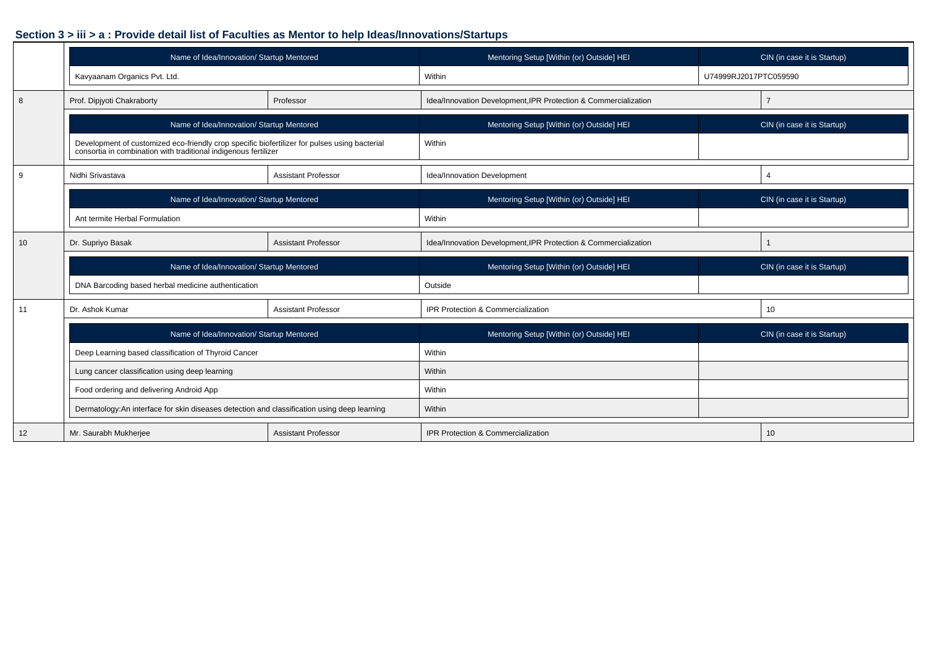|    | Name of Idea/Innovation/ Startup Mentored                                                                                                                     |                            | Mentoring Setup [Within (or) Outside] HEI                       |                       | CIN (in case it is Startup) |
|----|---------------------------------------------------------------------------------------------------------------------------------------------------------------|----------------------------|-----------------------------------------------------------------|-----------------------|-----------------------------|
|    | Kavyaanam Organics Pvt. Ltd.                                                                                                                                  |                            | Within                                                          | U74999RJ2017PTC059590 |                             |
| 8  | Prof. Dipjyoti Chakraborty                                                                                                                                    | Professor                  | Idea/Innovation Development, IPR Protection & Commercialization |                       | $\overline{7}$              |
|    | Name of Idea/Innovation/ Startup Mentored                                                                                                                     |                            | Mentoring Setup [Within (or) Outside] HEI                       |                       | CIN (in case it is Startup) |
|    | Development of customized eco-friendly crop specific biofertilizer for pulses using bacterial consortia in combination with traditional indigenous fertilizer |                            | Within                                                          |                       |                             |
| 9  | Nidhi Srivastava                                                                                                                                              | <b>Assistant Professor</b> | Idea/Innovation Development                                     |                       | 4                           |
|    | Name of Idea/Innovation/ Startup Mentored                                                                                                                     |                            | Mentoring Setup [Within (or) Outside] HEI                       |                       | CIN (in case it is Startup) |
|    | Ant termite Herbal Formulation                                                                                                                                |                            | Within                                                          |                       |                             |
| 10 | Dr. Supriyo Basak                                                                                                                                             | <b>Assistant Professor</b> | Idea/Innovation Development, IPR Protection & Commercialization |                       |                             |
|    | Name of Idea/Innovation/ Startup Mentored                                                                                                                     |                            | Mentoring Setup [Within (or) Outside] HEI                       |                       | CIN (in case it is Startup) |
|    | DNA Barcoding based herbal medicine authentication                                                                                                            |                            | Outside                                                         |                       |                             |
| 11 | Dr. Ashok Kumar                                                                                                                                               | <b>Assistant Professor</b> | IPR Protection & Commercialization                              |                       | 10                          |
|    | Name of Idea/Innovation/ Startup Mentored                                                                                                                     |                            | Mentoring Setup [Within (or) Outside] HEI                       |                       | CIN (in case it is Startup) |
|    | Deep Learning based classification of Thyroid Cancer                                                                                                          |                            | Within                                                          |                       |                             |
|    | Lung cancer classification using deep learning                                                                                                                |                            | Within                                                          |                       |                             |
|    | Food ordering and delivering Android App                                                                                                                      |                            | Within                                                          |                       |                             |
|    | Dermatology:An interface for skin diseases detection and classification using deep learning                                                                   |                            | Within                                                          |                       |                             |
| 12 | Mr. Saurabh Mukherjee                                                                                                                                         | <b>Assistant Professor</b> | IPR Protection & Commercialization                              |                       | 10                          |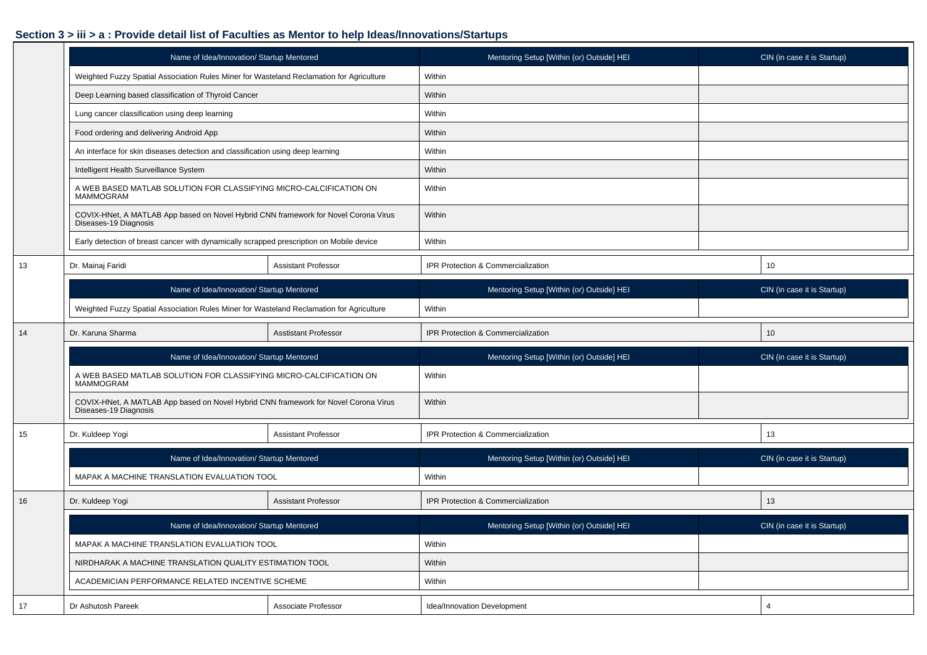|    | Name of Idea/Innovation/ Startup Mentored                                                                    |                             | Mentoring Setup [Within (or) Outside] HEI | CIN (in case it is Startup) |                             |  |
|----|--------------------------------------------------------------------------------------------------------------|-----------------------------|-------------------------------------------|-----------------------------|-----------------------------|--|
|    | Weighted Fuzzy Spatial Association Rules Miner for Wasteland Reclamation for Agriculture                     |                             | Within                                    |                             |                             |  |
|    | Deep Learning based classification of Thyroid Cancer                                                         |                             | Within                                    |                             |                             |  |
|    | Lung cancer classification using deep learning                                                               |                             | Within                                    |                             |                             |  |
|    | Food ordering and delivering Android App                                                                     |                             | Within                                    |                             |                             |  |
|    | An interface for skin diseases detection and classification using deep learning                              |                             | Within                                    |                             |                             |  |
|    | Intelligent Health Surveillance System                                                                       |                             | Within                                    |                             |                             |  |
|    | A WEB BASED MATLAB SOLUTION FOR CLASSIFYING MICRO-CALCIFICATION ON<br>MAMMOGRAM                              |                             | Within                                    |                             |                             |  |
|    | COVIX-HNet, A MATLAB App based on Novel Hybrid CNN framework for Novel Corona Virus<br>Diseases-19 Diagnosis |                             | Within                                    |                             |                             |  |
|    | Early detection of breast cancer with dynamically scrapped prescription on Mobile device                     |                             | Within                                    |                             |                             |  |
| 13 | Dr. Mainaj Faridi                                                                                            | <b>Assistant Professor</b>  | IPR Protection & Commercialization        | 10                          |                             |  |
|    | Name of Idea/Innovation/ Startup Mentored                                                                    |                             | Mentoring Setup [Within (or) Outside] HEI |                             | CIN (in case it is Startup) |  |
|    | Weighted Fuzzy Spatial Association Rules Miner for Wasteland Reclamation for Agriculture                     |                             | Within                                    |                             |                             |  |
| 14 | Dr. Karuna Sharma                                                                                            | <b>Asstistant Professor</b> | IPR Protection & Commercialization        |                             | 10                          |  |
|    | Name of Idea/Innovation/ Startup Mentored                                                                    |                             | Mentoring Setup [Within (or) Outside] HEI |                             | CIN (in case it is Startup) |  |
|    | A WEB BASED MATLAB SOLUTION FOR CLASSIFYING MICRO-CALCIFICATION ON<br><b>MAMMOGRAM</b>                       |                             | Within                                    |                             |                             |  |
|    | COVIX-HNet, A MATLAB App based on Novel Hybrid CNN framework for Novel Corona Virus<br>Diseases-19 Diagnosis |                             | Within                                    |                             |                             |  |
| 15 | Dr. Kuldeep Yogi                                                                                             | Assistant Professor         | IPR Protection & Commercialization        |                             | 13                          |  |
|    | Name of Idea/Innovation/ Startup Mentored                                                                    |                             | Mentoring Setup [Within (or) Outside] HEI |                             | CIN (in case it is Startup) |  |
|    | MAPAK A MACHINE TRANSLATION EVALUATION TOOL                                                                  |                             | Within                                    |                             |                             |  |
| 16 | Dr. Kuldeep Yogi                                                                                             | <b>Assistant Professor</b>  | IPR Protection & Commercialization        |                             | 13                          |  |
|    | Name of Idea/Innovation/ Startup Mentored                                                                    |                             | Mentoring Setup [Within (or) Outside] HEI |                             | CIN (in case it is Startup) |  |
|    | MAPAK A MACHINE TRANSLATION EVALUATION TOOL                                                                  |                             | Within                                    |                             |                             |  |
|    | NIRDHARAK A MACHINE TRANSLATION QUALITY ESTIMATION TOOL                                                      |                             | Within                                    |                             |                             |  |
|    | ACADEMICIAN PERFORMANCE RELATED INCENTIVE SCHEME                                                             |                             | Within                                    |                             |                             |  |
| 17 | Dr Ashutosh Pareek                                                                                           | Associate Professor         | Idea/Innovation Development               |                             | 4                           |  |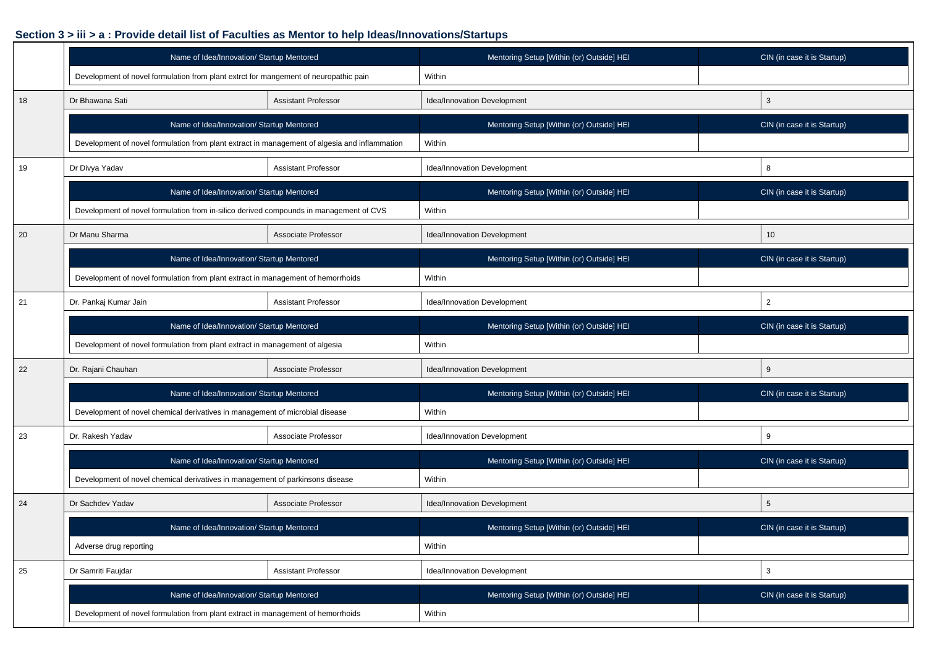|    | Name of Idea/Innovation/ Startup Mentored                                                     |                            | Mentoring Setup [Within (or) Outside] HEI | CIN (in case it is Startup) |
|----|-----------------------------------------------------------------------------------------------|----------------------------|-------------------------------------------|-----------------------------|
|    | Development of novel formulation from plant extrct for mangement of neuropathic pain          |                            | Within                                    |                             |
| 18 | Dr Bhawana Sati                                                                               | <b>Assistant Professor</b> | Idea/Innovation Development               | 3                           |
|    | Name of Idea/Innovation/ Startup Mentored                                                     |                            | Mentoring Setup [Within (or) Outside] HEI | CIN (in case it is Startup) |
|    | Development of novel formulation from plant extract in management of algesia and inflammation |                            | Within                                    |                             |
| 19 | Dr Divya Yadav                                                                                | <b>Assistant Professor</b> | Idea/Innovation Development               | 8                           |
|    | Name of Idea/Innovation/ Startup Mentored                                                     |                            | Mentoring Setup [Within (or) Outside] HEI | CIN (in case it is Startup) |
|    | Development of novel formulation from in-silico derived compounds in management of CVS        |                            | Within                                    |                             |
| 20 | Dr Manu Sharma<br>Associate Professor                                                         |                            | Idea/Innovation Development               | 10                          |
|    | Name of Idea/Innovation/ Startup Mentored                                                     |                            | Mentoring Setup [Within (or) Outside] HEI | CIN (in case it is Startup) |
|    | Development of novel formulation from plant extract in management of hemorrhoids              |                            | Within                                    |                             |
| 21 | Dr. Pankaj Kumar Jain<br><b>Assistant Professor</b>                                           |                            | Idea/Innovation Development               | $\overline{2}$              |
|    | Name of Idea/Innovation/ Startup Mentored                                                     |                            | Mentoring Setup [Within (or) Outside] HEI | CIN (in case it is Startup) |
|    | Development of novel formulation from plant extract in management of algesia                  |                            | Within                                    |                             |
| 22 | Dr. Rajani Chauhan                                                                            | Associate Professor        | Idea/Innovation Development               | 9                           |
|    | Name of Idea/Innovation/ Startup Mentored                                                     |                            | Mentoring Setup [Within (or) Outside] HEI | CIN (in case it is Startup) |
|    | Development of novel chemical derivatives in management of microbial disease                  |                            | Within                                    |                             |
| 23 | Dr. Rakesh Yadav                                                                              | Associate Professor        | Idea/Innovation Development               | 9                           |
|    | Name of Idea/Innovation/ Startup Mentored                                                     |                            | Mentoring Setup [Within (or) Outside] HEI | CIN (in case it is Startup) |
|    | Development of novel chemical derivatives in management of parkinsons disease                 |                            | Within                                    |                             |
| 24 | Dr Sachdev Yadav                                                                              | Associate Professor        | Idea/Innovation Development               | 5                           |
|    | Name of Idea/Innovation/ Startup Mentored                                                     |                            | Mentoring Setup [Within (or) Outside] HEI | CIN (in case it is Startup) |
|    | Adverse drug reporting                                                                        |                            | Within                                    |                             |
| 25 | Dr Samriti Faujdar                                                                            | <b>Assistant Professor</b> | Idea/Innovation Development               | 3                           |
|    | Name of Idea/Innovation/ Startup Mentored                                                     |                            | Mentoring Setup [Within (or) Outside] HEI | CIN (in case it is Startup) |
|    | Development of novel formulation from plant extract in management of hemorrhoids              |                            | Within                                    |                             |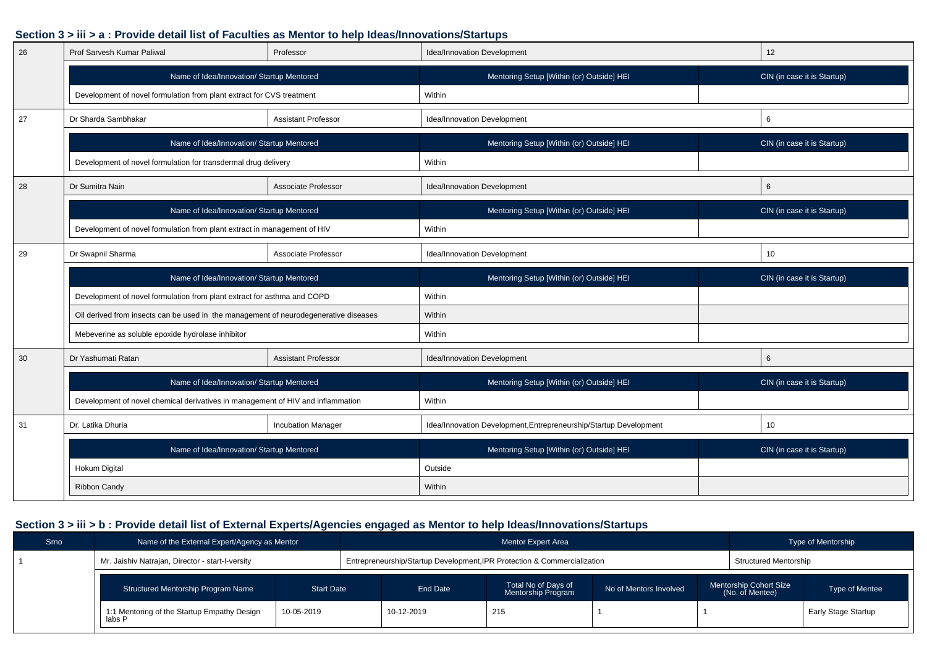| 26 | Prof Sarvesh Kumar Paliwal                                                           | Professor                  | Idea/Innovation Development                                       | 12                          |  |
|----|--------------------------------------------------------------------------------------|----------------------------|-------------------------------------------------------------------|-----------------------------|--|
|    | Name of Idea/Innovation/ Startup Mentored                                            |                            | Mentoring Setup [Within (or) Outside] HEI                         | CIN (in case it is Startup) |  |
|    | Development of novel formulation from plant extract for CVS treatment                |                            | Within                                                            |                             |  |
| 27 | Dr Sharda Sambhakar                                                                  | <b>Assistant Professor</b> | Idea/Innovation Development                                       | 6                           |  |
|    | Name of Idea/Innovation/ Startup Mentored                                            |                            | Mentoring Setup [Within (or) Outside] HEI                         | CIN (in case it is Startup) |  |
|    | Development of novel formulation for transdermal drug delivery                       |                            | Within                                                            |                             |  |
| 28 | Dr Sumitra Nain<br>Associate Professor                                               |                            | Idea/Innovation Development                                       | 6                           |  |
|    | Name of Idea/Innovation/ Startup Mentored                                            |                            | Mentoring Setup [Within (or) Outside] HEI                         | CIN (in case it is Startup) |  |
|    | Development of novel formulation from plant extract in management of HIV             |                            | Within                                                            |                             |  |
| 29 | Dr Swapnil Sharma                                                                    | Associate Professor        | Idea/Innovation Development                                       | 10                          |  |
|    | Name of Idea/Innovation/ Startup Mentored                                            |                            | Mentoring Setup [Within (or) Outside] HEI                         | CIN (in case it is Startup) |  |
|    | Development of novel formulation from plant extract for asthma and COPD              |                            | Within                                                            |                             |  |
|    | Oil derived from insects can be used in the management of neurodegenerative diseases |                            | Within                                                            |                             |  |
|    | Mebeverine as soluble epoxide hydrolase inhibitor                                    |                            |                                                                   |                             |  |
|    |                                                                                      |                            | Within                                                            |                             |  |
| 30 | Dr Yashumati Ratan                                                                   | <b>Assistant Professor</b> | Idea/Innovation Development                                       | 6                           |  |
|    | Name of Idea/Innovation/ Startup Mentored                                            |                            | Mentoring Setup [Within (or) Outside] HEI                         | CIN (in case it is Startup) |  |
|    | Development of novel chemical derivatives in management of HIV and inflammation      |                            | Within                                                            |                             |  |
| 31 | Dr. Latika Dhuria                                                                    | <b>Incubation Manager</b>  | Idea/Innovation Development, Entrepreneurship/Startup Development | 10                          |  |
|    | Name of Idea/Innovation/ Startup Mentored                                            |                            | Mentoring Setup [Within (or) Outside] HEI                         | CIN (in case it is Startup) |  |
|    | Hokum Digital                                                                        |                            | Outside                                                           |                             |  |

| Srno | Name of the External Expert/Agency as Mentor                        |  |                   |                                                                          | <b>Type of Mentorship</b>                 |                        |                                                  |  |                     |
|------|---------------------------------------------------------------------|--|-------------------|--------------------------------------------------------------------------|-------------------------------------------|------------------------|--------------------------------------------------|--|---------------------|
|      | Mr. Jaishiv Natrajan, Director - start-I-versity                    |  |                   | Entrepreneurship/Startup Development, IPR Protection & Commercialization | Structured Mentorship                     |                        |                                                  |  |                     |
|      | <b>Start Date</b><br>Structured Mentorship Program Name             |  |                   | End Date                                                                 | Total No of Days of<br>Mentorship Program | No of Mentors Involved | <b>Mentorship Cohort Size</b><br>(No. of Mentee) |  | Type of Mentee      |
|      | 10-05-2019<br>1:1 Mentoring of the Startup Empathy Design<br>labs P |  | 10-12-2019<br>215 |                                                                          |                                           |                        |                                                  |  | Early Stage Startup |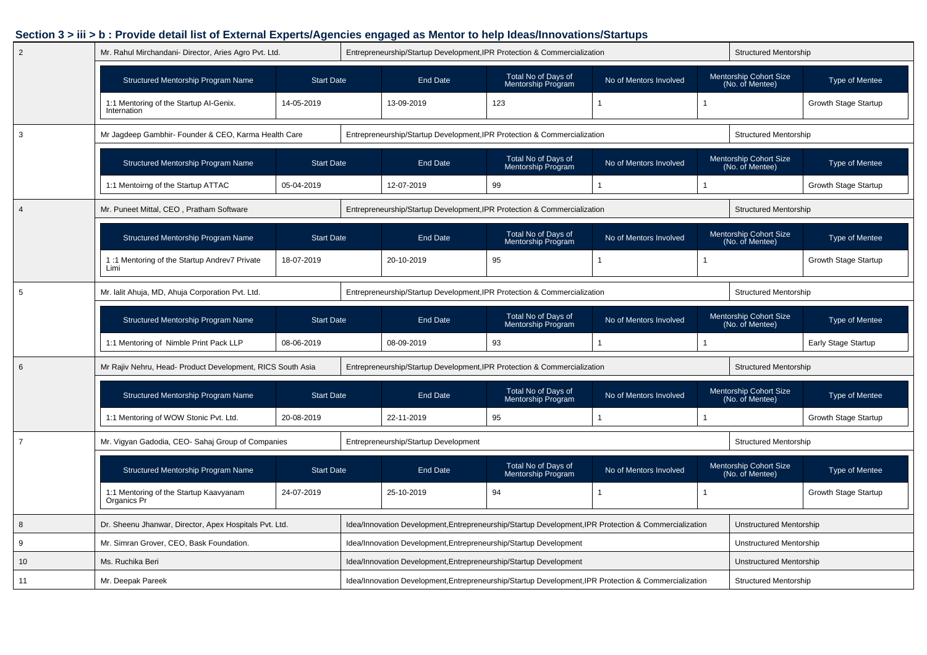| $\overline{2}$ | Mr. Rahul Mirchandani- Director, Aries Agro Pvt. Ltd.              |                   |                                                                          | Entrepreneurship/Startup Development, IPR Protection & Commercialization                              |                                                                     |                        |  | <b>Structured Mentorship</b>                     |                                |  |  |
|----------------|--------------------------------------------------------------------|-------------------|--------------------------------------------------------------------------|-------------------------------------------------------------------------------------------------------|---------------------------------------------------------------------|------------------------|--|--------------------------------------------------|--------------------------------|--|--|
|                | <b>Structured Mentorship Program Name</b>                          | <b>Start Date</b> |                                                                          | End Date                                                                                              | Total No of Days of<br>Mentorship Program                           | No of Mentors Involved |  | <b>Mentorship Cohort Size</b><br>(No. of Mentee) | Type of Mentee                 |  |  |
|                | 1:1 Mentoring of the Startup Al-Genix.<br>Internation              | 14-05-2019        |                                                                          | 13-09-2019                                                                                            | 123                                                                 |                        |  |                                                  | <b>Growth Stage Startup</b>    |  |  |
| 3              | Mr Jagdeep Gambhir- Founder & CEO, Karma Health Care               |                   |                                                                          | Entrepreneurship/Startup Development, IPR Protection & Commercialization                              |                                                                     |                        |  | <b>Structured Mentorship</b>                     |                                |  |  |
|                | Structured Mentorship Program Name                                 | <b>Start Date</b> |                                                                          | <b>End Date</b>                                                                                       | Total No of Days of<br>Mentorship Program                           | No of Mentors Involved |  | Mentorship Cohort Size<br>(No. of Mentee)        | <b>Type of Mentee</b>          |  |  |
|                | 1:1 Mentoirng of the Startup ATTAC                                 | 05-04-2019        |                                                                          | 12-07-2019                                                                                            | 99                                                                  |                        |  |                                                  | <b>Growth Stage Startup</b>    |  |  |
| $\overline{4}$ | Mr. Puneet Mittal, CEO, Pratham Software                           |                   | Entrepreneurship/Startup Development, IPR Protection & Commercialization |                                                                                                       |                                                                     |                        |  | <b>Structured Mentorship</b>                     |                                |  |  |
|                | Structured Mentorship Program Name<br><b>Start Date</b>            |                   |                                                                          | <b>End Date</b>                                                                                       | Total No of Days of<br>Mentorship Program                           | No of Mentors Involved |  | Mentorship Cohort Size<br>(No. of Mentee)        | <b>Type of Mentee</b>          |  |  |
|                | 1:1 Mentoring of the Startup Andrev7 Private<br>18-07-2019<br>Limi |                   | 20-10-2019                                                               |                                                                                                       | 95                                                                  |                        |  |                                                  | <b>Growth Stage Startup</b>    |  |  |
| 5              | Mr. lalit Ahuja, MD, Ahuja Corporation Pvt. Ltd.                   |                   |                                                                          | Entrepreneurship/Startup Development, IPR Protection & Commercialization                              |                                                                     |                        |  | <b>Structured Mentorship</b>                     |                                |  |  |
|                | <b>Structured Mentorship Program Name</b>                          | <b>Start Date</b> |                                                                          | <b>End Date</b>                                                                                       | Total No of Days of<br>No of Mentors Involved<br>Mentorship Program |                        |  | <b>Mentorship Cohort Size</b><br>(No. of Mentee) | <b>Type of Mentee</b>          |  |  |
|                | 1:1 Mentoring of Nimble Print Pack LLP                             | 08-06-2019        |                                                                          | 08-09-2019                                                                                            | 93                                                                  |                        |  |                                                  | <b>Early Stage Startup</b>     |  |  |
| 6              | Mr Rajiv Nehru, Head- Product Development, RICS South Asia         |                   | Entrepreneurship/Startup Development, IPR Protection & Commercialization |                                                                                                       |                                                                     |                        |  | <b>Structured Mentorship</b>                     |                                |  |  |
|                | Structured Mentorship Program Name                                 | <b>Start Date</b> |                                                                          | End Date                                                                                              | Total No of Days of<br>Mentorship Program                           | No of Mentors Involved |  | <b>Mentorship Cohort Size</b><br>(No. of Mentee) | Type of Mentee                 |  |  |
|                | 1:1 Mentoring of WOW Stonic Pvt. Ltd.                              | 20-08-2019        |                                                                          | 22-11-2019                                                                                            | 95                                                                  |                        |  |                                                  | <b>Growth Stage Startup</b>    |  |  |
| $\overline{7}$ | Mr. Vigyan Gadodia, CEO- Sahaj Group of Companies                  |                   |                                                                          | Entrepreneurship/Startup Development                                                                  |                                                                     |                        |  | <b>Structured Mentorship</b>                     |                                |  |  |
|                | Structured Mentorship Program Name                                 | <b>Start Date</b> |                                                                          | <b>End Date</b>                                                                                       | Total No of Days of<br>Mentorship Program                           | No of Mentors Involved |  | Mentorship Cohort Size<br>(No. of Mentee)        | Type of Mentee                 |  |  |
|                | 1:1 Mentoring of the Startup Kaavyanam<br>Organics Pr              | 24-07-2019        |                                                                          | 25-10-2019                                                                                            | 94                                                                  |                        |  |                                                  | Growth Stage Startup           |  |  |
| 8              | Dr. Sheenu Jhanwar, Director, Apex Hospitals Pvt. Ltd.             |                   |                                                                          | Idea/Innovation Development, Entrepreneurship/Startup Development, IPR Protection & Commercialization |                                                                     |                        |  |                                                  | <b>Unstructured Mentorship</b> |  |  |
| 9              | Mr. Simran Grover, CEO, Bask Foundation.                           |                   |                                                                          | Idea/Innovation Development, Entrepreneurship/Startup Development                                     |                                                                     |                        |  |                                                  | Unstructured Mentorship        |  |  |
| 10             | Ms. Ruchika Beri                                                   |                   |                                                                          | Idea/Innovation Development, Entrepreneurship/Startup Development                                     |                                                                     |                        |  | <b>Unstructured Mentorship</b>                   |                                |  |  |
| 11             | Mr. Deepak Pareek                                                  |                   |                                                                          | Idea/Innovation Development, Entrepreneurship/Startup Development, IPR Protection & Commercialization |                                                                     |                        |  | <b>Structured Mentorship</b>                     |                                |  |  |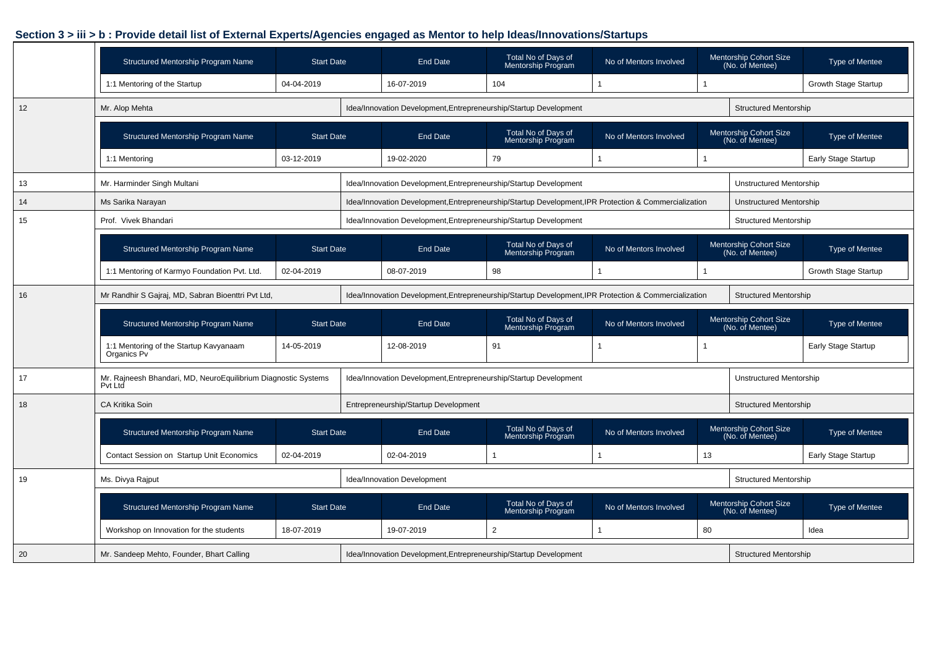|    | Structured Mentorship Program Name                                        | <b>Start Date</b> | <b>End Date</b>                                                                                       | Total No of Days of<br><b>Mentorship Program</b> | No of Mentors Involved |    | Mentorship Cohort Size<br>(No. of Mentee)        | Type of Mentee              |
|----|---------------------------------------------------------------------------|-------------------|-------------------------------------------------------------------------------------------------------|--------------------------------------------------|------------------------|----|--------------------------------------------------|-----------------------------|
|    | 1:1 Mentoring of the Startup                                              | 04-04-2019        | 16-07-2019                                                                                            | 104                                              |                        |    |                                                  | <b>Growth Stage Startup</b> |
| 12 | Mr. Alop Mehta                                                            |                   | Idea/Innovation Development, Entrepreneurship/Startup Development                                     |                                                  |                        |    | <b>Structured Mentorship</b>                     |                             |
|    | Structured Mentorship Program Name                                        | <b>Start Date</b> | <b>End Date</b>                                                                                       | Total No of Days of<br>Mentorship Program        | No of Mentors Involved |    | Mentorship Cohort Size<br>(No. of Mentee)        | Type of Mentee              |
|    | 1:1 Mentoring                                                             | 03-12-2019        | 19-02-2020                                                                                            | 79                                               |                        |    |                                                  | Early Stage Startup         |
| 13 | Mr. Harminder Singh Multani                                               |                   | Idea/Innovation Development, Entrepreneurship/Startup Development                                     |                                                  |                        |    | <b>Unstructured Mentorship</b>                   |                             |
| 14 | Ms Sarika Narayan                                                         |                   | Idea/Innovation Development, Entrepreneurship/Startup Development, IPR Protection & Commercialization |                                                  |                        |    | Unstructured Mentorship                          |                             |
| 15 | Prof. Vivek Bhandari                                                      |                   | Idea/Innovation Development, Entrepreneurship/Startup Development                                     |                                                  |                        |    | <b>Structured Mentorship</b>                     |                             |
|    | Structured Mentorship Program Name                                        | <b>Start Date</b> | <b>End Date</b>                                                                                       | Total No of Days of<br>Mentorship Program        | No of Mentors Involved |    | <b>Mentorship Cohort Size</b><br>(No. of Mentee) | Type of Mentee              |
|    | 1:1 Mentoring of Karmyo Foundation Pvt. Ltd.                              | 02-04-2019        | 08-07-2019                                                                                            | 98                                               | 1                      |    |                                                  | <b>Growth Stage Startup</b> |
| 16 | Mr Randhir S Gajraj, MD, Sabran Bioenttri Pvt Ltd,                        |                   | Idea/Innovation Development, Entrepreneurship/Startup Development, IPR Protection & Commercialization |                                                  |                        |    | <b>Structured Mentorship</b>                     |                             |
|    | Structured Mentorship Program Name                                        | <b>Start Date</b> | <b>End Date</b>                                                                                       | Total No of Days of<br>Mentorship Program        | No of Mentors Involved |    | <b>Mentorship Cohort Size</b><br>(No. of Mentee) | <b>Type of Mentee</b>       |
|    | 1:1 Mentoring of the Startup Kavyanaam<br>Organics Pv                     | 14-05-2019        | 12-08-2019                                                                                            | 91                                               |                        |    |                                                  | <b>Early Stage Startup</b>  |
| 17 | Mr. Rajneesh Bhandari, MD, NeuroEquilibrium Diagnostic Systems<br>Pvt Ltd |                   | Idea/Innovation Development, Entrepreneurship/Startup Development                                     |                                                  |                        |    | <b>Unstructured Mentorship</b>                   |                             |
| 18 | <b>CA Kritika Soin</b>                                                    |                   | Entrepreneurship/Startup Development                                                                  |                                                  |                        |    | <b>Structured Mentorship</b>                     |                             |
|    | <b>Structured Mentorship Program Name</b>                                 | <b>Start Date</b> | <b>End Date</b>                                                                                       | Total No of Days of<br>Mentorship Program        | No of Mentors Involved |    | Mentorship Cohort Size<br>(No. of Mentee)        | <b>Type of Mentee</b>       |
|    | Contact Session on Startup Unit Economics                                 | 02-04-2019        | 02-04-2019                                                                                            |                                                  |                        | 13 |                                                  | <b>Early Stage Startup</b>  |
| 19 | Ms. Divya Rajput                                                          |                   | Idea/Innovation Development                                                                           |                                                  |                        |    | <b>Structured Mentorship</b>                     |                             |
|    | Structured Mentorship Program Name                                        | <b>Start Date</b> | <b>End Date</b>                                                                                       | Total No of Days of<br>Mentorship Program        | No of Mentors Involved |    | Mentorship Cohort Size<br>(No. of Mentee)        | Type of Mentee              |
|    | Workshop on Innovation for the students                                   | 18-07-2019        | 19-07-2019                                                                                            | $\overline{2}$                                   |                        | 80 |                                                  | Idea                        |
| 20 | Mr. Sandeep Mehto, Founder, Bhart Calling                                 |                   | Idea/Innovation Development, Entrepreneurship/Startup Development                                     |                                                  |                        |    | <b>Structured Mentorship</b>                     |                             |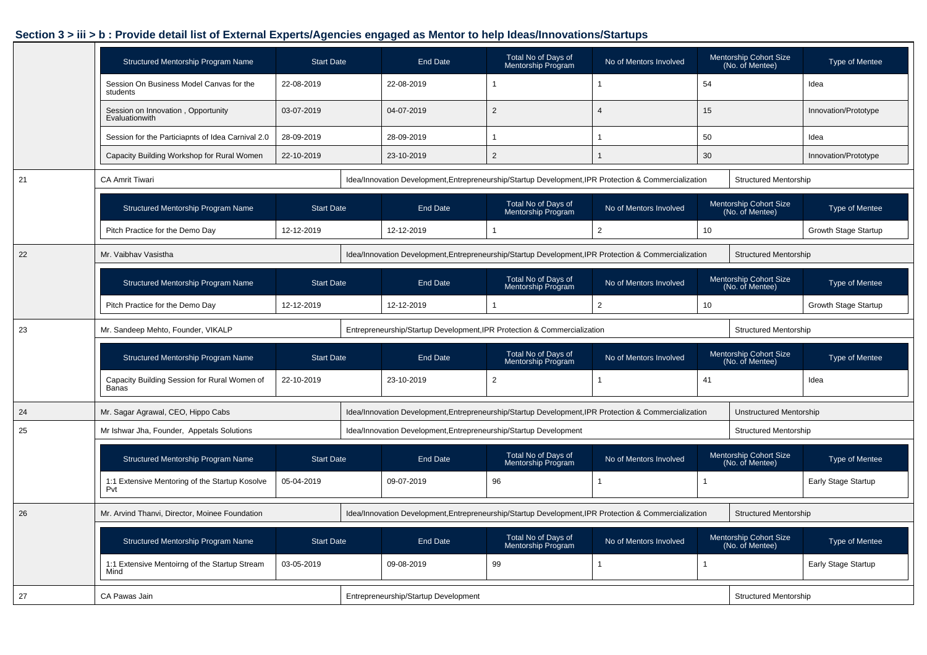|    | Structured Mentorship Program Name                    | <b>Start Date</b> | End Date                                                                                              | Total No of Days of<br>Mentorship Program | No of Mentors Involved |    | Mentorship Cohort Size<br>(No. of Mentee) | <b>Type of Mentee</b>       |
|----|-------------------------------------------------------|-------------------|-------------------------------------------------------------------------------------------------------|-------------------------------------------|------------------------|----|-------------------------------------------|-----------------------------|
|    | Session On Business Model Canvas for the<br>students  | 22-08-2019        | 22-08-2019                                                                                            |                                           | $\overline{1}$         | 54 |                                           | Idea                        |
|    | Session on Innovation, Opportunity<br>Evaluationwith  | 03-07-2019        | 04-07-2019                                                                                            | 2                                         | $\overline{4}$         | 15 |                                           | Innovation/Prototype        |
|    | Session for the Particiapnts of Idea Carnival 2.0     | 28-09-2019        | 28-09-2019                                                                                            |                                           |                        | 50 |                                           | Idea                        |
|    | Capacity Building Workshop for Rural Women            | 22-10-2019        | 23-10-2019                                                                                            | 2                                         |                        | 30 |                                           | Innovation/Prototype        |
| 21 | <b>CA Amrit Tiwari</b>                                |                   | Idea/Innovation Development, Entrepreneurship/Startup Development, IPR Protection & Commercialization |                                           |                        |    | <b>Structured Mentorship</b>              |                             |
|    | Structured Mentorship Program Name                    | <b>Start Date</b> | <b>End Date</b>                                                                                       | Total No of Days of<br>Mentorship Program | No of Mentors Involved |    | Mentorship Cohort Size<br>(No. of Mentee) | <b>Type of Mentee</b>       |
|    | Pitch Practice for the Demo Day                       | 12-12-2019        | 12-12-2019                                                                                            |                                           | 2                      | 10 |                                           | <b>Growth Stage Startup</b> |
| 22 | Mr. Vaibhav Vasistha                                  |                   | Idea/Innovation Development, Entrepreneurship/Startup Development, IPR Protection & Commercialization |                                           |                        |    | <b>Structured Mentorship</b>              |                             |
|    | Structured Mentorship Program Name                    | <b>Start Date</b> | End Date                                                                                              | Total No of Days of<br>Mentorship Program | No of Mentors Involved |    | Mentorship Cohort Size<br>(No. of Mentee) | <b>Type of Mentee</b>       |
|    | Pitch Practice for the Demo Day                       | 12-12-2019        | 12-12-2019                                                                                            |                                           | $\overline{2}$         | 10 |                                           | Growth Stage Startup        |
| 23 | Mr. Sandeep Mehto, Founder, VIKALP                    |                   | Entrepreneurship/Startup Development, IPR Protection & Commercialization                              |                                           |                        |    | <b>Structured Mentorship</b>              |                             |
|    | Structured Mentorship Program Name                    | <b>Start Date</b> | <b>End Date</b>                                                                                       | Total No of Days of<br>Mentorship Program | No of Mentors Involved |    | Mentorship Cohort Size<br>(No. of Mentee) | <b>Type of Mentee</b>       |
|    | Capacity Building Session for Rural Women of<br>Banas | 22-10-2019        | 23-10-2019                                                                                            | 2                                         |                        | 41 |                                           | Idea                        |
| 24 | Mr. Sagar Agrawal, CEO, Hippo Cabs                    |                   | Idea/Innovation Development, Entrepreneurship/Startup Development, IPR Protection & Commercialization |                                           |                        |    | <b>Unstructured Mentorship</b>            |                             |
| 25 | Mr Ishwar Jha, Founder, Appetals Solutions            |                   | Idea/Innovation Development, Entrepreneurship/Startup Development                                     |                                           |                        |    | <b>Structured Mentorship</b>              |                             |
|    | Structured Mentorship Program Name                    | <b>Start Date</b> | <b>End Date</b>                                                                                       | Total No of Days of<br>Mentorship Program | No of Mentors Involved |    | Mentorship Cohort Size<br>(No. of Mentee) | <b>Type of Mentee</b>       |
|    | 1:1 Extensive Mentoring of the Startup Kosolve<br>Pvt | 05-04-2019        | 09-07-2019                                                                                            | 96                                        |                        |    |                                           | Early Stage Startup         |
| 26 | Mr. Arvind Thanvi, Director, Moinee Foundation        |                   | Idea/Innovation Development, Entrepreneurship/Startup Development, IPR Protection & Commercialization |                                           |                        |    | <b>Structured Mentorship</b>              |                             |
|    | Structured Mentorship Program Name                    | <b>Start Date</b> | End Date                                                                                              | Total No of Days of<br>Mentorship Program | No of Mentors Involved |    | Mentorship Cohort Size<br>(No. of Mentee) | <b>Type of Mentee</b>       |
|    | 1:1 Extensive Mentoirng of the Startup Stream<br>Mind | 03-05-2019        | 09-08-2019                                                                                            | 99                                        | -1                     |    |                                           | Early Stage Startup         |
| 27 | CA Pawas Jain                                         |                   | Entrepreneurship/Startup Development                                                                  |                                           |                        |    | <b>Structured Mentorship</b>              |                             |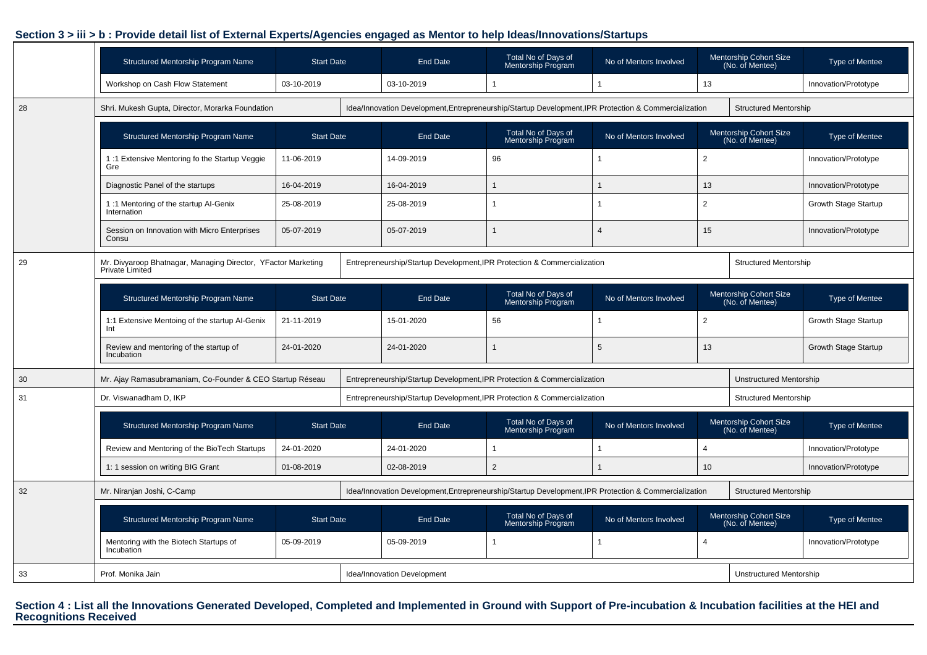|    | Structured Mentorship Program Name                                               | <b>Start Date</b> | <b>End Date</b>                                                                                       | Total No of Days of<br>Mentorship Program        | No of Mentors Involved |                | Mentorship Cohort Size<br>(No. of Mentee) | <b>Type of Mentee</b>       |
|----|----------------------------------------------------------------------------------|-------------------|-------------------------------------------------------------------------------------------------------|--------------------------------------------------|------------------------|----------------|-------------------------------------------|-----------------------------|
|    | Workshop on Cash Flow Statement                                                  | 03-10-2019        | 03-10-2019                                                                                            | 1                                                |                        | 13             |                                           | Innovation/Prototype        |
| 28 | Shri. Mukesh Gupta, Director, Morarka Foundation                                 |                   | Idea/Innovation Development, Entrepreneurship/Startup Development, IPR Protection & Commercialization |                                                  |                        |                | <b>Structured Mentorship</b>              |                             |
|    | Structured Mentorship Program Name                                               | <b>Start Date</b> | <b>End Date</b>                                                                                       | Total No of Days of<br>Mentorship Program        | No of Mentors Involved |                | Mentorship Cohort Size<br>(No. of Mentee) | <b>Type of Mentee</b>       |
|    | 1:1 Extensive Mentoring fo the Startup Veggie<br>Gre                             | 11-06-2019        | 14-09-2019                                                                                            | 96                                               |                        | $\overline{2}$ |                                           | Innovation/Prototype        |
|    | Diagnostic Panel of the startups                                                 | 16-04-2019        | 16-04-2019                                                                                            | $\mathbf{1}$                                     |                        | 13             |                                           | Innovation/Prototype        |
|    | 1:1 Mentoring of the startup Al-Genix<br>Internation                             | 25-08-2019        | 25-08-2019                                                                                            | 1                                                |                        | $\overline{2}$ |                                           | Growth Stage Startup        |
|    | Session on Innovation with Micro Enterprises<br>Consu                            | 05-07-2019        | 05-07-2019                                                                                            | $\mathbf{1}$                                     | $\overline{4}$         | 15             |                                           | Innovation/Prototype        |
| 29 | Mr. Divyaroop Bhatnagar, Managing Director, YFactor Marketing<br>Private Limited |                   | Entrepreneurship/Startup Development, IPR Protection & Commercialization                              |                                                  |                        |                | <b>Structured Mentorship</b>              |                             |
|    | Structured Mentorship Program Name                                               | <b>Start Date</b> | <b>End Date</b>                                                                                       | Total No of Days of<br>Mentorship Program        | No of Mentors Involved |                | Mentorship Cohort Size<br>(No. of Mentee) | Type of Mentee              |
|    | 1:1 Extensive Mentoing of the startup Al-Genix<br>Int                            | 21-11-2019        | 15-01-2020                                                                                            | 56                                               |                        | $\overline{2}$ |                                           | Growth Stage Startup        |
|    | Review and mentoring of the startup of<br>Incubation                             | 24-01-2020        | 24-01-2020                                                                                            | $\mathbf{1}$                                     | 5                      | 13             |                                           | <b>Growth Stage Startup</b> |
| 30 | Mr. Ajay Ramasubramaniam, Co-Founder & CEO Startup Réseau                        |                   | Entrepreneurship/Startup Development, IPR Protection & Commercialization                              |                                                  |                        |                | <b>Unstructured Mentorship</b>            |                             |
| 31 | Dr. Viswanadham D, IKP                                                           |                   | Entrepreneurship/Startup Development, IPR Protection & Commercialization                              |                                                  |                        |                | <b>Structured Mentorship</b>              |                             |
|    | <b>Structured Mentorship Program Name</b>                                        | <b>Start Date</b> | <b>End Date</b>                                                                                       | Total No of Days of<br>Mentorship Program        | No of Mentors Involved |                | Mentorship Cohort Size<br>(No. of Mentee) | <b>Type of Mentee</b>       |
|    | Review and Mentoring of the BioTech Startups                                     | 24-01-2020        | 24-01-2020                                                                                            | 1                                                |                        | 4              |                                           | Innovation/Prototype        |
|    | 1: 1 session on writing BIG Grant                                                | 01-08-2019        | 02-08-2019                                                                                            | $\overline{2}$                                   |                        | 10             |                                           | Innovation/Prototype        |
| 32 | Mr. Niranjan Joshi, C-Camp                                                       |                   | Idea/Innovation Development, Entrepreneurship/Startup Development, IPR Protection & Commercialization |                                                  |                        |                | <b>Structured Mentorship</b>              |                             |
|    | Structured Mentorship Program Name                                               | <b>Start Date</b> | <b>End Date</b>                                                                                       | Total No of Days of<br><b>Mentorship Program</b> | No of Mentors Involved |                | Mentorship Cohort Size<br>(No. of Mentee) | <b>Type of Mentee</b>       |
|    | Mentoring with the Biotech Startups of<br>Incubation                             | 05-09-2019        | 05-09-2019                                                                                            | 1                                                |                        | $\overline{4}$ |                                           | Innovation/Prototype        |
| 33 | Prof. Monika Jain                                                                |                   | Idea/Innovation Development                                                                           |                                                  |                        |                | <b>Unstructured Mentorship</b>            |                             |

**Section 4 : List all the Innovations Generated Developed, Completed and Implemented in Ground with Support of Pre-incubation & Incubation facilities at the HEI and Recognitions Received**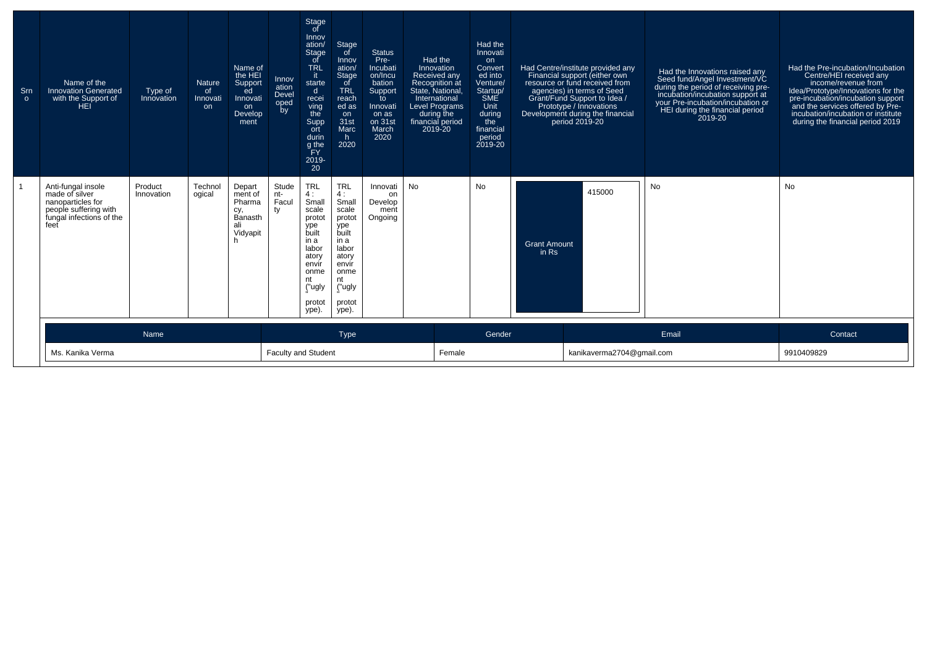| Srn<br>$\circ$ | Name of the<br><b>Innovation Generated</b><br>with the Support of<br>HEI                                               | Type of<br>Innovation | <b>Nature</b><br>of<br>Innovati<br>on | Name of<br>the HEI<br>Support<br>ed<br>Innovati<br>on<br>Develop<br>ment | Innov<br>ation<br>Devel<br>oped<br>by | Stage<br>of<br>Innov<br>ation/<br>Stage<br>of<br><b>TRL</b><br>it.<br>starte<br>$\mathsf{d}$<br>recei<br>ving<br>the<br>Supp<br>ort<br>durin<br>g the<br>ΈY<br>2019-<br>$20^{\degree}$ | Stage<br>of<br>Innov<br>ation/<br>Stage<br>of<br><b>TRL</b><br>reach<br>ed as<br>on<br>31st<br>Marc<br>h<br>2020                           | <b>Status</b><br>Pre-<br>Incubati<br>on/Incu<br>bation<br>Support<br>to<br>Innovati<br>on as<br>on 31st<br>March<br>2020 | Had the<br>Innovation<br>Received any<br>Recognition at<br>State, National,<br>International<br><b>Level Programs</b><br>during the<br>financial period<br>2019-20 | Had the<br>Innovati<br>on<br>Convert<br>ed into<br>Venture/<br>Startup/<br>SME<br>Unit<br>during<br>the<br>financial<br>period<br>2019-20 |                                | Had Centre/institute provided any<br>Financial support (either own<br>resource or fund received from<br>agencies) in terms of Seed<br>Grant/Fund Support to Idea /<br>Prototype / Innovations<br>Development during the financial<br>period 2019-20 | Had the Innovations raised any<br>Seed fund/Angel Investment/VC<br>during the period of receiving pre-<br>incubation/incubation support at<br>your Pre-incubation/incubation or<br>HEI during the financial period<br>2019-20 | Had the Pre-incubation/Incubation<br>Centre/HEI received any<br>income/revenue from<br>Idea/Prototype/Innovations for the<br>pre-incubation/incubation support<br>and the services offered by Pre-<br>incubation/incubation or institute<br>during the financial period 2019 |
|----------------|------------------------------------------------------------------------------------------------------------------------|-----------------------|---------------------------------------|--------------------------------------------------------------------------|---------------------------------------|----------------------------------------------------------------------------------------------------------------------------------------------------------------------------------------|--------------------------------------------------------------------------------------------------------------------------------------------|--------------------------------------------------------------------------------------------------------------------------|--------------------------------------------------------------------------------------------------------------------------------------------------------------------|-------------------------------------------------------------------------------------------------------------------------------------------|--------------------------------|-----------------------------------------------------------------------------------------------------------------------------------------------------------------------------------------------------------------------------------------------------|-------------------------------------------------------------------------------------------------------------------------------------------------------------------------------------------------------------------------------|------------------------------------------------------------------------------------------------------------------------------------------------------------------------------------------------------------------------------------------------------------------------------|
|                | Anti-fungal insole<br>made of silver<br>nanoparticles for<br>people suffering with<br>fungal infections of the<br>feet | Product<br>Innovation | Technol<br>ogical                     | Depart<br>ment of<br>Pharma<br>cy,<br>Banasth<br>ali<br>Vidyapit         | Stude<br>nt-<br>Facul<br>ty           | <b>TRL</b><br>4:<br>Small<br>scale<br>protot<br>ype<br>built<br>in a<br>labor<br>atory<br>envir<br>onme<br>nt<br>("ugly<br>protot<br>ype).                                             | <b>TRL</b><br>4:<br>Small<br>scale<br>protot<br>ype<br>built<br>in a<br>labor<br>atory<br>envír<br>onme<br>nt<br>("ugly<br>protot<br>ype). | Innovati<br>on<br>Develop<br>ment<br>Ongoing                                                                             | <b>No</b>                                                                                                                                                          | <b>No</b>                                                                                                                                 | <b>Grant Amount</b><br>$in$ Rs | 415000                                                                                                                                                                                                                                              | <b>No</b>                                                                                                                                                                                                                     | No                                                                                                                                                                                                                                                                           |
|                |                                                                                                                        | Name                  |                                       |                                                                          |                                       |                                                                                                                                                                                        | Type                                                                                                                                       |                                                                                                                          |                                                                                                                                                                    | Gender                                                                                                                                    |                                |                                                                                                                                                                                                                                                     | Email                                                                                                                                                                                                                         | Contact                                                                                                                                                                                                                                                                      |
|                | Ms. Kanika Verma                                                                                                       |                       |                                       |                                                                          | <b>Faculty and Student</b>            |                                                                                                                                                                                        |                                                                                                                                            |                                                                                                                          | Female                                                                                                                                                             |                                                                                                                                           |                                | kanikaverma2704@gmail.com                                                                                                                                                                                                                           |                                                                                                                                                                                                                               | 9910409829                                                                                                                                                                                                                                                                   |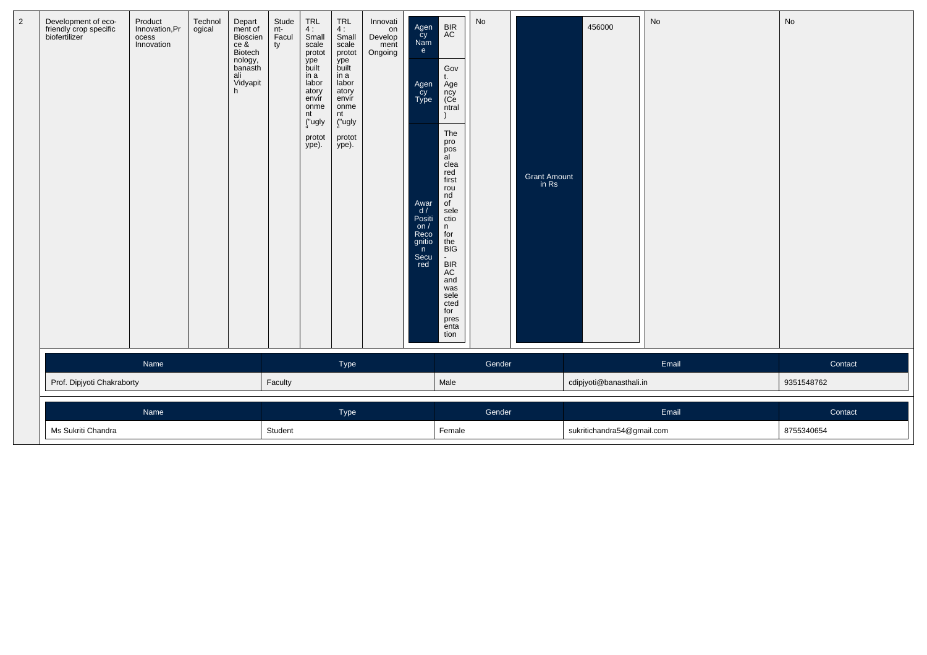| $\overline{a}$ | Development of eco-<br>friendly crop specific<br>biofertilizer | Product<br>Innovation, Pr<br>ocess<br>Innovation | Technol<br>ogical | Depart<br>ment of<br>Bioscien<br>ce &<br>Biotech<br>nology,<br>banasth<br>ali<br>Vidyapit<br>h | Stude<br>nt-<br>Facul<br>ty | $TRL$<br>4:<br>Small<br>scale<br>protot<br>ype<br>built<br>in a<br>labor<br>atory<br>envir<br>onme<br>nt<br>("ugly<br>protot<br>ype). | $TRL$<br>4:<br>Small<br>scale<br>protot<br>ype<br>built<br>in a<br>labor<br>atory<br>envír<br>onme<br>nt<br>("ugly<br>protot<br>ype). | Innovati<br>on<br>On Develop<br>ment<br>Ongoing | Agen<br>Cy<br>Nam<br>e<br>Agen<br>Cy<br>Type<br>Awar<br>d/<br>Positi<br>on $/$<br>Reco<br>gnitio<br>n<br>Secu<br>red | BIR<br>AC<br>Gov<br>t.<br>Age<br>ncy<br>(Ce<br>ntral<br>١<br>The<br>pro<br>pos<br>al<br>clea<br>red<br>first<br>rou<br>nd<br>o <sub>f</sub><br>sele<br>ctio<br>n.<br>for<br>the<br><b>BIG</b><br>$\blacksquare$<br><b>BIR</b><br>AC<br>and<br>was<br>sele<br>cted<br>for<br>pres<br>enta<br>tion | No     | Grant Amount<br>in Rs | 456000                     | No    | No         |
|----------------|----------------------------------------------------------------|--------------------------------------------------|-------------------|------------------------------------------------------------------------------------------------|-----------------------------|---------------------------------------------------------------------------------------------------------------------------------------|---------------------------------------------------------------------------------------------------------------------------------------|-------------------------------------------------|----------------------------------------------------------------------------------------------------------------------|--------------------------------------------------------------------------------------------------------------------------------------------------------------------------------------------------------------------------------------------------------------------------------------------------|--------|-----------------------|----------------------------|-------|------------|
|                |                                                                | Name                                             |                   |                                                                                                |                             |                                                                                                                                       | Type                                                                                                                                  |                                                 |                                                                                                                      |                                                                                                                                                                                                                                                                                                  | Gender |                       |                            | Email | Contact    |
|                | Prof. Dipjyoti Chakraborty                                     |                                                  |                   |                                                                                                | Faculty                     |                                                                                                                                       |                                                                                                                                       |                                                 |                                                                                                                      | Male                                                                                                                                                                                                                                                                                             |        |                       | cdipjyoti@banasthali.in    |       | 9351548762 |
|                |                                                                | Name                                             |                   |                                                                                                |                             |                                                                                                                                       | Type                                                                                                                                  |                                                 |                                                                                                                      |                                                                                                                                                                                                                                                                                                  | Gender |                       |                            | Email | Contact    |
|                | Ms Sukriti Chandra                                             |                                                  |                   |                                                                                                | Student                     |                                                                                                                                       |                                                                                                                                       |                                                 |                                                                                                                      | Female                                                                                                                                                                                                                                                                                           |        |                       | sukritichandra54@gmail.com |       | 8755340654 |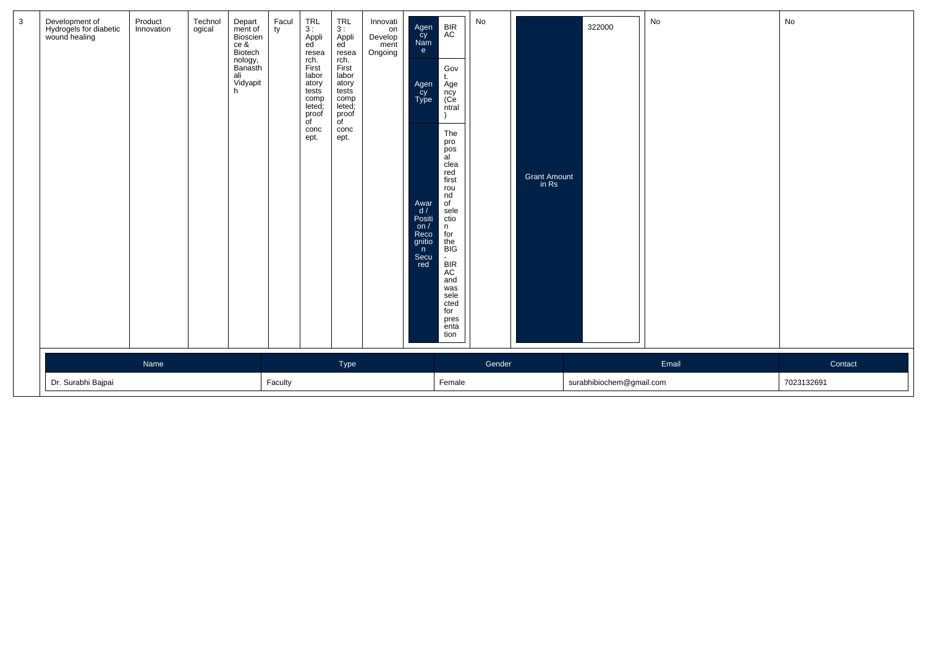| Development of<br>Hydrogels for diabetic<br>wound healing | Product<br>Innovation | Technol<br>ogical | Depart<br>ment of<br>Bioscien<br>ce &<br>Biotech<br>nology,<br>Banasth<br>ali<br>Vidyapit<br>h | Facul<br>ty | $TRL$<br>3 :<br>Appli<br>ed <sup>'</sup><br>resea<br>rch.<br>First<br>labor<br>atory<br>tests<br>comp<br>leted;<br>proof<br>of<br>conc<br>ept. | $_{3}^{TRL}$<br>Appli<br>ed <sup>'</sup><br>resea<br>rch.<br>First<br>labor<br>atory<br>tests<br>comp<br>leted;<br>proof<br>of<br>conc<br>ept. | Innovati<br>on<br>Develop<br>ment<br>Ongoing | Agen<br>Cy<br>Nam<br>e<br>Agen<br>Cy<br>Type<br>Awar<br>d /<br>Positi<br>on/<br>Reco<br>gnitio<br>n<br>Secu<br>red | <b>BIR</b><br>AC<br>Gov<br>t.<br>Age<br>ncy<br>(Ce<br>ntral<br>The<br>pro<br>pos<br>$\ddot{a}$<br>clea<br>red<br>first<br>rou<br>nd<br>of<br>sele<br>ctio<br>n.<br>for<br>the<br><b>BIG</b><br>$\overline{\phantom{a}}$<br><b>BIR</b><br>AC<br>and<br>was<br>sele<br>cted<br>for<br>pres<br>enta | No     | Grant Amount<br>in Rs | 322000                   | No    | No                    |
|-----------------------------------------------------------|-----------------------|-------------------|------------------------------------------------------------------------------------------------|-------------|------------------------------------------------------------------------------------------------------------------------------------------------|------------------------------------------------------------------------------------------------------------------------------------------------|----------------------------------------------|--------------------------------------------------------------------------------------------------------------------|--------------------------------------------------------------------------------------------------------------------------------------------------------------------------------------------------------------------------------------------------------------------------------------------------|--------|-----------------------|--------------------------|-------|-----------------------|
| Dr. Surabhi Bajpai                                        | Name                  |                   |                                                                                                | Faculty     |                                                                                                                                                | Type                                                                                                                                           |                                              |                                                                                                                    | tion<br>Female                                                                                                                                                                                                                                                                                   | Gender |                       | surabhibiochem@gmail.com | Email | Contact<br>7023132691 |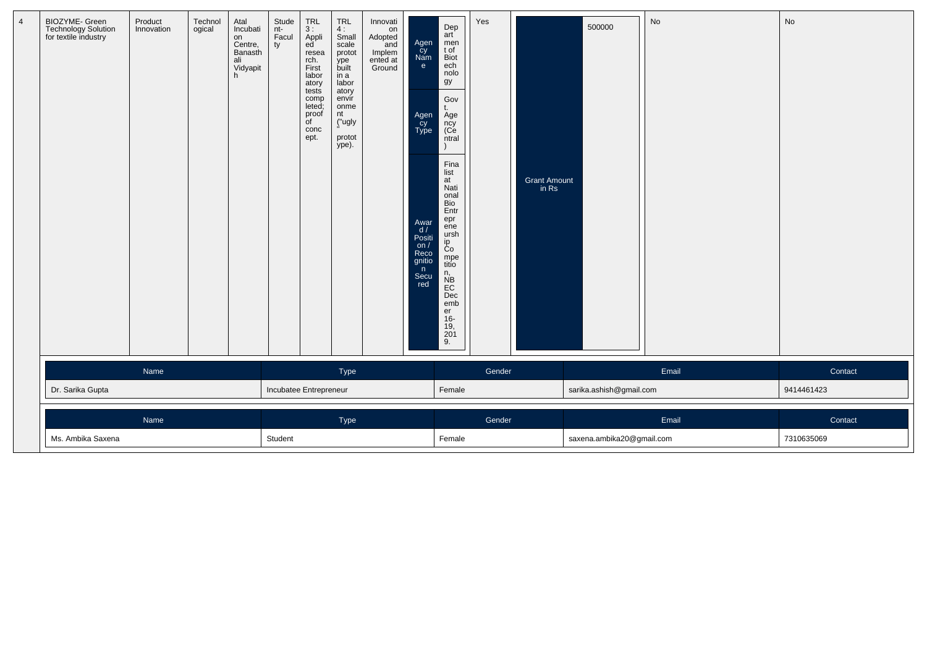| BIOZYME- Green<br>Technology Solution<br>for textile industry | Product<br>Innovation | Technol<br>ogical | Atal<br>Incubati<br>on<br>Centre,<br>Banasth<br>ali<br>Vidyapit<br>h | Stude<br>nt-<br>  Facul<br>ty | TRL<br>3 :<br>Appli<br>ed <sup>'</sup><br>resea<br>rch.<br>First<br>labor<br>atory<br>tests<br>comp<br>leted;<br>proof<br>of<br>conc<br>ept. | $TRL$<br>4:<br>Small<br>scale<br>protot<br>ype<br>built<br>in a<br>labor<br>atory<br>envír<br>onme<br>nt<br>("ugly<br>protot<br>ype). | Innovati<br>on<br>Adopted<br>and<br>Implem<br>ented at<br>Ground | Agen<br>Cy<br>Nam<br>e<br>Agen<br>cy<br>Type<br>Awar<br>d /<br>Positi<br>on $/$<br>Reco<br>gnitio<br>n<br>Secu<br>red | Dep<br>art<br>men<br>t of<br><b>Biot</b><br>ech<br>nolo<br>gy<br>Gov<br>t.<br>Age<br>ncy<br>(Ce<br>ntral<br>Fina<br>list<br>at<br>Nati<br>onal<br>Bio<br>Entr<br>epr<br>ene<br>ursh<br>ip<br>Co<br>mpe<br>titio<br>n,<br>NB<br>EC<br>Dec<br>emb<br>er<br>$16-$<br>$\frac{19}{201}$<br>9. | Yes    | Grant Amount<br>in Rs | 500000                    | No    | No                    |
|---------------------------------------------------------------|-----------------------|-------------------|----------------------------------------------------------------------|-------------------------------|----------------------------------------------------------------------------------------------------------------------------------------------|---------------------------------------------------------------------------------------------------------------------------------------|------------------------------------------------------------------|-----------------------------------------------------------------------------------------------------------------------|------------------------------------------------------------------------------------------------------------------------------------------------------------------------------------------------------------------------------------------------------------------------------------------|--------|-----------------------|---------------------------|-------|-----------------------|
| Dr. Sarika Gupta                                              | Name                  |                   |                                                                      | Incubatee Entrepreneur        |                                                                                                                                              | Type                                                                                                                                  |                                                                  |                                                                                                                       | Female                                                                                                                                                                                                                                                                                   | Gender |                       | sarika.ashish@gmail.com   | Email | Contact<br>9414461423 |
| Ms. Ambika Saxena                                             | Name                  |                   |                                                                      | Student                       |                                                                                                                                              | Type                                                                                                                                  |                                                                  |                                                                                                                       | Female                                                                                                                                                                                                                                                                                   | Gender |                       | saxena.ambika20@gmail.com | Email | Contact<br>7310635069 |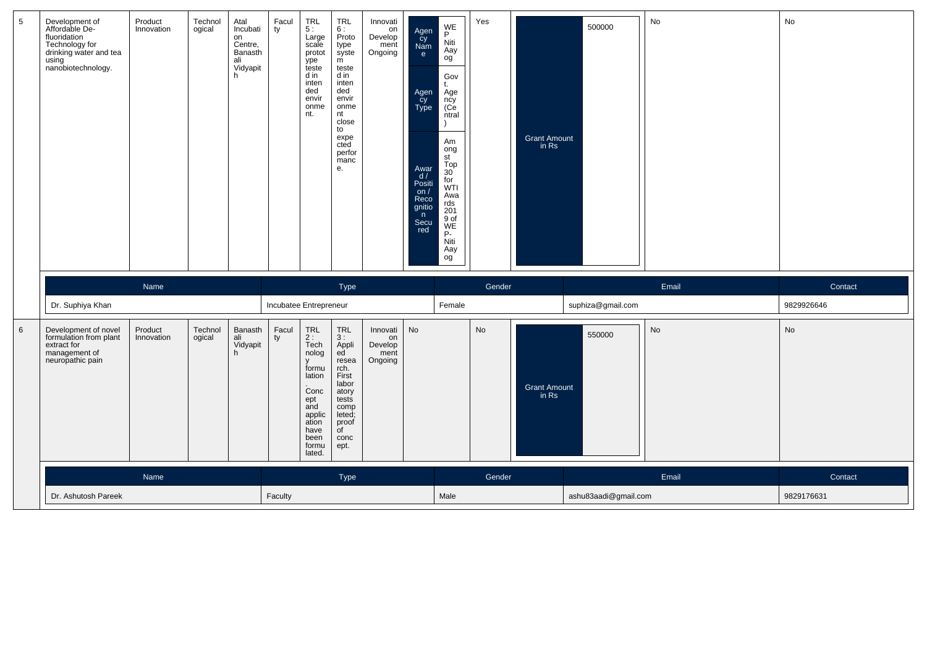| 5       | Development of<br>Affordable De-<br>fluoridation<br>Technology for<br>drinking water and tea<br>using<br>nanobiotechnology. | Product<br>Innovation | Technol<br>ogical | Atal<br>Incubati<br>on<br>Centre,<br>Banasth<br>ali<br>Vidyapit<br>h | Facul<br>ty            | <b>TRL</b><br>5:<br>Large<br>scale<br>protot<br>ype<br>teste<br>d in<br>inten<br>ded<br>envir<br>onme<br>nt.                              | TRL<br>6:<br>Proto<br>type<br>syste<br>m<br>teste<br>d in<br>inten<br>ded<br>envir<br>onme<br>nt<br>close<br>to<br>expe<br>cted<br>perfor<br>manc<br>е.            | Innovati<br>on<br>Develop<br>ment<br>Ongoing | Agen<br>Cy<br>Nam<br>e.<br>Agen<br>Cy<br>Type<br>Awar<br>d/<br>Positi<br>on $/$<br>Reco<br>gnitio<br>n<br>Secu<br>red | WE<br>P<br>Niti<br>Aay<br>og<br>Gov<br>t.<br>Age<br>ncy<br>(Ce<br>ntral<br>Am<br>ong<br>st<br>Top<br>$30^{\circ}$<br>for<br><b>WTI</b><br>Awa<br>rds<br>201<br>9 of<br>WE<br>P-<br>Niti<br>Aay<br>og | Yes    | <b>Grant Amount</b><br>$\overline{m}$ Rs | 500000               | No    | No         |
|---------|-----------------------------------------------------------------------------------------------------------------------------|-----------------------|-------------------|----------------------------------------------------------------------|------------------------|-------------------------------------------------------------------------------------------------------------------------------------------|--------------------------------------------------------------------------------------------------------------------------------------------------------------------|----------------------------------------------|-----------------------------------------------------------------------------------------------------------------------|------------------------------------------------------------------------------------------------------------------------------------------------------------------------------------------------------|--------|------------------------------------------|----------------------|-------|------------|
|         |                                                                                                                             | Name                  |                   |                                                                      |                        |                                                                                                                                           | Type                                                                                                                                                               |                                              |                                                                                                                       |                                                                                                                                                                                                      | Gender |                                          |                      | Email | Contact    |
|         | Dr. Suphiya Khan                                                                                                            |                       |                   |                                                                      | Incubatee Entrepreneur |                                                                                                                                           |                                                                                                                                                                    |                                              |                                                                                                                       | Female                                                                                                                                                                                               |        |                                          | suphiza@gmail.com    |       | 9829926646 |
| $\,6\,$ | Development of novel<br>formulation from plant<br>extract for<br>management of<br>neuropathic pain                          | Product<br>Innovation | Technol<br>ogical | Banasth<br>ali<br>Vidyapit<br>h.                                     | Facul<br>ty            | TRL<br>2:<br>Tech<br>nolog<br>$\mathbf{v}$<br>formu<br>lation<br>Conc<br>ept<br>and<br>applic<br>ation<br>have<br>been<br>formu<br>lated. | $\ensuremath{\mathsf{TRL}}$<br>3:<br>Appli<br>ed<br>resea<br>rch.<br>First<br>labor<br>atory<br>tests<br>comp<br>leted;<br>proof<br>$\overline{C}$<br>conc<br>ept. | Innovati<br>on<br>Develop<br>ment<br>Ongoing | No                                                                                                                    |                                                                                                                                                                                                      | No     | <b>Grant Amount</b><br>in Rs             | 550000               | No    | No         |
|         |                                                                                                                             | Name                  |                   |                                                                      |                        |                                                                                                                                           | Type                                                                                                                                                               |                                              |                                                                                                                       |                                                                                                                                                                                                      | Gender |                                          |                      | Email | Contact    |
|         | Dr. Ashutosh Pareek                                                                                                         |                       |                   |                                                                      | Faculty                |                                                                                                                                           |                                                                                                                                                                    |                                              |                                                                                                                       | Male                                                                                                                                                                                                 |        |                                          | ashu83aadi@gmail.com |       | 9829176631 |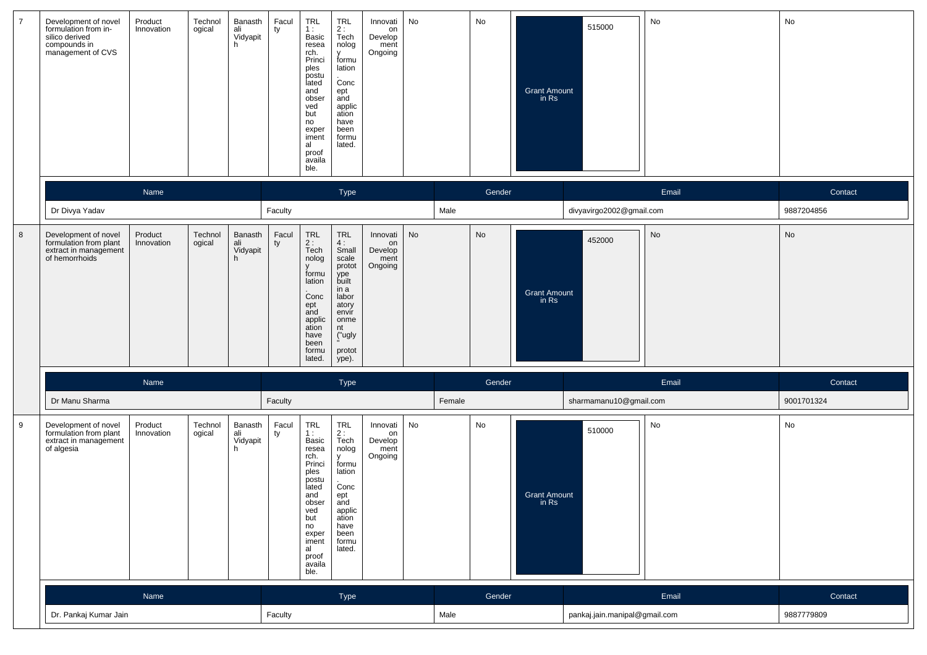| $\overline{7}$ | Development of novel<br>formulation from in-<br>silico derived<br>compounds in<br>management of CVS | Product<br>Innovation | Technol<br>ogical | Banasth<br>ali<br>Vidyapit<br>h | Facul<br>ty | TRL<br>1:<br>Basic<br>resea<br>rch.<br>Princi<br>ples<br>postu<br>lated<br>and<br>obser<br>ved<br>but<br>no<br>exper<br>iment<br>al<br>proof<br>availa<br>ble. | $TRL$<br>2 :<br>Tech<br>nolog<br>y<br>formu<br>lation<br>Conc<br>ept<br>and<br>applic<br>ation<br>have<br>been<br>formu<br>lated.                               | Innovati<br>on<br>Develop<br>ment<br>Ongoing | No            |        | No     | Grant Amount<br>in Rs          | 515000                        | No    | No                           |
|----------------|-----------------------------------------------------------------------------------------------------|-----------------------|-------------------|---------------------------------|-------------|----------------------------------------------------------------------------------------------------------------------------------------------------------------|-----------------------------------------------------------------------------------------------------------------------------------------------------------------|----------------------------------------------|---------------|--------|--------|--------------------------------|-------------------------------|-------|------------------------------|
|                |                                                                                                     | Name                  |                   |                                 |             |                                                                                                                                                                | Type                                                                                                                                                            |                                              |               |        | Gender |                                |                               | Email | Contact                      |
|                | Dr Divya Yadav                                                                                      |                       |                   |                                 | Faculty     |                                                                                                                                                                |                                                                                                                                                                 |                                              |               | Male   |        |                                | divyavirgo2002@gmail.com      |       | 9887204856                   |
| 8              | Development of novel<br>formulation from plant<br>extract in management<br>of hemorrhoids           | Product<br>Innovation | Technol<br>ogical | Banasth<br>ali<br>Vidyapit<br>h | Facul<br>ty | TRL<br>$2:$ Tech<br>nolog<br>formu<br>lation<br>Conc<br>ept<br>and<br>applic<br>ation<br>have<br>been<br>formu<br>lated.                                       | $\ensuremath{\mathsf{TRL}}$<br>$\frac{4}{3}$ :<br>scale<br>protot<br>ype<br>built<br>in a<br>labor<br>atory<br>envir<br>onme<br>nt<br>("ugly<br>protot<br>ype). | Innovati<br>on<br>Develop<br>ment<br>Ongoing | $\mathsf{No}$ |        | No     | <b>Grant Amount</b><br>in Rs   | 452000                        | No    | $\operatorname{\mathsf{No}}$ |
|                |                                                                                                     | Name                  |                   |                                 |             |                                                                                                                                                                | Type                                                                                                                                                            |                                              |               |        | Gender |                                |                               | Email | Contact                      |
|                | Dr Manu Sharma                                                                                      |                       |                   |                                 | Faculty     |                                                                                                                                                                |                                                                                                                                                                 |                                              |               | Female |        |                                | sharmamanu10@gmail.com        |       | 9001701324                   |
| 9              | Development of novel<br>formulation from plant<br>extract in management<br>of algesia               | Product<br>Innovation | Technol<br>ogical | Banasth<br>ali<br>Vidyapit<br>h | Facul<br>ty | TRL<br>1:<br>Basic<br>resea<br>rch.<br>Princi<br>ples<br>postu<br>lated<br>and<br>obser<br>ved<br>but<br>no<br>exper<br>iment<br>al<br>proof<br>availa<br>ble. | $TRL$<br>$2:$<br>Tech<br>nolog<br>y<br>formu<br>lation<br>Conc<br>ept<br>and<br>applic<br>ation<br>have<br>been<br>formu<br>lated.                              | Innovati<br>on<br>Develop<br>ment<br>Ongoing | No            |        | No     | <b>Grant Amount</b><br>in $Rs$ | 510000                        | No    | No                           |
|                |                                                                                                     | Name                  |                   |                                 |             |                                                                                                                                                                | Type                                                                                                                                                            |                                              |               |        | Gender |                                |                               | Email | Contact                      |
|                | Dr. Pankaj Kumar Jain                                                                               |                       |                   |                                 | Faculty     |                                                                                                                                                                |                                                                                                                                                                 |                                              |               | Male   |        |                                | pankaj.jain.manipal@gmail.com |       | 9887779809                   |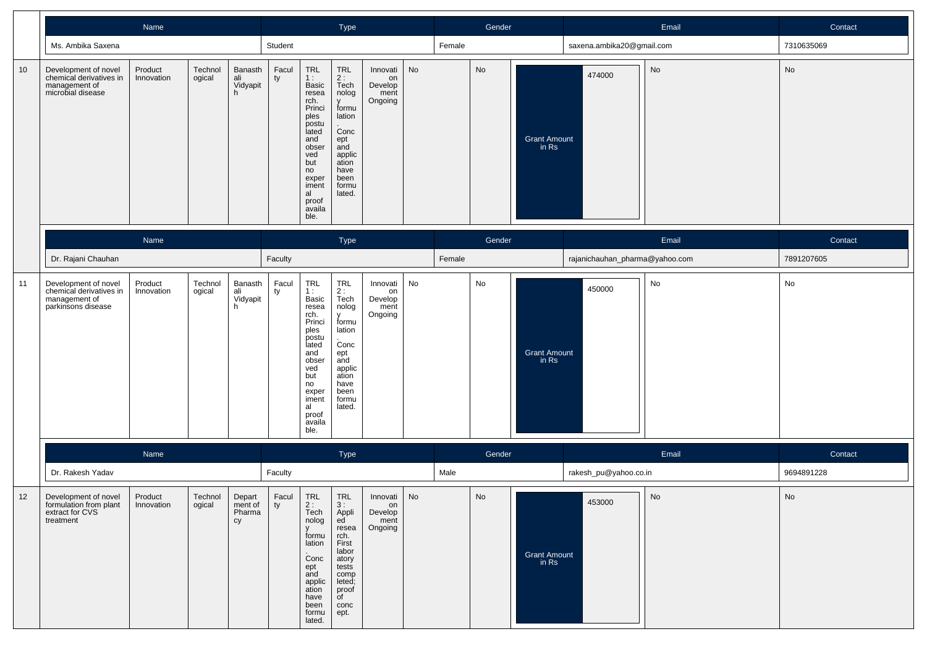|    |                                                                                        | Name                  |                   |                                   |             |                                                                                                                                                                | Type                                                                                                                                        |                                              |    |        | Gender |                                |                                | Email | Contact    |
|----|----------------------------------------------------------------------------------------|-----------------------|-------------------|-----------------------------------|-------------|----------------------------------------------------------------------------------------------------------------------------------------------------------------|---------------------------------------------------------------------------------------------------------------------------------------------|----------------------------------------------|----|--------|--------|--------------------------------|--------------------------------|-------|------------|
|    | Ms. Ambika Saxena                                                                      |                       |                   |                                   | Student     |                                                                                                                                                                |                                                                                                                                             |                                              |    | Female |        |                                | saxena.ambika20@gmail.com      |       | 7310635069 |
| 10 | Development of novel<br>chemical derivatives in<br>management of<br>microbial disease  | Product<br>Innovation | Technol<br>ogical | Banasth<br>ali<br>Vidyapit<br>h.  | Facul<br>ty | TRL<br>1:<br>Basic<br>resea<br>rch.<br>Princi<br>ples<br>postu<br>lated<br>and<br>obser<br>ved<br>but<br>no<br>exper<br>iment<br>al<br>proof<br>availa<br>ble. | TRL<br>$2:$ Tech<br>nolog<br>y<br>formu<br>lation<br>Conc<br>ept<br>and<br>applic<br>ation<br>have<br>been<br>formu<br>lated.               | Innovati<br>on<br>Develop<br>ment<br>Ongoing | No |        | No     | <b>Grant Amount</b><br>in Rs   | 474000                         | No    | No         |
|    |                                                                                        | Name                  |                   |                                   |             |                                                                                                                                                                | Type                                                                                                                                        |                                              |    |        | Gender |                                |                                | Email | Contact    |
|    | Dr. Rajani Chauhan                                                                     |                       |                   |                                   | Faculty     |                                                                                                                                                                |                                                                                                                                             |                                              |    | Female |        |                                | rajanichauhan_pharma@yahoo.com |       | 7891207605 |
| 11 | Development of novel<br>chemical derivatives in<br>management of<br>parkinsons disease | Product<br>Innovation | Technol<br>ogical | Banasth<br>ali<br>Vidyapit<br>h.  | Facul<br>ty | TRL<br>1:<br>Basic<br>resea<br>rch.<br>Princi<br>ples<br>postu<br>lated<br>and<br>obser<br>ved<br>but<br>no<br>exper<br>iment<br>al<br>proof<br>availa<br>ble. | TRL<br>$2:$<br>Tech<br>nolog<br>$\mathsf{v}$<br>formu<br>lation<br>Conc<br>ept<br>and<br>applic<br>ation<br>have<br>been<br>formu<br>lated. | Innovati<br>on<br>Develop<br>ment<br>Ongoing | No |        | No     | <b>Grant Amount</b><br>$in$ Rs | 450000                         | No    | No         |
|    |                                                                                        | Name                  |                   |                                   |             |                                                                                                                                                                | Type                                                                                                                                        |                                              |    |        | Gender |                                |                                | Email | Contact    |
|    | Dr. Rakesh Yadav                                                                       |                       |                   |                                   | Faculty     |                                                                                                                                                                |                                                                                                                                             |                                              |    | Male   |        |                                | rakesh_pu@yahoo.co.in          |       | 9694891228 |
| 12 | Development of novel<br>formulation from plant<br>extract for CVS<br>treatment         | Product<br>Innovation | Technol<br>ogical | Depart<br>ment of<br>Pharma<br>cy | Facul<br>ty | TRL<br>2:<br>Tech<br>nolog<br>$\mathsf{V}$<br>formu<br>lation<br>Conc<br>ept<br>and<br>applic<br>ation<br>have<br>been<br>formu<br>lated.                      | TRL<br>3:<br>Appli<br>ed<br>resea<br>rch.<br>First<br>labor<br>atory<br>tests<br>comp<br>leted;<br>proof<br>of<br>conc<br>ept.              | Innovati<br>on<br>Develop<br>ment<br>Ongoing | No |        | No     | <b>Grant Amount</b><br>in Rs   | 453000                         | No    | No         |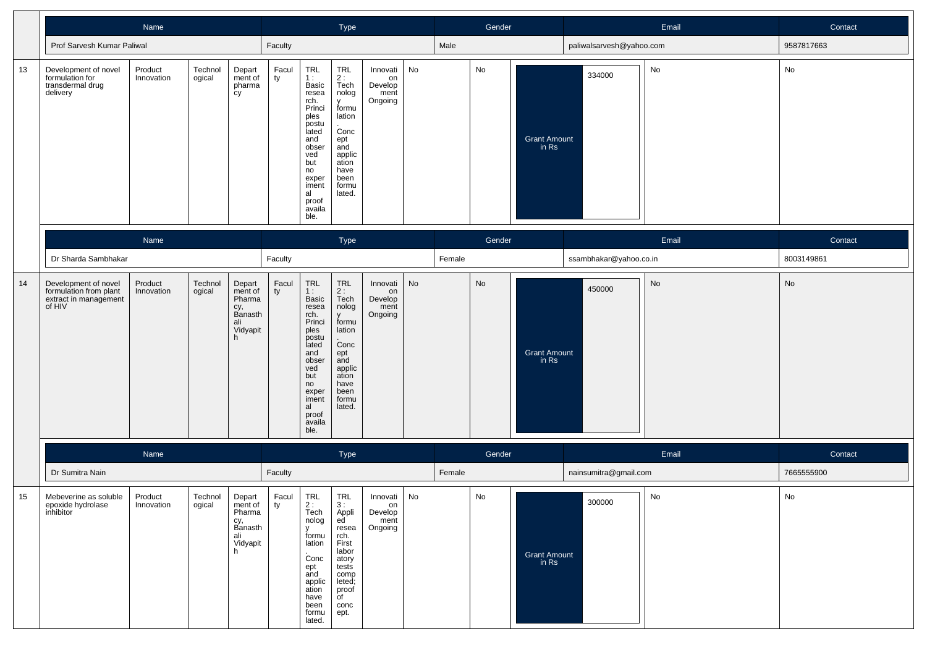|    |                                                                                   | Name                  |                   |                                                                       |             |                                                                                                                                                                | Type                                                                                                                                                                     |                                              |    |        | Gender |                              |                          | Email | Contact    |
|----|-----------------------------------------------------------------------------------|-----------------------|-------------------|-----------------------------------------------------------------------|-------------|----------------------------------------------------------------------------------------------------------------------------------------------------------------|--------------------------------------------------------------------------------------------------------------------------------------------------------------------------|----------------------------------------------|----|--------|--------|------------------------------|--------------------------|-------|------------|
|    | Prof Sarvesh Kumar Paliwal                                                        |                       |                   |                                                                       | Faculty     |                                                                                                                                                                |                                                                                                                                                                          |                                              |    | Male   |        |                              | paliwalsarvesh@yahoo.com |       | 9587817663 |
| 13 | Development of novel<br>formulation for<br>transdermal drug<br>delivery           | Product<br>Innovation | Technol<br>ogical | Depart<br>ment of<br>pharma<br>cy                                     | Facul<br>ty | TRL<br>1:<br>Basic<br>resea<br>rch.<br>Princi<br>ples<br>postu<br>lated<br>and<br>obser<br>ved<br>but<br>no<br>exper<br>iment<br>al<br>proof<br>availa<br>ble. | $\ensuremath{\mathsf{TRL}}$<br>$\frac{2}{1}$ :<br>Tech<br>nolog<br>y<br>formu<br>lation<br>.<br>Conc<br>ept<br>and<br>applic<br>ation<br>have<br>been<br>formu<br>lated. | Innovati<br>on<br>Develop<br>ment<br>Ongoing | No |        | No     | <b>Grant Amount</b><br>in Rs | 334000                   | No    | No         |
|    |                                                                                   | Name                  |                   |                                                                       |             |                                                                                                                                                                | Type                                                                                                                                                                     |                                              |    |        | Gender |                              |                          | Email | Contact    |
|    | Dr Sharda Sambhakar                                                               |                       |                   |                                                                       | Faculty     |                                                                                                                                                                |                                                                                                                                                                          |                                              |    | Female |        |                              | ssambhakar@yahoo.co.in   |       | 8003149861 |
| 14 | Development of novel<br>formulation from plant<br>extract in management<br>of HIV | Product<br>Innovation | Technol<br>ogical | Depart<br>ment of<br>Pharma<br>cy,<br>Banasth<br>ali<br>Vidyapit<br>h | Facul<br>ty | TRL<br>1:<br>Basic<br>resea<br>rch.<br>Princi<br>ples<br>postu<br>lated<br>and<br>obser<br>ved<br>but<br>no<br>exper<br>iment<br>al<br>proof<br>availa<br>ble. | TRL<br>2:<br>Tech<br>nolog<br>y<br>formu<br>lation<br>Conc<br>ept<br>and<br>applic<br>ation<br>have<br>been<br>formu<br>lated.                                           | Innovati<br>on<br>Develop<br>ment<br>Ongoing | No |        | No     | <b>Grant Amount</b><br>in Rs | 450000                   | No    | No         |
|    |                                                                                   | Name                  |                   |                                                                       |             |                                                                                                                                                                | Type                                                                                                                                                                     |                                              |    |        | Gender |                              |                          | Email | Contact    |
|    | Dr Sumitra Nain                                                                   |                       |                   |                                                                       | Faculty     |                                                                                                                                                                |                                                                                                                                                                          |                                              |    | Female |        |                              | nainsumitra@gmail.com    |       | 7665555900 |
| 15 | Mebeverine as soluble<br>epoxide hydrolase<br>inhibitor                           | Product<br>Innovation | Technol<br>ogical | Depart<br>ment of<br>Pharma<br>cy,<br>Banasth<br>ali<br>Vidyapit<br>h | Facul<br>ty | TRL<br>$\mathcal{D}$<br>Tech<br>nolog<br>formu<br>lation<br>Conc<br>ept<br>and<br>applic<br>ation<br>have<br>been<br>formu<br>lated.                           | TRL<br>3:<br>Appli<br>ed<br>resea<br>rch.<br>First<br>labor<br>atory<br>tests<br>comp<br>leted;<br>proof<br>of<br>conc<br>ept.                                           | Innovati<br>on<br>Develop<br>ment<br>Ongoing | No |        | No     | <b>Grant Amount</b><br>in Rs | 300000                   | No    | No         |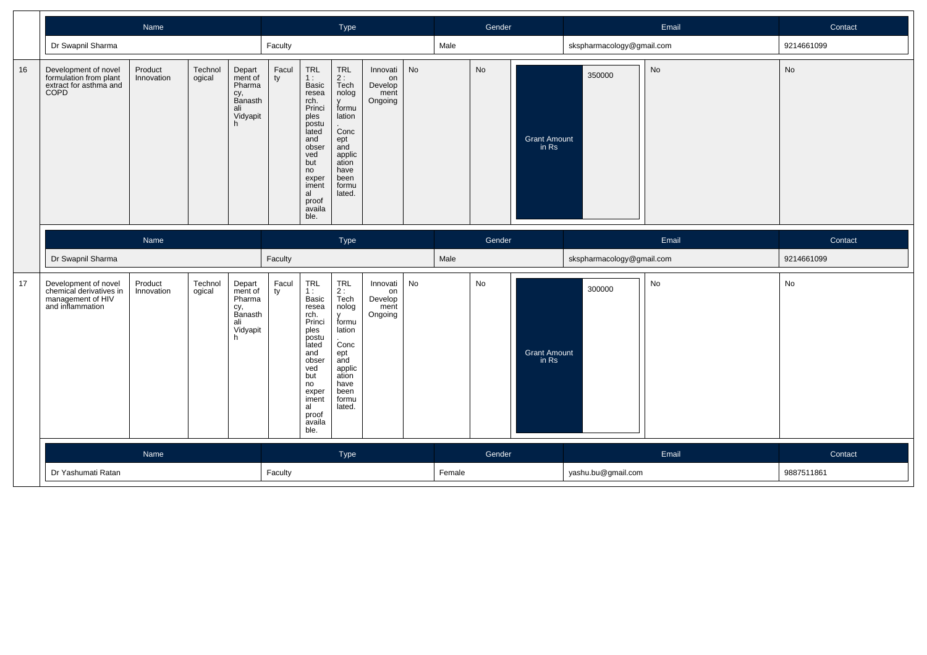|    |                                                                                          | Name                  |                   |                                                                        |             |                                                                                                                                                                | Type                                                                                                                                                           |                                              |    |      | Gender |                                |                           | Email     | Contact    |
|----|------------------------------------------------------------------------------------------|-----------------------|-------------------|------------------------------------------------------------------------|-------------|----------------------------------------------------------------------------------------------------------------------------------------------------------------|----------------------------------------------------------------------------------------------------------------------------------------------------------------|----------------------------------------------|----|------|--------|--------------------------------|---------------------------|-----------|------------|
|    | Dr Swapnil Sharma                                                                        |                       |                   |                                                                        | Faculty     |                                                                                                                                                                |                                                                                                                                                                |                                              |    | Male |        |                                | skspharmacology@gmail.com |           | 9214661099 |
| 16 | Development of novel<br>formulation from plant<br>extract for asthma and<br><b>COPD</b>  | Product<br>Innovation | Technol<br>ogical | Depart<br>ment of<br>Pharma<br>cy,<br>Banasth<br>ali<br>Vidyapit       | Facul<br>ty | TRL<br>1:<br>Basic<br>resea<br>rch.<br>Princi<br>ples<br>postu<br>lated<br>and<br>obser<br>ved<br>but<br>no<br>exper<br>iment<br>al<br>proof<br>availa<br>ble. | <b>TRL</b><br>2:<br>$\bar{T}$ ech<br>nolog<br>$\mathbf{v}$<br>formu<br>lation<br>.<br>Conc<br>ept<br>and<br>applic<br>ation<br>have<br>been<br>formu<br>lated. | Innovati<br>on<br>Develop<br>ment<br>Ongoing | No |      | No     | <b>Grant Amount</b><br>in Rs   | 350000                    | <b>No</b> | <b>No</b>  |
|    |                                                                                          | Name                  |                   |                                                                        |             |                                                                                                                                                                | <b>Type</b>                                                                                                                                                    |                                              |    |      | Gender |                                |                           | Email     | Contact    |
|    |                                                                                          |                       |                   |                                                                        |             |                                                                                                                                                                |                                                                                                                                                                |                                              |    |      |        |                                |                           |           |            |
|    | Dr Swapnil Sharma                                                                        |                       |                   |                                                                        | Faculty     |                                                                                                                                                                |                                                                                                                                                                |                                              |    | Male |        |                                | skspharmacology@gmail.com |           | 9214661099 |
| 17 | Development of novel<br>chemical derivatives in<br>management of HIV<br>and inflammation | Product<br>Innovation | Technol<br>ogical | Depart<br>ment of<br>Pharma<br>сy,<br>Banasth<br>ali<br>Vidyapit<br>h. | Facul<br>ty | TRL<br>1:<br>Basic<br>resea<br>rch.<br>Princi<br>ples<br>postu<br>lated<br>and<br>obser<br>ved<br>but<br>no<br>exper<br>iment<br>al<br>proof<br>availa<br>ble. | <b>TRL</b><br>2:<br>Tech<br>nolog<br><b>V</b><br>formu<br>lation<br>Conc<br>ept<br>and<br>applic<br>ation<br>have<br>been<br>formu<br>lated.                   | Innovati<br>on<br>Develop<br>ment<br>Ongoing | No |      | No     | <b>Grant Amount</b><br>$in$ Rs | 300000                    | No        | No         |
|    |                                                                                          | Name                  |                   |                                                                        |             |                                                                                                                                                                | Type                                                                                                                                                           |                                              |    |      | Gender |                                |                           | Email     | Contact    |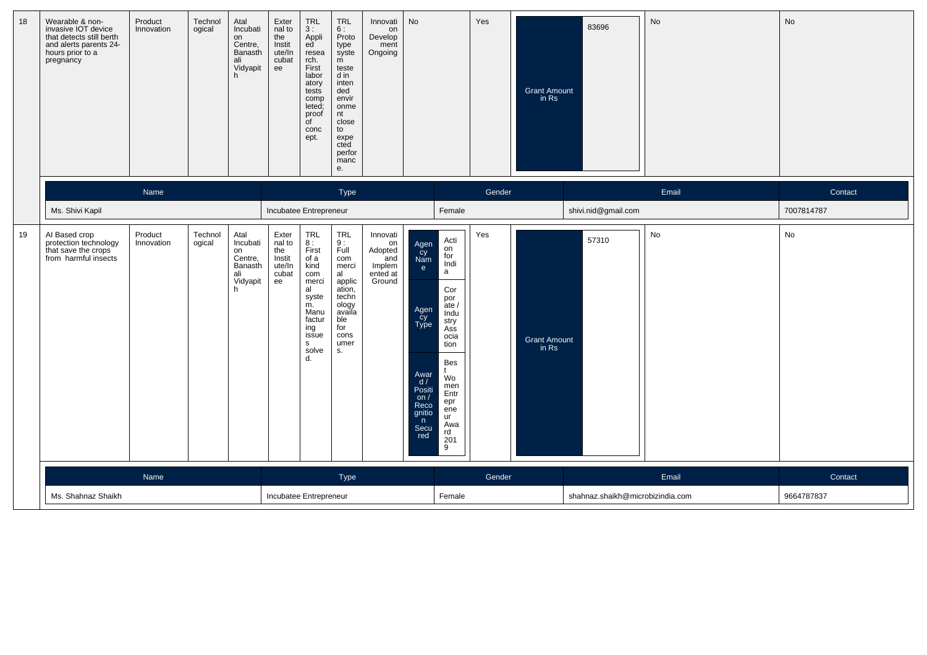| 18 | Wearable & non-<br>invasive IOT device<br>that detects still berth<br>and alerts parents 24-<br>hours prior to a<br>pregnancy | Product<br>Innovation | Technol<br>ogical | Atal<br>Incubati<br>on<br>Centre,<br>Banasth<br>ali<br>Vidyapit<br>h  | Exter<br>nal to<br>the<br>Instit<br>ute/In<br>cubat<br>ee | <b>TRL</b><br>3:<br>Appli<br>ed<br>resea<br>rch.<br>First<br>labor<br>atory<br>tests<br>comp<br>leted;<br>proof<br>of<br>conc<br>ept. | <b>TRL</b><br>6:<br>Proto<br>type<br>syste<br>m<br>teste<br>d in<br>inten<br>ded<br>envir<br>onme<br>nt<br>close<br>to<br>expe<br>cted<br>perfor<br>manc<br>е. | Innovati<br>on<br>Develop<br>ment<br>Ongoing                     | No                                                                                                                   |                                                                                                                                                                      | Yes    | <b>Grant Amount</b><br>in Rs | 83696                            | No    | No         |
|----|-------------------------------------------------------------------------------------------------------------------------------|-----------------------|-------------------|-----------------------------------------------------------------------|-----------------------------------------------------------|---------------------------------------------------------------------------------------------------------------------------------------|----------------------------------------------------------------------------------------------------------------------------------------------------------------|------------------------------------------------------------------|----------------------------------------------------------------------------------------------------------------------|----------------------------------------------------------------------------------------------------------------------------------------------------------------------|--------|------------------------------|----------------------------------|-------|------------|
|    |                                                                                                                               | Name                  |                   |                                                                       |                                                           |                                                                                                                                       | <b>Type</b>                                                                                                                                                    |                                                                  |                                                                                                                      |                                                                                                                                                                      | Gender |                              |                                  | Email | Contact    |
|    | Ms. Shivi Kapil                                                                                                               |                       |                   |                                                                       | Incubatee Entrepreneur                                    |                                                                                                                                       |                                                                                                                                                                |                                                                  |                                                                                                                      | Female                                                                                                                                                               |        |                              | shivi.nid@gmail.com              |       | 7007814787 |
| 19 | Al Based crop<br>protection technology<br>that save the crops<br>from harmful insects                                         | Product<br>Innovation | Technol<br>ogical | Atal<br>Incubati<br>on<br>Centre,<br>Banasth<br>ali<br>Vidyapit<br>h. | Exter<br>nal to<br>the<br>Instit<br>ute/In<br>cubat<br>ee | <b>TRL</b><br>8:<br>First<br>of a<br>kind<br>com<br>merci<br>al<br>syste<br>m.<br>Manu<br>factur<br>ing<br>issue<br>s<br>solve<br>d.  | <b>TRL</b><br>$\frac{9}{1}$ :<br>com<br>merci<br>al<br>applic<br>ation,<br>techn<br>ology<br>availa<br>ble<br>for<br>cons<br>umer<br>S.                        | Innovati<br>on<br>Adopted<br>and<br>Implem<br>ented at<br>Ground | Agen<br>Cy<br>Nam<br>e<br>Agen<br>cy<br>Type<br>Awar<br>d/<br>Positi<br>on $/$<br>Reco<br>gnitio<br>n<br>Secu<br>red | Acti<br>on<br>for<br>Indi<br>a<br>Cor<br>por<br>ate/<br>Indu<br>stry<br>Ass<br>ocia<br>tion<br>Bes<br>Wo<br>men<br>Entr<br>epr<br>ene<br>ur<br>Awa<br>rd<br>201<br>9 | Yes    | <b>Grant Amount</b><br>in Rs | 57310                            | No    | No         |
|    |                                                                                                                               | Name                  |                   |                                                                       |                                                           |                                                                                                                                       | <b>Type</b>                                                                                                                                                    |                                                                  |                                                                                                                      |                                                                                                                                                                      | Gender |                              |                                  | Email | Contact    |
|    | Ms. Shahnaz Shaikh                                                                                                            |                       |                   |                                                                       | Incubatee Entrepreneur                                    |                                                                                                                                       |                                                                                                                                                                |                                                                  |                                                                                                                      | Female                                                                                                                                                               |        |                              | shahnaz.shaikh@microbizindia.com |       | 9664787837 |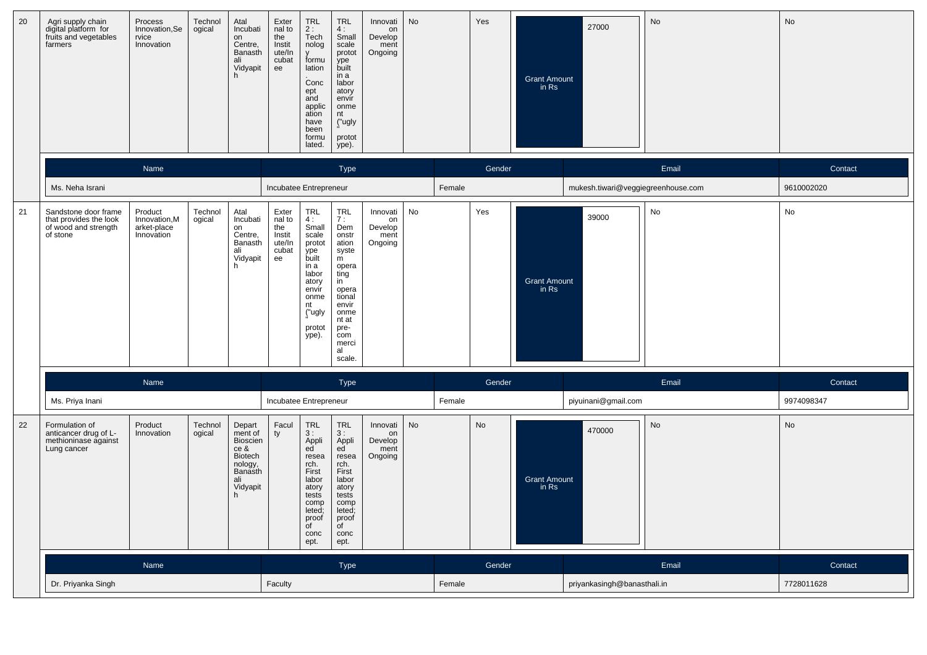| 20 | Agri supply chain<br>digital platform for<br>fruits and vegetables<br>farmers      | Process<br>Innovation, Se<br>rvice<br>Innovation      | Technol<br>ogical | Atal<br>Incubati<br>on<br>Centre,<br>Banasth<br>ali<br>Vidyapit                                 | Exter<br>nal to<br>the<br>Instit<br>ute/In<br>cubat<br>ee | TRL<br>2:<br>Tech<br>nolog<br>formu<br>lation<br>Conc<br>ept<br>and<br>applic<br>ation<br>have<br>been<br>formu<br>lated.           | <b>TRL</b><br>4:<br>Small<br>scale<br>protot<br>ype<br>built<br>in a<br>labor<br>atory<br>envir<br>onme<br>nt<br>("ugly<br>protot<br>ype).                          | Innovati<br>on<br>Develop<br>ment<br>Ongoing | No |        | Yes    | <b>Grant Amount</b><br>in Rs   | 27000                              | No    | No         |
|----|------------------------------------------------------------------------------------|-------------------------------------------------------|-------------------|-------------------------------------------------------------------------------------------------|-----------------------------------------------------------|-------------------------------------------------------------------------------------------------------------------------------------|---------------------------------------------------------------------------------------------------------------------------------------------------------------------|----------------------------------------------|----|--------|--------|--------------------------------|------------------------------------|-------|------------|
|    |                                                                                    | Name                                                  |                   |                                                                                                 |                                                           |                                                                                                                                     | Type                                                                                                                                                                |                                              |    |        | Gender |                                |                                    | Email | Contact    |
|    | Ms. Neha Israni                                                                    |                                                       |                   |                                                                                                 | Incubatee Entrepreneur                                    |                                                                                                                                     |                                                                                                                                                                     |                                              |    | Female |        |                                | mukesh.tiwari@veggiegreenhouse.com |       | 9610002020 |
| 21 | Sandstone door frame<br>that provides the look<br>of wood and strength<br>of stone | Product<br>Innovation, M<br>arket-place<br>Innovation | Technol<br>ogical | Atal<br>Incubati<br>on<br>Centre,<br>Banasth<br>ali<br>Vidyapit<br>h                            | Exter<br>nal to<br>the<br>Instit<br>ute/In<br>cubat<br>ee | TRL<br>4:<br>Small<br>scale<br>protot<br>ype<br>built<br>in a<br>labor<br>atory<br>envir<br>onme<br>nt<br>("ugly<br>protot<br>ype). | <b>TRL</b><br>7:<br>Dem<br>onstr<br>ation<br>syste<br>m<br>opera<br>ting<br>in<br>opera<br>tional<br>envir<br>onme<br>nt at<br>pre-<br>com<br>merci<br>al<br>scale. | Innovati<br>on<br>Develop<br>ment<br>Ongoing | No |        | Yes    | <b>Grant Amount</b><br>in Rs   | 39000                              | No    | No         |
|    |                                                                                    | Name                                                  |                   |                                                                                                 |                                                           |                                                                                                                                     | Type                                                                                                                                                                |                                              |    |        | Gender |                                |                                    | Email | Contact    |
|    | Ms. Priya Inani                                                                    |                                                       |                   |                                                                                                 | Incubatee Entrepreneur                                    |                                                                                                                                     |                                                                                                                                                                     |                                              |    | Female |        |                                | piyuinani@gmail.com                |       | 9974098347 |
| 22 | Formulation of<br>anticancer drug of L-<br>methioninase against<br>Lung cancer     | Product<br>Innovation                                 | Technol<br>ogical | Depart<br>ment of<br>Bioscien<br>ce &<br>Biotech<br>nology,<br>Banasth<br>ali<br>Vidyapit<br>h. | Facul<br>ty                                               | TRL<br>3:<br>Appli<br>ed<br>resea<br>rch.<br>First<br>labor<br>atory<br>tests<br>comp<br>leted;<br>proof<br>of<br>conc<br>ept.      | <b>TRL</b><br>3:<br>Appli<br>ed<br>resea<br>rch.<br>First<br>labor<br>atory<br>tests<br>comp<br>leted;<br>proof<br>of<br>conc<br>ept.                               | Innovati<br>on<br>Develop<br>ment<br>Ongoing | No |        | No     | <b>Grant Amount</b><br>in $Rs$ | 470000                             | No    | No         |
|    |                                                                                    | Name                                                  |                   |                                                                                                 |                                                           |                                                                                                                                     | Type                                                                                                                                                                |                                              |    |        | Gender |                                |                                    | Email | Contact    |
|    | Dr. Priyanka Singh                                                                 |                                                       |                   |                                                                                                 | Faculty                                                   |                                                                                                                                     |                                                                                                                                                                     |                                              |    | Female |        |                                | priyankasingh@banasthali.in        |       | 7728011628 |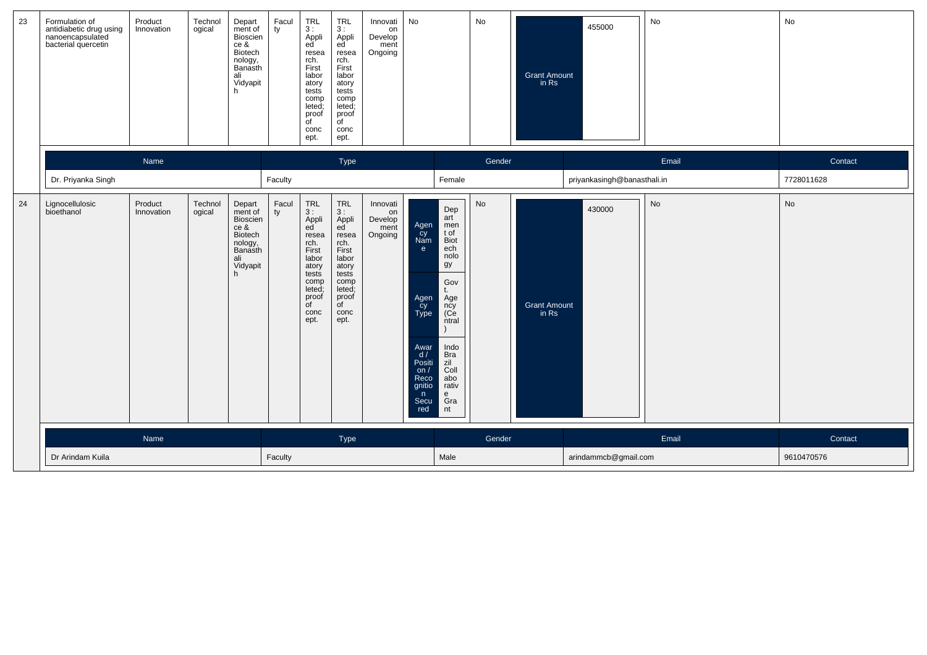| 23 | Formulation of<br>antidiabetic drug using<br>nanoencapsulated<br>bacterial quercetin | Product<br>Innovation | Technol<br>ogical | Depart<br>ment of<br>Bioscien<br>ce &<br>Biotech<br>nology,<br>Banasth<br>ali<br>Vidyapit      | Facul<br>ty | $TRL$<br>3:<br>Appli<br>ed <sup>'</sup><br>resea<br>rch.<br>First<br>labor<br>atory<br>tests<br>comp<br>leted;<br>proof<br>$\overline{C}$<br>conc<br>ept.          | <b>TRL</b><br>3:<br>Appli<br>ed<br>resea<br>rch.<br>First<br>labor<br>atory<br>tests<br>comp<br>leted;<br>proof<br>of<br>conc<br>ept.                              | Innovati<br>on<br>Develop<br>ment<br>Ongoing | No                                                                                                                |                                                                                                                                                                           | No     | <b>Grant Amount</b><br>in Rs | 455000                      | No        | No         |
|----|--------------------------------------------------------------------------------------|-----------------------|-------------------|------------------------------------------------------------------------------------------------|-------------|--------------------------------------------------------------------------------------------------------------------------------------------------------------------|--------------------------------------------------------------------------------------------------------------------------------------------------------------------|----------------------------------------------|-------------------------------------------------------------------------------------------------------------------|---------------------------------------------------------------------------------------------------------------------------------------------------------------------------|--------|------------------------------|-----------------------------|-----------|------------|
|    |                                                                                      | Name                  |                   |                                                                                                |             |                                                                                                                                                                    | Type                                                                                                                                                               |                                              |                                                                                                                   |                                                                                                                                                                           | Gender |                              |                             | Email     | Contact    |
|    | Dr. Priyanka Singh                                                                   |                       |                   |                                                                                                | Faculty     |                                                                                                                                                                    |                                                                                                                                                                    |                                              |                                                                                                                   | Female                                                                                                                                                                    |        |                              | priyankasingh@banasthali.in |           | 7728011628 |
| 24 | Lignocellulosic<br>bioethanol                                                        | Product<br>Innovation | Technol<br>ogical | Depart<br>ment of<br>Bioscien<br>ce &<br>Biotech<br>nology,<br>Banasth<br>ali<br>Vidyapit<br>h | Facul<br>ty | $\ensuremath{\mathsf{TRL}}$<br>3:<br>Appli<br>ed<br>resea<br>rch.<br>First<br>labor<br>atory<br>tests<br>comp<br>leted;<br>proof<br>$\overline{C}$<br>conc<br>ept. | $\ensuremath{\mathsf{TRL}}$<br>3:<br>Appli<br>ed<br>resea<br>rch.<br>First<br>labor<br>atory<br>tests<br>comp<br>leted;<br>proof<br>$\overline{C}$<br>conc<br>ept. | Innovati<br>on<br>Develop<br>ment<br>Ongoing | Agen<br>cy<br>Nam<br>e<br>Agen<br>Cy<br>Type<br>Awar<br>d/<br>Positi<br>on/<br>Reco<br>qnitio<br>n<br>Secu<br>red | Dep<br>art<br>men<br>t of<br><b>Biot</b><br>ech<br>nolo<br>gy<br>Gov<br>Age<br>ncy<br>(Ce<br>ntral<br>Indo<br><b>Bra</b><br>zil<br>Coll<br>abo<br>rativ<br>e<br>Gra<br>nt | No     | <b>Grant Amount</b><br>in Rs | 430000                      | <b>No</b> | No         |
|    |                                                                                      | Name                  |                   |                                                                                                |             |                                                                                                                                                                    | <b>Type</b>                                                                                                                                                        |                                              |                                                                                                                   |                                                                                                                                                                           | Gender |                              |                             | Email     | Contact    |
|    | Dr Arindam Kuila                                                                     |                       |                   |                                                                                                | Faculty     |                                                                                                                                                                    |                                                                                                                                                                    |                                              |                                                                                                                   | Male                                                                                                                                                                      |        |                              | arindammcb@gmail.com        |           | 9610470576 |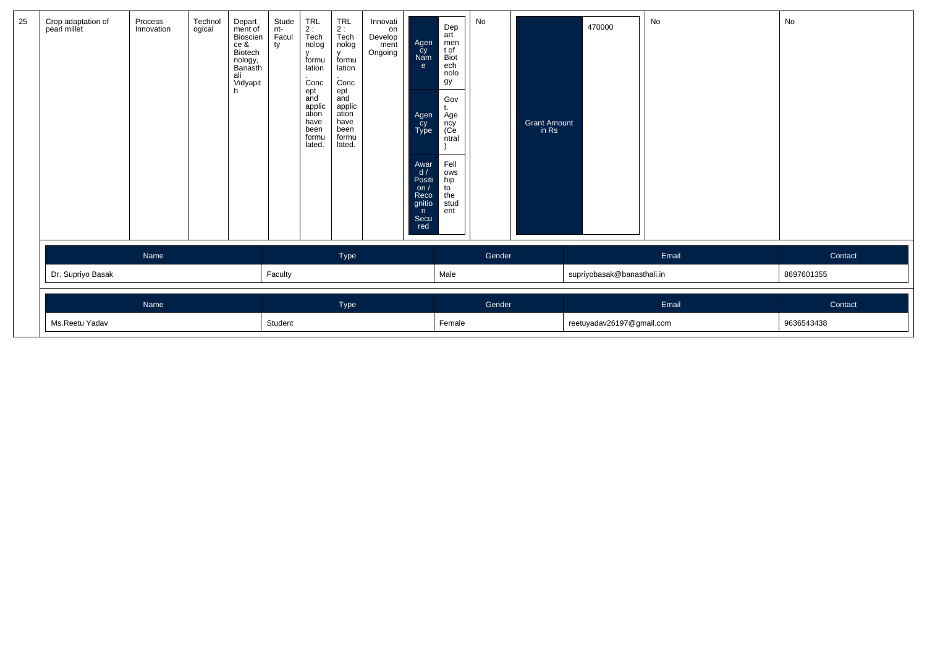| 25 | Crop adaptation of<br>pearl millet | Process<br>Innovation | Technol<br>ogical | Depart<br>ment of<br>Bioscien<br>ce &<br>Biotech<br>nology,<br>Banasth<br>ali<br>Vidyapit<br>h. | Stude<br>nt-<br>Facul<br>ty | $TRL$<br>2:<br>$\bar{T}ech$<br>nolog<br>formu<br>lation<br>Conc<br>ept<br>and<br>applic<br>ation<br>have<br>been<br>formu<br>lated. | <b>TRL</b><br>2:<br>Tech<br>nolog<br>$\mathsf{V}$<br>formu<br>lation<br>Conc<br>ept<br>and<br>applic<br>ation<br>have<br>been<br>formu<br>lated. | Innovati<br>on<br>Develop<br>ment<br>Ongoing | Agen<br>cy<br>Nam<br>e<br>Agen<br>cy<br>Type<br>Awar<br>d/<br>Positi<br>on /<br>Reco<br>gnitio<br>n<br>Secu<br>red | Dep<br>art<br>men<br>t of<br>Biot<br>ech<br>nolo<br>gу<br>Gov<br>Age<br>ncy<br>(Ce<br>ntral<br>Fell<br>ows<br>hip<br>to<br>the<br>stud<br>ent | No                        | <b>Grant Amount</b><br>in Rs | 470000                     | No    | No         |
|----|------------------------------------|-----------------------|-------------------|-------------------------------------------------------------------------------------------------|-----------------------------|-------------------------------------------------------------------------------------------------------------------------------------|--------------------------------------------------------------------------------------------------------------------------------------------------|----------------------------------------------|--------------------------------------------------------------------------------------------------------------------|-----------------------------------------------------------------------------------------------------------------------------------------------|---------------------------|------------------------------|----------------------------|-------|------------|
|    |                                    | Name                  |                   |                                                                                                 |                             |                                                                                                                                     | Type                                                                                                                                             |                                              |                                                                                                                    |                                                                                                                                               | Gender                    |                              |                            | Email | Contact    |
|    | Dr. Supriyo Basak                  |                       |                   |                                                                                                 | Faculty                     |                                                                                                                                     |                                                                                                                                                  |                                              |                                                                                                                    | Male                                                                                                                                          |                           |                              | supriyobasak@banasthali.in |       | 8697601355 |
|    | Name                               |                       |                   |                                                                                                 |                             |                                                                                                                                     | Type                                                                                                                                             |                                              |                                                                                                                    |                                                                                                                                               | Gender                    |                              |                            | Email | Contact    |
|    | Ms.Reetu Yadav                     |                       | Student           |                                                                                                 |                             |                                                                                                                                     |                                                                                                                                                  | Female                                       |                                                                                                                    |                                                                                                                                               | reetuyadav26197@gmail.com |                              | 9636543438                 |       |            |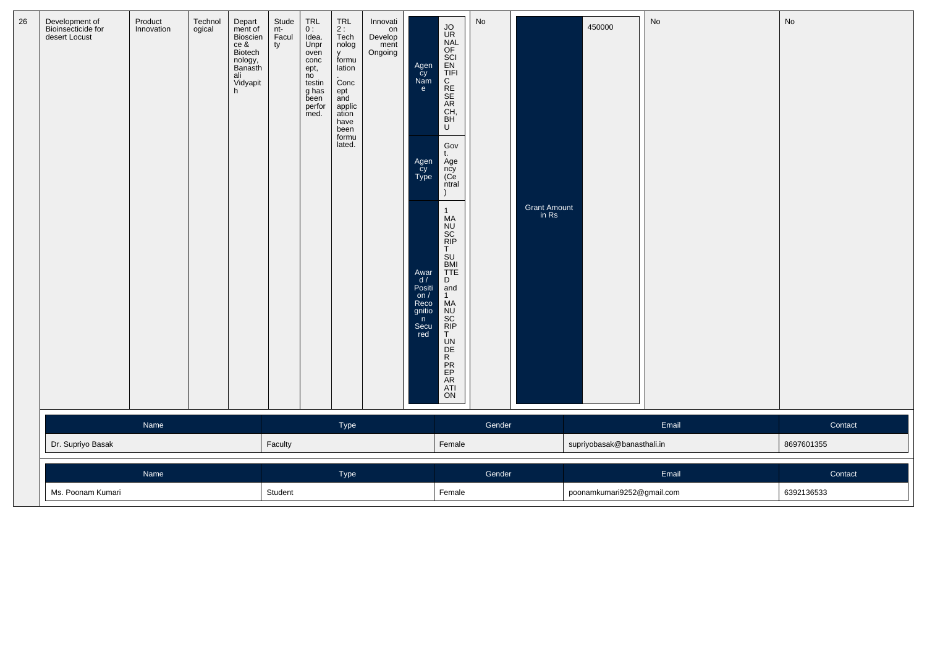| 26 | Development of<br>Bioinsecticide for<br>desert Locust | Product<br>Innovation | Technol<br>ogical | Depart<br>ment of<br>Bioscien<br>ce &<br>Biotech<br>nology,<br>Banasth<br>ali<br>Vidyapit<br>h | Stude<br>nt-<br>Facul<br>ty | TRL<br>0:<br>Idea.<br>Unpr<br>oven<br>conc<br>ept,<br>no<br>testin<br>g has<br>been<br>perfor<br>med. | <b>TRL</b><br>2:<br>Tech<br>nolog<br><b>V</b><br>formu<br>lation<br>Conc<br>ept<br>and<br>applic<br>ation<br>have<br>been<br>formu<br>lated. | Innovati<br>on<br>Develop<br>ment<br>Ongoing | Agen<br>Cy<br>Nam<br>$\mathbf{e}$<br>Agen<br>Cy<br>Type<br>Awar<br>$\frac{d}{d}$<br>Positi<br>$\sqrt{2}$ on /<br>Reco<br>gnitio<br>n<br>Secu<br>red | <b>JORDAN SECTED</b><br>BECK SECTED TO SOME<br>Gov<br>t.<br>Age<br>ncy<br>(Ce<br>ntral<br>1<br>MA<br>NU<br>SC<br>RIP<br>T<br>SU<br>BMI<br>TTE<br>D<br>and<br>1<br>MA<br>NU<br>SC<br>RIP<br>T | No     | Grant Amount<br>in Rs | 450000                     | $\operatorname{\mathsf{No}}$ | No         |
|----|-------------------------------------------------------|-----------------------|-------------------|------------------------------------------------------------------------------------------------|-----------------------------|-------------------------------------------------------------------------------------------------------|----------------------------------------------------------------------------------------------------------------------------------------------|----------------------------------------------|-----------------------------------------------------------------------------------------------------------------------------------------------------|----------------------------------------------------------------------------------------------------------------------------------------------------------------------------------------------|--------|-----------------------|----------------------------|------------------------------|------------|
|    |                                                       | Name                  |                   |                                                                                                |                             |                                                                                                       | Type                                                                                                                                         |                                              |                                                                                                                                                     |                                                                                                                                                                                              | Gender |                       |                            | Email                        | Contact    |
|    | Dr. Supriyo Basak                                     |                       |                   |                                                                                                | Faculty                     |                                                                                                       |                                                                                                                                              |                                              |                                                                                                                                                     | Female                                                                                                                                                                                       |        |                       | supriyobasak@banasthali.in |                              | 8697601355 |
|    |                                                       |                       |                   |                                                                                                | Type                        |                                                                                                       |                                                                                                                                              |                                              | Gender                                                                                                                                              |                                                                                                                                                                                              |        | Email                 | Contact                    |                              |            |
|    | Ms. Poonam Kumari                                     | Name                  |                   |                                                                                                |                             |                                                                                                       |                                                                                                                                              |                                              |                                                                                                                                                     | Female                                                                                                                                                                                       |        |                       | poonamkumari9252@gmail.com |                              | 6392136533 |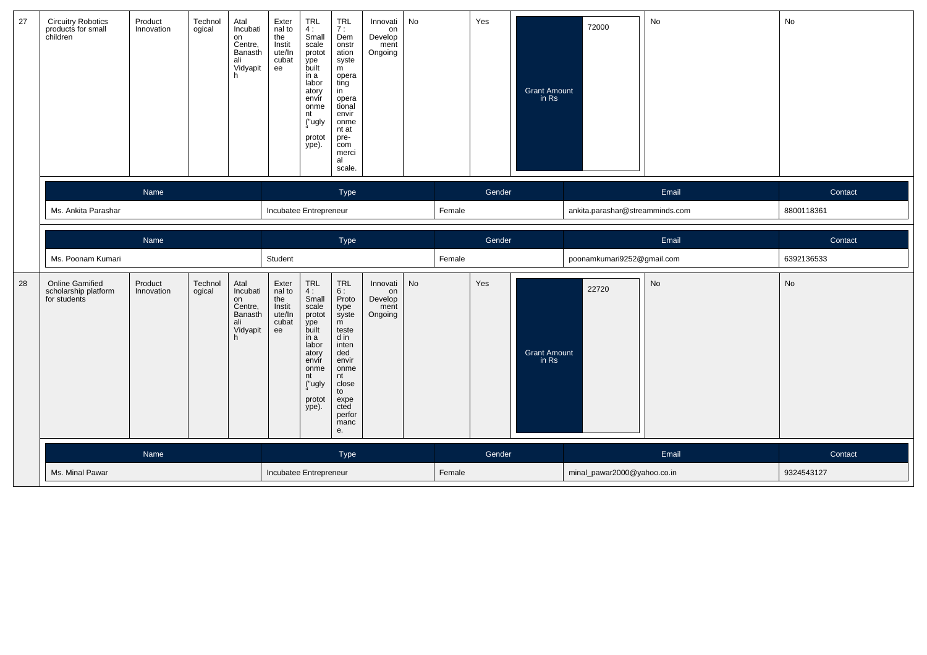| 27 | <b>Circuitry Robotics</b><br>products for small<br>children | Product<br>Innovation | Technol<br>ogical | Atal<br>Incubati<br>on<br>Centre,<br>Banasth<br>ali<br>Vidyapit<br>h | Exter<br>nal to<br>the<br>Instit<br>ute/In<br>cubat<br>ee | TRL<br>4:<br>Small<br>scale<br>protot<br>ype<br>built<br>in a<br>labor<br>atory<br>envir<br>onme<br>nt<br>("ugly<br>protot<br>ype).    | TRL<br>7:<br>Dem<br>onstr<br>ation<br>syste<br>m<br>opera<br>ting<br>in<br>opera<br>tional<br>envir<br>onme<br>nt at<br>pre-<br>com<br>merci<br>al<br>scale.                    | Innovati<br>on<br>Develop<br>ment<br>Ongoing | No |        | Yes    | <b>Grant Amount</b><br>in Rs | 72000                           | No    | No         |
|----|-------------------------------------------------------------|-----------------------|-------------------|----------------------------------------------------------------------|-----------------------------------------------------------|----------------------------------------------------------------------------------------------------------------------------------------|---------------------------------------------------------------------------------------------------------------------------------------------------------------------------------|----------------------------------------------|----|--------|--------|------------------------------|---------------------------------|-------|------------|
|    |                                                             | Name                  |                   |                                                                      |                                                           |                                                                                                                                        | Type                                                                                                                                                                            |                                              |    |        | Gender |                              |                                 | Email | Contact    |
|    | Ms. Ankita Parashar                                         |                       |                   |                                                                      | Incubatee Entrepreneur                                    |                                                                                                                                        |                                                                                                                                                                                 |                                              |    | Female |        |                              | ankita.parashar@streamminds.com |       | 8800118361 |
|    |                                                             | Name                  |                   |                                                                      |                                                           |                                                                                                                                        | Type                                                                                                                                                                            |                                              |    |        | Gender |                              |                                 | Email | Contact    |
|    | Ms. Poonam Kumari                                           |                       |                   |                                                                      | Student                                                   |                                                                                                                                        |                                                                                                                                                                                 |                                              |    | Female |        |                              | poonamkumari9252@gmail.com      |       | 6392136533 |
| 28 | <b>Online Gamified</b>                                      |                       |                   |                                                                      |                                                           |                                                                                                                                        |                                                                                                                                                                                 |                                              |    |        |        |                              |                                 |       |            |
|    | scholarship platform<br>for students                        | Product<br>Innovation | Technol<br>ogical | Atal<br>Incubati<br>on<br>Centre,<br>Banasth<br>ali<br>Vidyapit<br>h | Exter<br>nal to<br>the<br>Instit<br>ute/In<br>cubat<br>ee | TRL<br>4:<br>Small<br>scale<br>protot<br>ype<br>built<br>in a<br>labor<br>atory<br>envir<br>onme<br>nt<br>("ugly<br>protot<br>$ype)$ . | $\ensuremath{\mathsf{TRL}}$<br>6:<br>Proto<br>type<br>syste<br>m<br>teste<br>d in<br>inten<br>ded<br>envir<br>onme<br>nt<br>close<br>to<br>expe<br>cted<br>perfor<br>manc<br>е. | Innovati<br>on<br>Develop<br>ment<br>Ongoing | No |        | Yes    | <b>Grant Amount</b><br>in Rs | 22720                           | No    | No         |
|    |                                                             | Name                  |                   |                                                                      |                                                           |                                                                                                                                        | Type                                                                                                                                                                            |                                              |    |        | Gender |                              |                                 | Email | Contact    |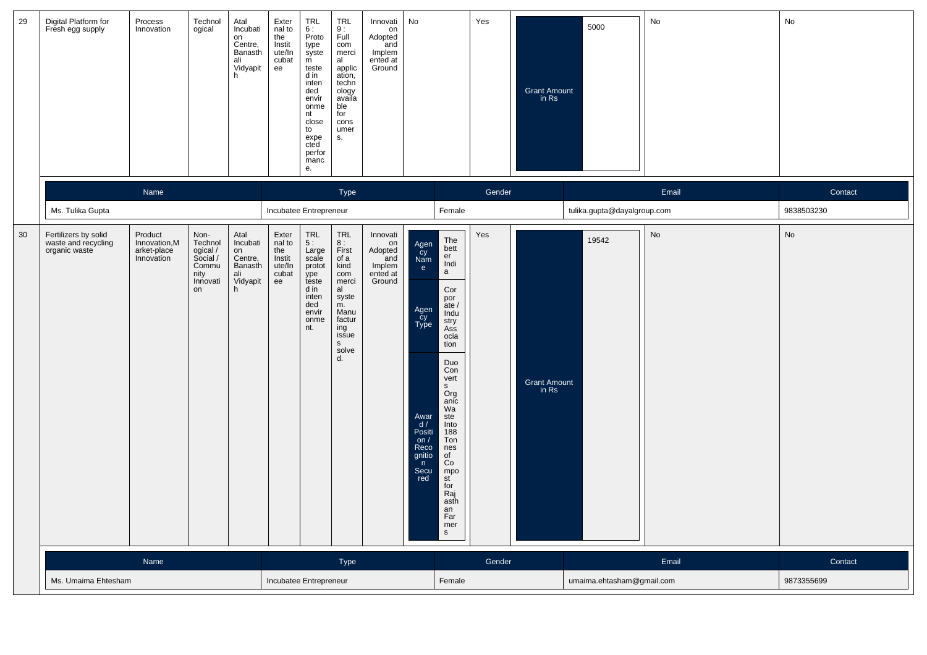| 29 | Digital Platform for<br>Fresh egg supply                     | Process<br>Innovation                                | Technol<br>ogical                                                          | Atal<br>Incubati<br>on<br>Centre,<br>Banasth<br>ali<br>Vidyapit<br>h | Exter<br>nal to<br>the<br>Instit<br>ute/In<br>cubat<br>ee | TRL<br>6:<br>Proto<br>type<br>syste<br>m<br>teste<br>d in<br>inten<br>ded<br>envir<br>onme<br>nt<br>close<br>to<br>expe<br>cted<br>perfor<br>manc<br>е. | <b>TRL</b><br>9:<br>Full<br>com<br>merci<br>al<br>applic<br>ation,<br>techn<br>ology<br>availa<br>ble<br>for<br>cons<br>umer<br>S. | Innovati<br>on<br>Adopted<br>and<br>Implem<br>ented at<br>Ground | No                                                                                                                   |                                                                                                                                                                                                                                                                    | Yes    | Grant Amount<br>in Rs | 5000                        | No    | No         |
|----|--------------------------------------------------------------|------------------------------------------------------|----------------------------------------------------------------------------|----------------------------------------------------------------------|-----------------------------------------------------------|---------------------------------------------------------------------------------------------------------------------------------------------------------|------------------------------------------------------------------------------------------------------------------------------------|------------------------------------------------------------------|----------------------------------------------------------------------------------------------------------------------|--------------------------------------------------------------------------------------------------------------------------------------------------------------------------------------------------------------------------------------------------------------------|--------|-----------------------|-----------------------------|-------|------------|
|    |                                                              | Name                                                 |                                                                            |                                                                      |                                                           |                                                                                                                                                         | <b>Type</b>                                                                                                                        |                                                                  |                                                                                                                      |                                                                                                                                                                                                                                                                    | Gender |                       |                             | Email | Contact    |
|    | Ms. Tulika Gupta                                             |                                                      |                                                                            |                                                                      | Incubatee Entrepreneur                                    |                                                                                                                                                         |                                                                                                                                    |                                                                  |                                                                                                                      | Female                                                                                                                                                                                                                                                             |        |                       | tulika.gupta@dayalgroup.com |       | 9838503230 |
| 30 | Fertilizers by solid<br>waste and recycling<br>organic waste | Product<br>Innovation,M<br>arket-place<br>Innovation | Non-<br>Technol<br>ogical /<br>Social /<br>Commu<br>nity<br>Innovati<br>on | Atal<br>Incubati<br>on<br>Centre,<br>Banasth<br>ali<br>Vidyapit<br>h | Exter<br>nal to<br>the<br>Instit<br>ute/In<br>cubat<br>ee | $\ensuremath{\mathsf{TRL}}$<br>5 :<br>Large<br>scale<br>protot<br>ype<br>teste<br>d in<br>inten<br>ded<br>envir<br>onme<br>nt.                          | TRL<br>8 :<br>First<br>of a<br>kind<br>com<br>merci<br>al<br>syste<br>m.<br>Manu<br>factur<br>ing<br>issue<br>S<br>solve<br>d.     | Innovati<br>on<br>Adopted<br>and<br>Implem<br>ented at<br>Ground | Agen<br>Cy<br>Nam<br>e<br>Agen<br>cy<br>Type<br>Awar<br>d/<br>Positi<br>on $/$<br>Reco<br>gnitio<br>n<br>Secu<br>red | The<br>bett<br>er<br>Indi<br>a<br>Cor<br>por<br>ate/<br>Indu<br>stry<br>Ass<br>ocia<br>tion<br>Duo<br>Con<br>vert<br>S<br>Org<br>anic<br>Wa<br>ste<br>Into<br>188<br>Ton<br>nes<br>of<br>Co<br>mpo<br>st<br>for<br>Raj<br>asth<br>an<br>Far<br>mer<br>$\mathsf{s}$ | Yes    | Grant Amount<br>in Rs | 19542                       | No    | No         |
|    |                                                              | Name                                                 |                                                                            |                                                                      |                                                           |                                                                                                                                                         | Type                                                                                                                               |                                                                  |                                                                                                                      |                                                                                                                                                                                                                                                                    | Gender |                       |                             | Email | Contact    |
|    | Ms. Umaima Ehtesham                                          |                                                      | Incubatee Entrepreneur                                                     |                                                                      |                                                           |                                                                                                                                                         | Female                                                                                                                             |                                                                  |                                                                                                                      | umaima.ehtasham@gmail.com                                                                                                                                                                                                                                          |        | 9873355699            |                             |       |            |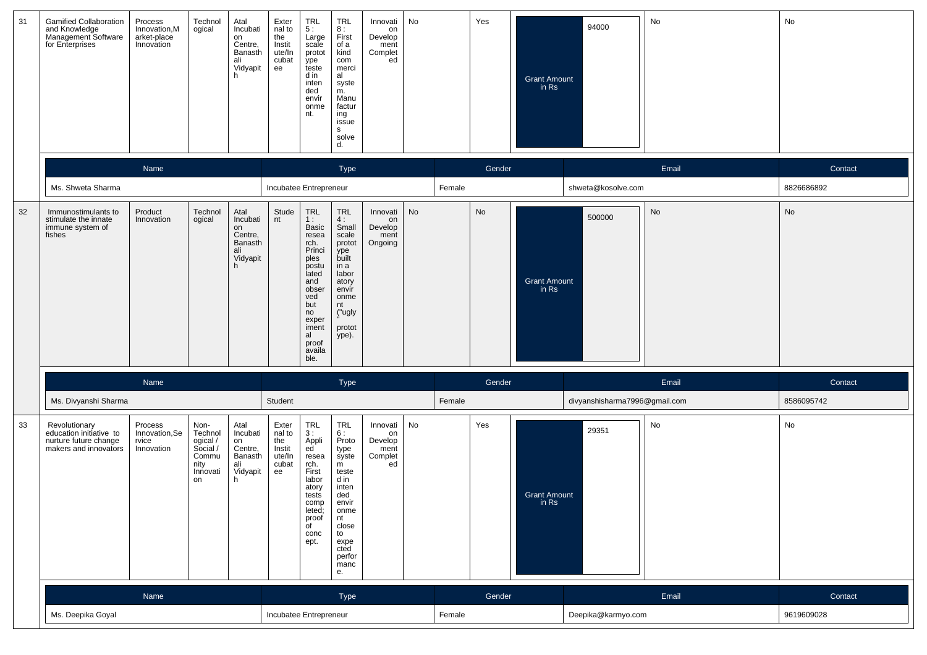| 31 | <b>Gamified Collaboration</b><br>and Knowledge<br>Management Software<br>for Enterprises   | Process<br>Innovation, M<br>arket-place<br>Innovation | Technol<br>ogical                                                          | Atal<br>Incubati<br>on<br>Centre,<br>Banasth<br>ali<br>Vidyapit<br>h | Exter<br>nal to<br>the<br>Instit<br>ute/In<br>cubat<br>ee | <b>TRL</b><br>5:<br>Large<br>scale<br>protot<br>ype<br>teste<br>d in<br>inten<br>ded<br>envir<br>onme<br>nt.                                                          | <b>TRL</b><br>8 :<br>First<br>of a<br>kind<br>com<br>merci<br>al<br>syste<br>m.<br>Manu<br>factur<br>ing<br>issue<br>s.<br>solve<br>d.                         | Innovati<br>on<br>Develop<br>ment<br>Complet<br>ed | No     |        | Yes    | Grant Amount<br>in Rs          | 94000                         | No         | No         |
|----|--------------------------------------------------------------------------------------------|-------------------------------------------------------|----------------------------------------------------------------------------|----------------------------------------------------------------------|-----------------------------------------------------------|-----------------------------------------------------------------------------------------------------------------------------------------------------------------------|----------------------------------------------------------------------------------------------------------------------------------------------------------------|----------------------------------------------------|--------|--------|--------|--------------------------------|-------------------------------|------------|------------|
|    |                                                                                            | Name                                                  |                                                                            |                                                                      |                                                           |                                                                                                                                                                       | Type                                                                                                                                                           |                                                    |        |        | Gender |                                |                               | Email      | Contact    |
|    | Ms. Shweta Sharma                                                                          |                                                       |                                                                            |                                                                      | Incubatee Entrepreneur                                    |                                                                                                                                                                       |                                                                                                                                                                |                                                    |        | Female |        |                                | shweta@kosolve.com            |            | 8826686892 |
| 32 | Immunostimulants to<br>stimulate the innate<br>immune system of<br>fishes                  | Product<br>Innovation                                 | Technol<br>ogical                                                          | Atal<br>Incubati<br>on<br>Centre,<br>Banasth<br>ali<br>Vidyapit<br>h | Stude<br>nt                                               | <b>TRL</b><br>1:<br>Basic<br>resea<br>rch.<br>Princi<br>ples<br>postu<br>lated<br>and<br>obser<br>ved<br>but<br>no<br>exper<br>iment<br>al<br>proof<br>availa<br>ble. | <b>TRL</b><br>4:<br>Small<br>scale<br>protot<br>ype<br>built<br>in a<br>labor<br>atory<br>envir<br>onme<br>nt<br>("ugly<br>protot<br>ype).                     | Innovati<br>on<br>Develop<br>ment<br>Ongoing       | No     |        | No     | <b>Grant Amount</b><br>$in$ Rs | 500000                        | No         | No         |
|    |                                                                                            | Name                                                  |                                                                            |                                                                      |                                                           |                                                                                                                                                                       | <b>Type</b>                                                                                                                                                    |                                                    |        |        | Gender |                                |                               | Email      | Contact    |
|    | Ms. Divyanshi Sharma                                                                       |                                                       |                                                                            |                                                                      | Student                                                   |                                                                                                                                                                       |                                                                                                                                                                |                                                    |        | Female |        |                                | divyanshisharma7996@gmail.com |            | 8586095742 |
| 33 | Revolutionary<br>education initiative to<br>nurture future change<br>makers and innovators | Process<br>Innovation, Se<br>rvice<br>Innovation      | Non-<br>Technol<br>ogical /<br>Social /<br>Commu<br>nity<br>Innovati<br>on | Atal<br>Incubati<br>on<br>Centre,<br>Banasth<br>ali<br>Vidyapit<br>h | Exter<br>nal to<br>the<br>Instit<br>ute/In<br>cubat<br>ee | TRL<br>3:<br>Appli<br>ed<br>resea<br>rch.<br>First<br>labor<br>atory<br>tests<br>comp<br>leted;<br>proof<br>of<br>conc<br>ept.                                        | <b>TRL</b><br>6:<br>Proto<br>type<br>syste<br>m<br>teste<br>d in<br>inten<br>ded<br>envir<br>onme<br>nt<br>close<br>to<br>expe<br>cted<br>perfor<br>manc<br>е. | Innovati<br>on<br>Develop<br>ment<br>Complet<br>ed | No     |        | Yes    | <b>Grant Amount</b><br>in Rs   | 29351                         | No         | No         |
|    |                                                                                            | Name                                                  |                                                                            |                                                                      |                                                           |                                                                                                                                                                       | <b>Type</b>                                                                                                                                                    |                                                    |        |        | Gender |                                |                               | Email      | Contact    |
|    | Ms. Deepika Goyal                                                                          |                                                       |                                                                            | Incubatee Entrepreneur                                               |                                                           |                                                                                                                                                                       |                                                                                                                                                                |                                                    | Female |        |        | Deepika@karmyo.com             |                               | 9619609028 |            |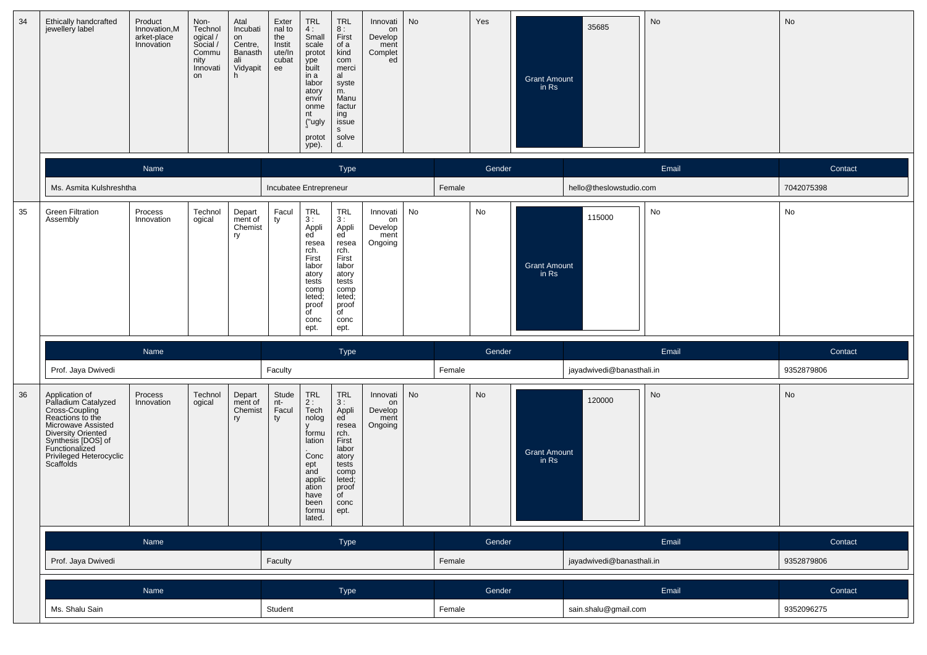| 34 | Ethically handcrafted<br>jewellery label                                                                                                                                                                       | Product<br>Innovation, M<br>arket-place<br>Innovation | Non-<br>Technol<br>ogical /<br>Social /<br>Commu<br>nity<br>Innovati<br>on | Atal<br>Incubati<br>on<br>Centre,<br>Banasth<br>ali<br>Vidyapit<br>h. | Exter<br>nal to<br>the<br>Instit<br>ute/In<br>cubat<br>ee | <b>TRL</b><br>4:<br>Small<br>scale<br>protot<br>ype<br>built<br>in a<br>labor<br>atory<br>envir<br>onme<br>nt<br>("ugly<br>protot<br>ype). | <b>TRL</b><br>8:<br>First<br>of a<br>kind<br>com<br>merci<br>al<br>syste<br>m.<br>Manu<br>factur<br>ing<br>issue<br>$\mathsf{s}$<br>solve<br>d.   | Innovati<br>on<br>Develop<br>ment<br>Complet<br>ed | No     |        | Yes    | <b>Grant Amount</b><br>in Rs | 35685                     | No         | No         |
|----|----------------------------------------------------------------------------------------------------------------------------------------------------------------------------------------------------------------|-------------------------------------------------------|----------------------------------------------------------------------------|-----------------------------------------------------------------------|-----------------------------------------------------------|--------------------------------------------------------------------------------------------------------------------------------------------|---------------------------------------------------------------------------------------------------------------------------------------------------|----------------------------------------------------|--------|--------|--------|------------------------------|---------------------------|------------|------------|
|    |                                                                                                                                                                                                                | Name                                                  |                                                                            |                                                                       |                                                           |                                                                                                                                            | <b>Type</b>                                                                                                                                       |                                                    |        |        | Gender |                              |                           | Email      | Contact    |
|    | Ms. Asmita Kulshreshtha                                                                                                                                                                                        |                                                       |                                                                            |                                                                       | Incubatee Entrepreneur                                    |                                                                                                                                            |                                                                                                                                                   |                                                    |        | Female |        |                              | hello@theslowstudio.com   |            | 7042075398 |
| 35 | <b>Green Filtration</b><br>Assembly                                                                                                                                                                            | Process<br>Innovation                                 | Technol<br>ogical                                                          | Depart<br>ment of<br>Chemist<br>ry                                    | Facul<br>ty                                               | TRL<br>3:<br>Appli<br>ed<br>resea<br>rch.<br>First<br>labor<br>atory<br>tests<br>comp<br>leted;<br>proof<br>$\overline{f}$<br>conc<br>ept. | <b>TRL</b><br>3:<br>Appli<br>ed<br>resea<br>rch.<br>First<br>labor<br>atory<br>tests<br>comp<br>leted;<br>proof<br>$\overline{C}$<br>conc<br>ept. | Innovati<br>on<br>Develop<br>ment<br>Ongoing       | No     |        | No     | <b>Grant Amount</b><br>in Rs | 115000                    | No         | No         |
|    |                                                                                                                                                                                                                | Name                                                  |                                                                            |                                                                       |                                                           |                                                                                                                                            | <b>Type</b>                                                                                                                                       |                                                    |        |        | Gender |                              |                           | Email      | Contact    |
|    | Prof. Jaya Dwivedi                                                                                                                                                                                             |                                                       |                                                                            |                                                                       | Faculty                                                   |                                                                                                                                            |                                                                                                                                                   |                                                    |        | Female |        |                              | jayadwivedi@banasthali.in |            | 9352879806 |
| 36 | Application of<br>Palladium Catalyzed<br>Cross-Coupling<br>Reactions to the<br>Microwave Assisted<br><b>Diversity Oriented</b><br>Synthesis [DOS] of<br>Functionalized<br>Privileged Heterocyclic<br>Scaffolds | Process<br>Innovation                                 | Technol<br>ogical                                                          | Depart<br>ment of<br>Chemist<br>ry                                    | Stude<br>nt-<br>Facul<br>ty                               | TRL<br>2:<br>Tech<br>nolog<br>formu<br>lation<br>Conc<br>ept<br>and<br>applic<br>ation<br>have<br>been<br>formu<br>lated.                  | TRL<br>3:<br>Appli<br>ed<br>resea<br>rch.<br>First<br>labor<br>atory<br>tests<br>comp<br>leted;<br>proof<br>of<br>conc<br>ept.                    | Innovati<br>on<br>Develop<br>ment<br>Ongoing       | No     |        | No     | <b>Grant Amount</b><br>in Rs | 120000                    | No         | No         |
|    |                                                                                                                                                                                                                | Name                                                  |                                                                            |                                                                       |                                                           |                                                                                                                                            | Type                                                                                                                                              |                                                    |        |        | Gender |                              |                           | Email      | Contact    |
|    | Prof. Jaya Dwivedi                                                                                                                                                                                             |                                                       |                                                                            |                                                                       | Faculty                                                   |                                                                                                                                            |                                                                                                                                                   |                                                    |        | Female |        |                              | jayadwivedi@banasthali.in |            | 9352879806 |
|    |                                                                                                                                                                                                                | Name                                                  |                                                                            |                                                                       |                                                           |                                                                                                                                            | Type                                                                                                                                              |                                                    |        |        | Gender |                              |                           | Email      | Contact    |
|    | Ms. Shalu Sain                                                                                                                                                                                                 |                                                       |                                                                            | Student                                                               |                                                           |                                                                                                                                            |                                                                                                                                                   |                                                    | Female |        |        | sain.shalu@gmail.com         |                           | 9352096275 |            |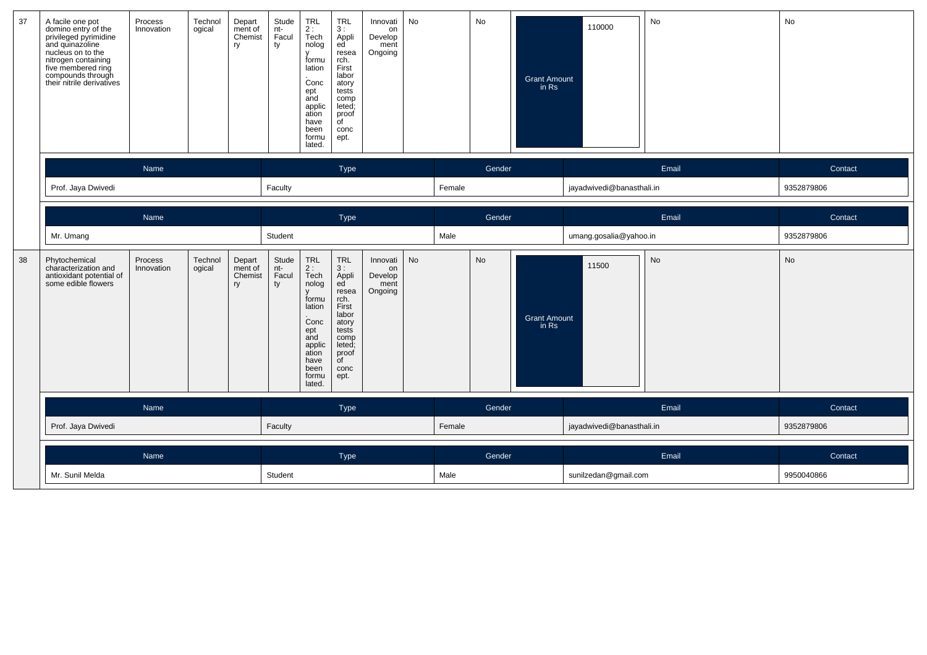| 37 | A facile one pot<br>domino entry of the<br>privileged pyrimidine<br>and quinazoline<br>nucleus on to the<br>nitrogen containing<br>five membered ring<br>compounds through<br>their nitrile derivatives | Process<br>Innovation | Technol<br>ogical | Depart<br>ment of<br>Chemist<br>ry | Stude<br>nt-<br>Facul<br>ty | TRL<br>2 :<br>Tech<br>nolog<br>$\mathsf{v}$<br>formu<br>lation<br>Conc<br>ept<br>and<br>applic<br>ation<br>have<br>been<br>formu<br>lated.       | TRL<br>3:<br>Appli<br>ed<br>resea<br>rch.<br>First<br>labor<br>atory<br>tests<br>comp<br>leted;<br>proof<br>$\overline{C}$<br>conc<br>ept.         | Innovati<br>on<br>Develop<br>ment<br>Ongoing | No |        | No                   | <b>Grant Amount</b><br>in Rs | 110000                    | No    | No         |
|----|---------------------------------------------------------------------------------------------------------------------------------------------------------------------------------------------------------|-----------------------|-------------------|------------------------------------|-----------------------------|--------------------------------------------------------------------------------------------------------------------------------------------------|----------------------------------------------------------------------------------------------------------------------------------------------------|----------------------------------------------|----|--------|----------------------|------------------------------|---------------------------|-------|------------|
|    |                                                                                                                                                                                                         | Name                  |                   |                                    |                             |                                                                                                                                                  | Type                                                                                                                                               |                                              |    |        | Gender               |                              |                           | Email | Contact    |
|    | Prof. Jaya Dwivedi                                                                                                                                                                                      |                       |                   |                                    | Faculty                     |                                                                                                                                                  |                                                                                                                                                    |                                              |    | Female |                      |                              | jayadwivedi@banasthali.in |       | 9352879806 |
|    |                                                                                                                                                                                                         | Name                  |                   |                                    |                             |                                                                                                                                                  | Type                                                                                                                                               |                                              |    |        | Gender               |                              |                           | Email | Contact    |
|    | Mr. Umang                                                                                                                                                                                               |                       |                   |                                    | Student                     |                                                                                                                                                  |                                                                                                                                                    |                                              |    | Male   |                      |                              | umang.gosalia@yahoo.in    |       | 9352879806 |
| 38 | Phytochemical<br>characterization and<br>antioxidant potential of<br>some edible flowers                                                                                                                | Process<br>Innovation | Technol<br>ogical | Depart<br>ment of<br>Chemist<br>ry | Stude<br>nt-<br>Facul<br>ty | <b>TRL</b><br>2:<br>Tech<br>nolog<br>$\mathsf{V}$<br>formu<br>lation<br>Conc<br>ept<br>and<br>applic<br>ation<br>have<br>been<br>formu<br>lated. | <b>TRL</b><br>3:<br>Appli<br>ed <sup>'</sup><br>resea<br>rch.<br>First<br>labor<br>atory<br>tests<br>comp<br>leted;<br>proof<br>of<br>conc<br>ept. | Innovati<br>on<br>Develop<br>ment<br>Ongoing | No |        | No                   | <b>Grant Amount</b><br>in Rs | 11500                     | No    | No         |
|    |                                                                                                                                                                                                         | Name                  |                   |                                    |                             |                                                                                                                                                  | Type                                                                                                                                               |                                              |    |        | Gender               |                              |                           | Email | Contact    |
|    | Prof. Jaya Dwivedi                                                                                                                                                                                      |                       |                   |                                    | Faculty                     |                                                                                                                                                  |                                                                                                                                                    |                                              |    | Female |                      |                              | jayadwivedi@banasthali.in |       | 9352879806 |
|    |                                                                                                                                                                                                         | Name                  |                   |                                    |                             |                                                                                                                                                  | Type                                                                                                                                               |                                              |    |        | Gender               |                              |                           | Email | Contact    |
|    | Mr. Sunil Melda                                                                                                                                                                                         |                       | Student           |                                    |                             |                                                                                                                                                  |                                                                                                                                                    | Male                                         |    |        | sunilzedan@gmail.com |                              | 9950040866                |       |            |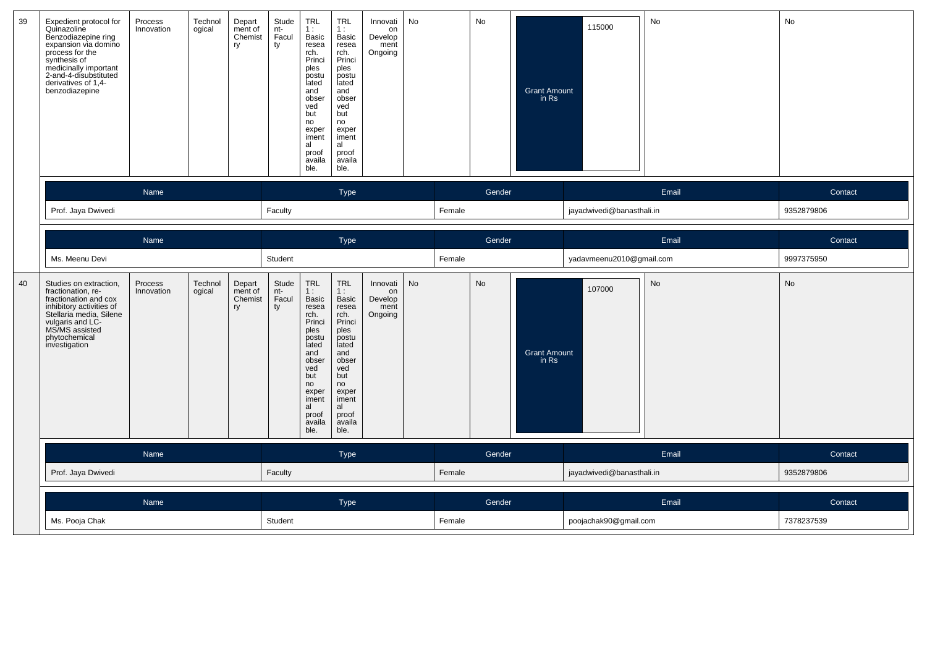| 39 | Expedient protocol for<br>Quinazoline<br>Benzodiazepine ring<br>expansion via domino<br>process for the<br>synthesis of<br>medicinally important<br>2-and-4-disubstituted<br>derivatives of 1,4-<br>benzodiazepine | Process<br>Innovation | Technol<br>ogical<br>ry | Depart<br>ment of<br>Chemist | Stude<br>nt-<br>Facul<br>ty | TRL<br>1:<br>Basic<br>resea<br>rch.<br>Princi<br>ples<br>postu<br>lated<br>and<br>obser<br>ved<br>but<br>no<br>exper<br>iment<br>al<br>proof<br>availa<br>ble. | TRL<br>1:<br>Basic<br>resea<br>rch.<br>Princi<br>ples<br>postu<br>lated<br>and<br>obser<br>ved<br>but<br>no<br>exper<br>iment<br>al<br>proof<br>availa<br>ble.               | Innovati<br>on<br>Develop<br>ment<br>Ongoing | No        |        | No     | <b>Grant Amount</b><br>in Rs | 115000                    | No        | No         |
|----|--------------------------------------------------------------------------------------------------------------------------------------------------------------------------------------------------------------------|-----------------------|-------------------------|------------------------------|-----------------------------|----------------------------------------------------------------------------------------------------------------------------------------------------------------|------------------------------------------------------------------------------------------------------------------------------------------------------------------------------|----------------------------------------------|-----------|--------|--------|------------------------------|---------------------------|-----------|------------|
|    |                                                                                                                                                                                                                    | Name                  |                         |                              |                             |                                                                                                                                                                | Type                                                                                                                                                                         |                                              |           |        | Gender |                              |                           | Email     | Contact    |
|    | Prof. Jaya Dwivedi                                                                                                                                                                                                 |                       |                         |                              | Faculty                     |                                                                                                                                                                |                                                                                                                                                                              |                                              |           | Female |        |                              | jayadwivedi@banasthali.in |           | 9352879806 |
|    |                                                                                                                                                                                                                    |                       |                         |                              |                             |                                                                                                                                                                |                                                                                                                                                                              |                                              |           |        |        |                              |                           |           |            |
|    |                                                                                                                                                                                                                    | Name                  |                         |                              |                             |                                                                                                                                                                | Type                                                                                                                                                                         |                                              |           |        | Gender |                              |                           | Email     | Contact    |
|    | Ms. Meenu Devi                                                                                                                                                                                                     |                       |                         |                              | Student                     |                                                                                                                                                                |                                                                                                                                                                              |                                              |           | Female |        |                              | yadavmeenu2010@gmail.com  |           | 9997375950 |
| 40 | Studies on extraction,<br>fractionation, re-<br>fractionation and cox<br>inhibitory activities of<br>Stellaria media, Silene<br>vulgaris and LC-<br>MS/MS assisted<br>phytochemical<br>investigation               | Process<br>Innovation | Technol<br>ogical<br>ry | Depart<br>ment of<br>Chemist | Stude<br>nt-<br>Facul<br>ty | TRL<br>1:<br>Basic<br>resea<br>rch.<br>Princi<br>ples<br>postu<br>lated<br>and<br>obser<br>ved<br>but<br>no<br>exper<br>iment<br>al<br>proof<br>availa<br>ble. | <b>TRL</b><br>1:<br><b>Basic</b><br>resea<br>rch.<br>Princi<br>ples<br>postu<br>lated<br>and<br>obser<br>ved<br>but<br>no<br>exper<br>iment<br>al<br>proof<br>availa<br>ble. | Innovati<br>on<br>Develop<br>ment<br>Ongoing | <b>No</b> |        | No     | <b>Grant Amount</b><br>in Rs | 107000                    | <b>No</b> | <b>No</b>  |
|    |                                                                                                                                                                                                                    | Name                  |                         |                              |                             |                                                                                                                                                                | Type                                                                                                                                                                         |                                              |           |        | Gender |                              |                           | Email     | Contact    |
|    | Prof. Jaya Dwivedi                                                                                                                                                                                                 |                       |                         |                              |                             |                                                                                                                                                                |                                                                                                                                                                              |                                              |           | Female |        |                              | jayadwivedi@banasthali.in |           | 9352879806 |
|    |                                                                                                                                                                                                                    | Name                  |                         |                              |                             |                                                                                                                                                                | Type                                                                                                                                                                         |                                              |           |        | Gender |                              |                           | Email     | Contact    |
|    |                                                                                                                                                                                                                    |                       |                         |                              | Student                     |                                                                                                                                                                |                                                                                                                                                                              |                                              |           |        |        |                              |                           |           |            |
|    |                                                                                                                                                                                                                    | Ms. Pooja Chak        |                         |                              |                             |                                                                                                                                                                |                                                                                                                                                                              |                                              |           | Female |        |                              | poojachak90@gmail.com     |           | 7378237539 |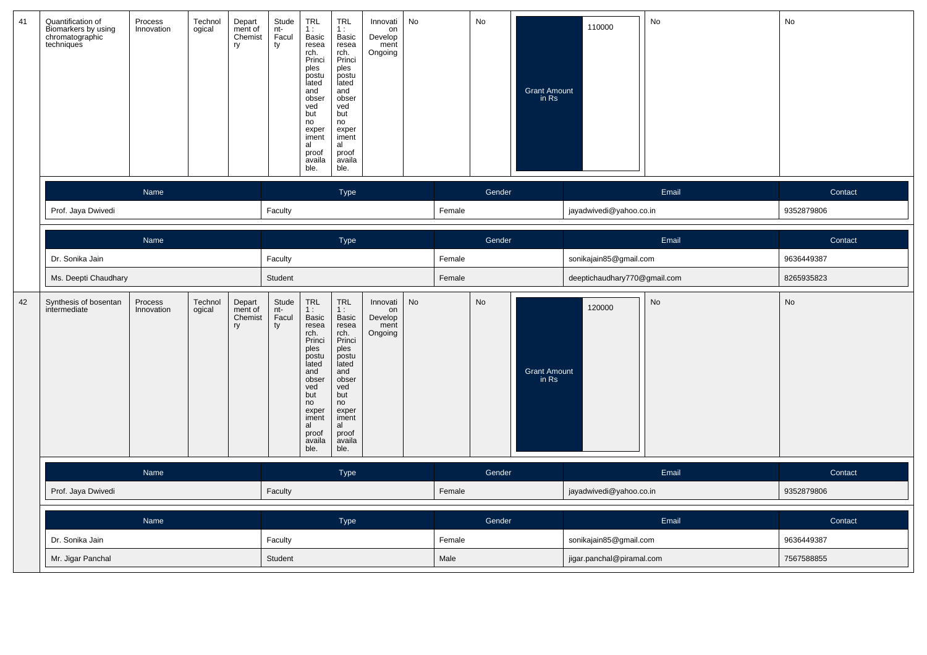| 41 | Quantification of<br>Biomarkers by using<br>chromatographic<br>techniques | Process<br>Innovation | Technol<br>ogical | Depart<br>ment of<br>Chemist<br>ry | Stude<br>nt-<br>Facul<br>ty | TRL<br>1:<br>Basic<br>resea<br>rch.<br>Princi<br>ples<br>postu<br>lated<br>and<br>obser<br>ved<br>but<br>no<br>exper<br>iment<br>al<br>proof<br>availa<br>ble. | <b>TRL</b><br>1:<br>Basic<br>resea<br>rch.<br>Princi<br>ples<br>postu<br>lated<br>and<br>obser<br>ved<br>but<br>no<br>exper<br>iment<br>al<br>proof<br>availa<br>ble.         | Innovati<br>on<br>Develop<br>ment<br>Ongoing | No |        | No     | <b>Grant Amount</b><br>in Rs | 110000                       | No    | No         |
|----|---------------------------------------------------------------------------|-----------------------|-------------------|------------------------------------|-----------------------------|----------------------------------------------------------------------------------------------------------------------------------------------------------------|-------------------------------------------------------------------------------------------------------------------------------------------------------------------------------|----------------------------------------------|----|--------|--------|------------------------------|------------------------------|-------|------------|
|    |                                                                           | Name                  |                   |                                    |                             |                                                                                                                                                                | Type                                                                                                                                                                          |                                              |    |        | Gender |                              |                              | Email | Contact    |
|    | Prof. Jaya Dwivedi                                                        |                       |                   |                                    | Faculty                     |                                                                                                                                                                |                                                                                                                                                                               |                                              |    | Female |        |                              | jayadwivedi@yahoo.co.in      |       | 9352879806 |
|    |                                                                           | Name                  |                   |                                    |                             |                                                                                                                                                                | Type                                                                                                                                                                          |                                              |    |        | Gender |                              |                              | Email | Contact    |
|    | Dr. Sonika Jain                                                           |                       |                   |                                    |                             |                                                                                                                                                                |                                                                                                                                                                               |                                              |    | Female |        |                              | sonikajain85@gmail.com       |       | 9636449387 |
|    | Ms. Deepti Chaudhary                                                      |                       |                   |                                    |                             |                                                                                                                                                                |                                                                                                                                                                               |                                              |    | Female |        |                              | deeptichaudhary770@gmail.com |       | 8265935823 |
| 42 | Synthesis of bosentan<br>intermediate                                     | Process<br>Innovation | Technol<br>ogical | Depart<br>ment of<br>Chemist<br>ry | Stude<br>nt-<br>Facul<br>ty | TRL<br>1:<br>Basic<br>resea<br>rch.<br>Princi<br>ples<br>postu<br>lated<br>and<br>obser<br>ved<br>but<br>no<br>exper<br>iment<br>al<br>proof<br>availa<br>ble. | <b>TRL</b><br>1 :<br><b>Basic</b><br>resea<br>rch.<br>Princi<br>ples<br>postu<br>lated<br>and<br>obser<br>ved<br>but<br>no<br>exper<br>iment<br>al<br>proof<br>availa<br>ble. | Innovati<br>on<br>Develop<br>ment<br>Ongoing | No |        | No     | <b>Grant Amount</b><br>in Rs | 120000                       | No    | No         |
|    |                                                                           | Name                  |                   |                                    |                             |                                                                                                                                                                | Type                                                                                                                                                                          |                                              |    |        | Gender |                              |                              | Email | Contact    |
|    | Prof. Jaya Dwivedi                                                        |                       |                   |                                    |                             |                                                                                                                                                                |                                                                                                                                                                               |                                              |    | Female |        |                              | jayadwivedi@yahoo.co.in      |       | 9352879806 |
|    |                                                                           | Name                  |                   |                                    |                             |                                                                                                                                                                | Type                                                                                                                                                                          |                                              |    |        | Gender |                              |                              | Email | Contact    |
|    | Dr. Sonika Jain                                                           |                       |                   |                                    | Faculty                     |                                                                                                                                                                |                                                                                                                                                                               |                                              |    | Female |        |                              | sonikajain85@gmail.com       |       | 9636449387 |
|    | Mr. Jigar Panchal                                                         |                       |                   |                                    |                             |                                                                                                                                                                |                                                                                                                                                                               |                                              |    | Male   |        |                              | jigar.panchal@piramal.com    |       | 7567588855 |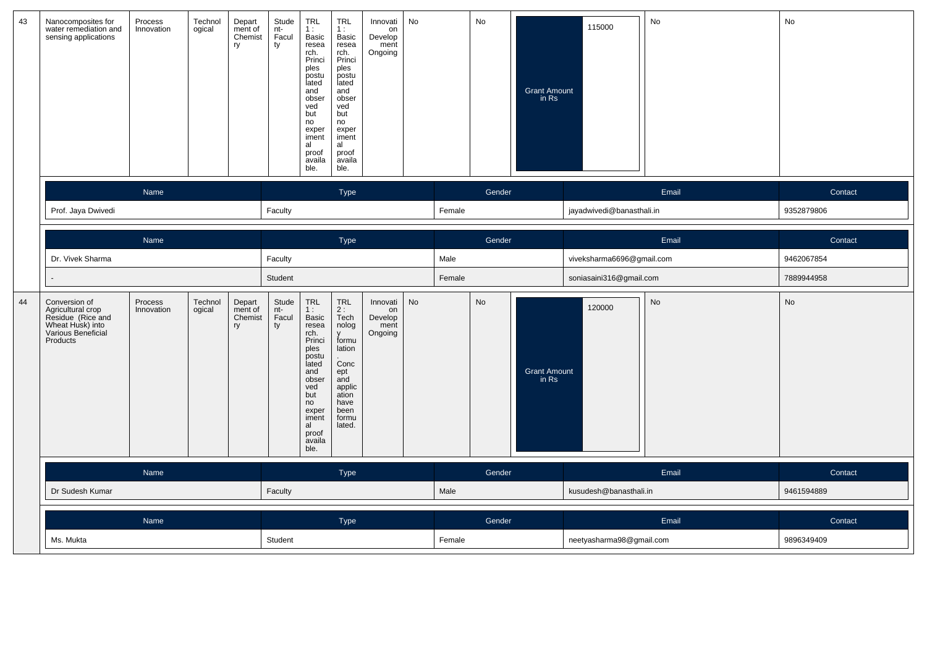| 43 | Nanocomposites for<br>water remediation and<br>sensing applications                                           | Process<br>Innovation | Technol<br>ogical<br>ry | Stude<br>nt-<br>Depart<br>ment of<br>Facul<br>Chemist<br>ty | TRL<br>1:<br>Basic<br>resea<br>rch.<br>Princi<br>ples<br>postu<br>lated<br>and<br>obser<br>ved<br>but<br>no<br>exper<br>iment<br>al<br>al<br>proof<br>availa<br>ble. | <b>TRL</b><br>Innovati<br>1:<br>on<br>Develop<br>Basic<br>resea<br>ment<br>Ongoing<br>rch.<br>Princi<br>ples<br>postu<br>lated<br>and<br>obser<br>ved<br>but<br>no<br>exper<br>iment<br>proof<br>availa<br>ble. | No |        | No     | <b>Grant Amount</b><br>in Rs | 115000                    | No        | No         |
|----|---------------------------------------------------------------------------------------------------------------|-----------------------|-------------------------|-------------------------------------------------------------|----------------------------------------------------------------------------------------------------------------------------------------------------------------------|-----------------------------------------------------------------------------------------------------------------------------------------------------------------------------------------------------------------|----|--------|--------|------------------------------|---------------------------|-----------|------------|
|    |                                                                                                               | Name                  |                         |                                                             |                                                                                                                                                                      | Type                                                                                                                                                                                                            |    |        | Gender |                              |                           | Email     | Contact    |
|    | Prof. Jaya Dwivedi                                                                                            |                       |                         | Faculty                                                     |                                                                                                                                                                      |                                                                                                                                                                                                                 |    | Female |        |                              | jayadwivedi@banasthali.in |           | 9352879806 |
|    |                                                                                                               | Name                  |                         |                                                             |                                                                                                                                                                      | Type                                                                                                                                                                                                            |    |        | Gender |                              |                           | Email     | Contact    |
|    | Dr. Vivek Sharma                                                                                              |                       |                         |                                                             |                                                                                                                                                                      |                                                                                                                                                                                                                 |    | Male   |        |                              | viveksharma6696@gmail.com |           | 9462067854 |
|    |                                                                                                               |                       |                         | Student                                                     |                                                                                                                                                                      |                                                                                                                                                                                                                 |    | Female |        |                              | soniasaini316@gmail.com   |           | 7889944958 |
| 44 | Conversion of<br>Agricultural crop<br>Residue (Rice and<br>Wheat Husk) into<br>Various Beneficial<br>Products | Process<br>Innovation | Technol<br>ogical<br>ry | Stude<br>nt-<br>Depart<br>ment of<br>Chemist<br>Facul<br>ty | TRL<br>1:<br>Basic<br>resea<br>rch.<br>Princi<br>v<br>ples<br>postu<br>lated<br>and<br>obser<br>ved<br>but<br>no<br>exper<br>iment<br>al<br>proof<br>availa<br>ble.  | <b>TRL</b><br>Innovati<br>2:<br>on<br>Tech<br>Develop<br>nolog<br>ment<br>Ongoing<br>formu<br>lation<br>Conc<br>ept<br>and<br>applic<br>ation<br>have<br>been<br>formu<br>lated.                                | No |        | No     | <b>Grant Amount</b><br>in Rs | 120000                    | <b>No</b> | No         |
|    |                                                                                                               | Name                  |                         |                                                             |                                                                                                                                                                      | Type                                                                                                                                                                                                            |    |        | Gender |                              |                           | Email     | Contact    |
|    | Dr Sudesh Kumar                                                                                               |                       |                         | Faculty                                                     |                                                                                                                                                                      |                                                                                                                                                                                                                 |    | Male   |        |                              | kusudesh@banasthali.in    |           | 9461594889 |
|    |                                                                                                               | Name                  |                         |                                                             |                                                                                                                                                                      | Type                                                                                                                                                                                                            |    |        | Gender |                              |                           | Email     | Contact    |
|    | Ms. Mukta                                                                                                     |                       |                         | Student                                                     |                                                                                                                                                                      |                                                                                                                                                                                                                 |    | Female |        |                              | neetyasharma98@gmail.com  |           | 9896349409 |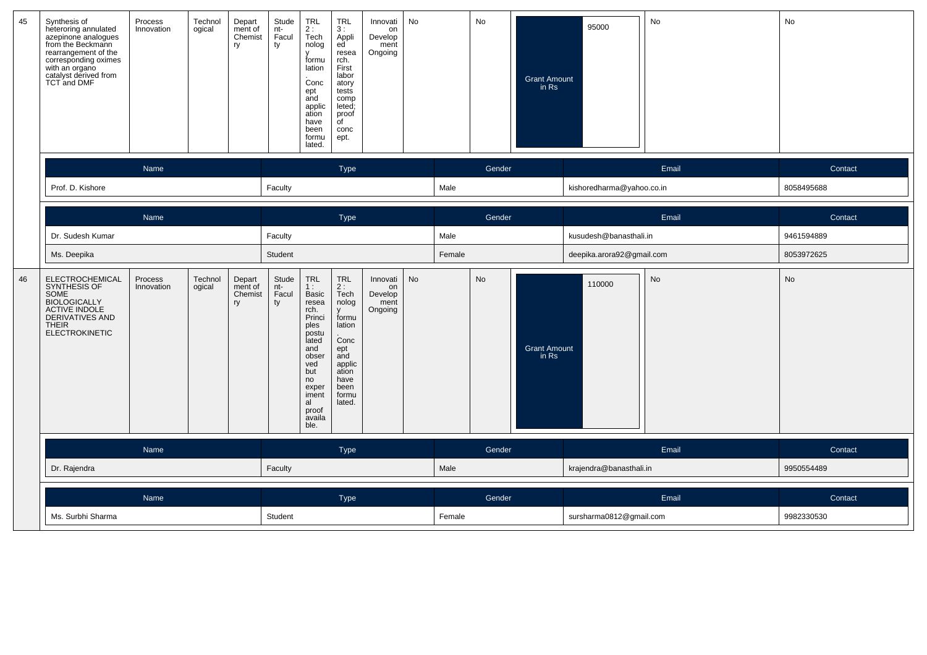| 45 | Synthesis of<br>heteroring annulated<br>azepinone analogues<br>from the Beckmann<br>rearrangement of the<br>corresponding oximes<br>with an organo<br>catalyst derived from<br><b>TCT and DMF</b> | Process<br>Innovation | Technol<br>Depart<br>ogical<br>ment of<br>Chemist<br>ry | Stude<br>nt-<br>Facul<br>TRL<br>2:<br>Tech<br>nolog<br>ty<br>v<br>formu<br>lation<br>Conc<br>ept<br>and<br>applic<br>ation<br>have<br>been<br>formu<br>lated.                                                                | <b>TRL</b><br>3:<br>Appli<br>ed <sup>'</sup><br>resea<br>rch.<br>First<br>labor<br>atory<br>tests<br>comp<br>leted;<br>proof<br>$\overline{C}$<br>conc<br>ept. | No<br>Innovati<br>on<br>Develop<br>ment<br>Ongoing |        | No     | 95000<br>Grant Amount<br>in Rs         | No    | No         |
|----|---------------------------------------------------------------------------------------------------------------------------------------------------------------------------------------------------|-----------------------|---------------------------------------------------------|------------------------------------------------------------------------------------------------------------------------------------------------------------------------------------------------------------------------------|----------------------------------------------------------------------------------------------------------------------------------------------------------------|----------------------------------------------------|--------|--------|----------------------------------------|-------|------------|
|    |                                                                                                                                                                                                   | Name                  |                                                         |                                                                                                                                                                                                                              | Type                                                                                                                                                           |                                                    |        | Gender |                                        | Email | Contact    |
|    | Prof. D. Kishore                                                                                                                                                                                  |                       |                                                         | Faculty                                                                                                                                                                                                                      |                                                                                                                                                                |                                                    | Male   |        | kishoredharma@yahoo.co.in              |       | 8058495688 |
|    |                                                                                                                                                                                                   | Name                  |                                                         |                                                                                                                                                                                                                              | Type                                                                                                                                                           |                                                    |        | Gender |                                        | Email | Contact    |
|    | Dr. Sudesh Kumar                                                                                                                                                                                  |                       |                                                         | Faculty                                                                                                                                                                                                                      |                                                                                                                                                                |                                                    | Male   |        | kusudesh@banasthali.in                 |       | 9461594889 |
|    | Ms. Deepika                                                                                                                                                                                       |                       |                                                         | Student                                                                                                                                                                                                                      |                                                                                                                                                                |                                                    | Female |        | deepika.arora92@gmail.com              |       | 8053972625 |
| 46 | ELECTROCHEMICAL<br>SYNTHESIS OF<br>SOME<br>BIOLOGICALLY<br>ACTIVE INDOLE<br><b>DERIVATIVES AND</b><br><b>THEIR</b><br><b>ELECTROKINETIC</b>                                                       | Process<br>Innovation | Technol<br>Depart<br>ogical<br>ment of<br>Chemist<br>ry | Stude<br>$\ensuremath{\mathsf{TRL}}$<br>nt-<br>1:<br>Facul<br><b>Basic</b><br>ty<br>resea<br>rch.<br>Princi<br>ples<br>postu<br>lated<br>and<br>obser<br>ved<br>but<br>no<br>exper<br>iment<br>al<br>proof<br>availa<br>ble. | <b>TRL</b><br>2:<br>Tech<br>nolog<br><b>V</b><br>formu<br>lation<br>Conc<br>ept<br>and<br>applic<br>ation<br>have<br>been<br>formu<br>lated.                   | Innovati<br>No<br>on<br>Develop<br>ment<br>Ongoing |        | No     | 110000<br><b>Grant Amount</b><br>in Rs | No    | No         |
|    |                                                                                                                                                                                                   | Name                  |                                                         |                                                                                                                                                                                                                              | Type                                                                                                                                                           |                                                    |        | Gender |                                        | Email | Contact    |
|    | Dr. Rajendra                                                                                                                                                                                      |                       |                                                         | Faculty                                                                                                                                                                                                                      |                                                                                                                                                                |                                                    | Male   |        | krajendra@banasthali.in                |       | 9950554489 |
|    |                                                                                                                                                                                                   | Name                  |                                                         |                                                                                                                                                                                                                              | Type                                                                                                                                                           |                                                    |        | Gender |                                        | Email | Contact    |
|    | Ms. Surbhi Sharma                                                                                                                                                                                 |                       |                                                         | Student                                                                                                                                                                                                                      |                                                                                                                                                                |                                                    | Female |        | sursharma0812@gmail.com                |       | 9982330530 |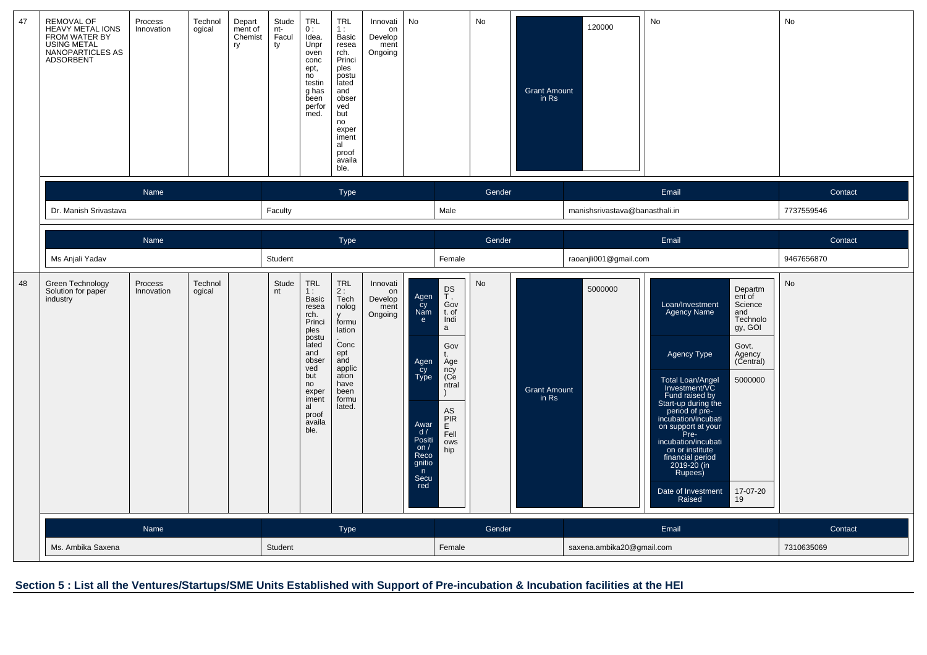| 47 | REMOVAL OF<br>HEAVY METAL IONS<br>FROM WATER BY<br><b>USING METAL</b><br>NANOPARTICLES AS<br>ADSORBENT | Process<br>Innovation | Technol<br>ogical | Depart<br>ment of<br>Chemist<br>ry | Stude<br>nt-<br>Facul<br>ty | <b>TRL</b><br>0:<br>Idea.<br>Unpr<br>oven<br>conc<br>ept,<br>n <sub>o</sub><br>testin<br>g has<br>been<br>perfor<br>med.                                              | <b>TRL</b><br>1:<br>Basic<br>resea<br>rch.<br>Princi<br>ples<br>postu<br>lated<br>and<br>obser<br>ved<br>but<br>no<br>exper<br>iment<br>al<br>proof<br>availa<br>ble. | Innovati<br>on<br>Develop<br>ment<br>Ongoing | No                                                                                                                         |                                                                                                                              | No     | <b>Grant Amount</b><br>in Rs | 120000                         | No                                                                                                                                                                                                                                                                                                                                |                                                                                                                         | No         |
|----|--------------------------------------------------------------------------------------------------------|-----------------------|-------------------|------------------------------------|-----------------------------|-----------------------------------------------------------------------------------------------------------------------------------------------------------------------|-----------------------------------------------------------------------------------------------------------------------------------------------------------------------|----------------------------------------------|----------------------------------------------------------------------------------------------------------------------------|------------------------------------------------------------------------------------------------------------------------------|--------|------------------------------|--------------------------------|-----------------------------------------------------------------------------------------------------------------------------------------------------------------------------------------------------------------------------------------------------------------------------------------------------------------------------------|-------------------------------------------------------------------------------------------------------------------------|------------|
|    |                                                                                                        | Name                  |                   |                                    |                             |                                                                                                                                                                       | <b>Type</b>                                                                                                                                                           |                                              |                                                                                                                            |                                                                                                                              | Gender |                              |                                | Email                                                                                                                                                                                                                                                                                                                             |                                                                                                                         | Contact    |
|    | Dr. Manish Srivastava                                                                                  |                       |                   |                                    | Faculty                     |                                                                                                                                                                       |                                                                                                                                                                       |                                              |                                                                                                                            | Male                                                                                                                         |        |                              | manishsrivastava@banasthali.in |                                                                                                                                                                                                                                                                                                                                   |                                                                                                                         | 7737559546 |
|    |                                                                                                        | <b>Name</b>           |                   |                                    |                             |                                                                                                                                                                       | Type                                                                                                                                                                  |                                              |                                                                                                                            |                                                                                                                              | Gender |                              |                                | Email                                                                                                                                                                                                                                                                                                                             |                                                                                                                         | Contact    |
|    | Ms Anjali Yadav                                                                                        | Process<br>Technol    |                   |                                    |                             |                                                                                                                                                                       |                                                                                                                                                                       |                                              |                                                                                                                            | Female                                                                                                                       |        |                              | raoanjli001@gmail.com          |                                                                                                                                                                                                                                                                                                                                   |                                                                                                                         | 9467656870 |
| 48 | Green Technology<br>Solution for paper<br>industry                                                     | Innovation            | ogical            |                                    | Stude<br>nt                 | <b>TRL</b><br>1:<br>Basic<br>resea<br>rch.<br>Princi<br>ples<br>postu<br>lated<br>and<br>obser<br>ved<br>but<br>no<br>exper<br>iment<br>al<br>proof<br>availa<br>ble. | <b>TRL</b><br>2:<br>Tech<br>nolog<br>formu<br>lation<br>Conc<br>ept<br>and<br>applic<br>ation<br>have<br>been<br>formu<br>lated.                                      | Innovati<br>on<br>Develop<br>ment<br>Ongoing | Agen<br>cy<br>Nam<br>$\epsilon$<br>Agen<br>cy<br>Type<br>Awar<br>d/<br>Positi<br>on/<br>Reco<br>gnitio<br>n<br>Secu<br>red | DS<br>$T$ ,<br>Gov<br>t. of<br>Indi<br>a<br>Gov<br>Age<br>ncy<br>(Ce<br>ntral<br>AS<br><b>PIR</b><br>E<br>Fell<br>ows<br>hip | No     | <b>Grant Amount</b><br>in Rs | 5000000                        | Loan/Investment<br><b>Agency Name</b><br>Agency Type<br>Total Loan/Angel<br>Investment/VC<br>Fund raised by<br>Start-up during the<br>period of pre-<br>incubation/incubati<br>on support at your<br>Pre-<br>incubation/incubati<br>on or institute<br>financial period<br>2019-20 (in<br>Rupees)<br>Date of Investment<br>Raised | Departm<br>ent of<br>Science<br>and<br>Technolo<br>gy, GOI<br>Govt.<br>Agency<br>(Central)<br>5000000<br>17-07-20<br>19 | <b>No</b>  |
|    |                                                                                                        | Name                  |                   |                                    |                             |                                                                                                                                                                       | Type                                                                                                                                                                  |                                              |                                                                                                                            |                                                                                                                              | Gender |                              |                                | Email                                                                                                                                                                                                                                                                                                                             |                                                                                                                         | Contact    |
|    | Ms. Ambika Saxena                                                                                      |                       |                   |                                    | Student                     |                                                                                                                                                                       |                                                                                                                                                                       |                                              |                                                                                                                            | Female                                                                                                                       |        |                              | saxena.ambika20@gmail.com      |                                                                                                                                                                                                                                                                                                                                   |                                                                                                                         | 7310635069 |

**Section 5 : List all the Ventures/Startups/SME Units Established with Support of Pre-incubation & Incubation facilities at the HEI**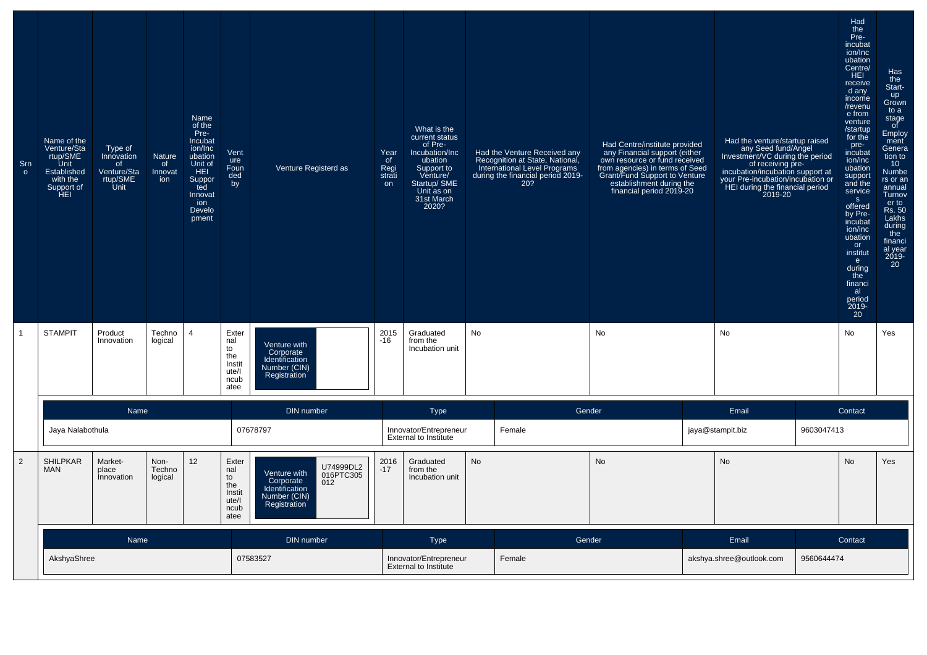| Srn<br>$\circ$ | Name of the<br>Venture/Sta<br>rtup/SME<br><b>Unit</b><br>Established<br>with the<br>Support of<br>HEI | Type of<br>Innovation<br>of<br>Venture/Sta<br>rtup/SME<br>Unit | Nature<br>of<br>Innovat<br>ion | Name<br>of the<br>Pre-<br>Incubat<br>ion/Inc<br>ubation<br>Unit of<br>HEI<br>Suppor<br>ted<br>Innovat<br>ion<br>Develo<br>pment | Vent<br>ure<br>Foun<br>ded<br>by                             | Venture Registerd as                                                                                         | Year<br>of<br>Regi<br>strati<br>on | What is the<br>current status<br>of Pre-<br>Incubation/Inc<br>ubation<br>Support to<br>Venture/<br>Startup/ SME<br>Unit as on<br>31st March<br>2020? | Had the Venture Received any<br>Recognition at State, National,<br>International Level Programs<br>during the financial period 2019-<br>20? | Had Centre/institute provided<br>any Financial support (either<br>own resource or fund received<br>from agencies) in terms of Seed<br>Grant/Fund Support to Venture<br>establishment during the<br>financial period 2019-20 | Had the venture/startup raised<br>any Seed fund/Angel<br>Investment/VC during the period<br>of receiving pre-<br>incubation/incubation support at<br>your Pre-incubation/incubation or<br>HEI during the financial period<br>2019-20 |            | Had<br>the<br>Pre-<br>incubat<br>ion/Inc<br>ubation<br>Centre/<br>HEI<br>receive<br>d any<br>income<br>/revenu<br>e from<br>venture<br>/startup<br>for the<br>pre-<br>incubat<br>ion/inc<br>ubation<br>support<br>and the<br>service<br>S<br>offered<br>by Pre-<br>incubat<br>ion/inc<br>ubation<br>or<br>institut<br>e.<br>during<br>the<br>financi<br>al<br>period<br>2019-<br>20 | Has<br>the<br>Start-<br>up<br>Grown<br>to a<br>stage<br>of<br>Employ<br>ment<br>Genera<br>tion to<br>10 <sup>°</sup><br>Numbe<br>rs or an<br>annual<br>Turnov<br>er to<br>Rs. 50<br>Lakhs<br>during<br>the<br>financi<br>al year<br>2019-<br>20 |
|----------------|-------------------------------------------------------------------------------------------------------|----------------------------------------------------------------|--------------------------------|---------------------------------------------------------------------------------------------------------------------------------|--------------------------------------------------------------|--------------------------------------------------------------------------------------------------------------|------------------------------------|------------------------------------------------------------------------------------------------------------------------------------------------------|---------------------------------------------------------------------------------------------------------------------------------------------|-----------------------------------------------------------------------------------------------------------------------------------------------------------------------------------------------------------------------------|--------------------------------------------------------------------------------------------------------------------------------------------------------------------------------------------------------------------------------------|------------|-------------------------------------------------------------------------------------------------------------------------------------------------------------------------------------------------------------------------------------------------------------------------------------------------------------------------------------------------------------------------------------|-------------------------------------------------------------------------------------------------------------------------------------------------------------------------------------------------------------------------------------------------|
| $\overline{1}$ | <b>STAMPIT</b>                                                                                        | Product<br>Innovation                                          | Techno<br>logical              | $\overline{4}$                                                                                                                  | Exter<br>nal<br>to<br>the<br>Instit<br>ute/l<br>ncub<br>atee | Venture with<br>Corporate<br>Identification<br>Number (CIN)<br>Registration                                  | 2015<br>$-16$                      | Graduated<br>from the<br>Incubation unit                                                                                                             | No                                                                                                                                          | No                                                                                                                                                                                                                          | No                                                                                                                                                                                                                                   |            | No                                                                                                                                                                                                                                                                                                                                                                                  | Yes                                                                                                                                                                                                                                             |
|                |                                                                                                       | Name                                                           |                                |                                                                                                                                 |                                                              | <b>DIN</b> number                                                                                            |                                    | <b>Type</b>                                                                                                                                          |                                                                                                                                             | Gender                                                                                                                                                                                                                      | Email                                                                                                                                                                                                                                |            | Contact                                                                                                                                                                                                                                                                                                                                                                             |                                                                                                                                                                                                                                                 |
|                | Jaya Nalabothula                                                                                      |                                                                |                                |                                                                                                                                 |                                                              | 07678797                                                                                                     |                                    | Innovator/Entrepreneur<br><b>External to Institute</b>                                                                                               | Female                                                                                                                                      |                                                                                                                                                                                                                             | jaya@stampit.biz                                                                                                                                                                                                                     | 9603047413 |                                                                                                                                                                                                                                                                                                                                                                                     |                                                                                                                                                                                                                                                 |
| $\overline{2}$ | <b>SHILPKAR</b><br><b>MAN</b>                                                                         | Market-<br>place<br>Innovation                                 | Non-<br>Techno<br>logical      | 12                                                                                                                              | Exter<br>nal<br>to<br>the<br>Instit<br>ute/l<br>ncub<br>atee | U74999DL2<br>Venture with<br>016PTC305<br>Corporate<br>012<br>Identification<br>Number (CIN)<br>Registration | 2016<br>$-17$                      | Graduated<br>from the<br>Incubation unit                                                                                                             | <b>No</b>                                                                                                                                   | <b>No</b>                                                                                                                                                                                                                   | <b>No</b>                                                                                                                                                                                                                            |            | No                                                                                                                                                                                                                                                                                                                                                                                  | Yes                                                                                                                                                                                                                                             |
|                |                                                                                                       | Name                                                           |                                |                                                                                                                                 |                                                              | DIN number                                                                                                   |                                    | <b>Type</b>                                                                                                                                          |                                                                                                                                             | Gender                                                                                                                                                                                                                      | Email                                                                                                                                                                                                                                |            | Contact                                                                                                                                                                                                                                                                                                                                                                             |                                                                                                                                                                                                                                                 |
|                | AkshyaShree                                                                                           |                                                                |                                |                                                                                                                                 |                                                              | 07583527                                                                                                     |                                    | Innovator/Entrepreneur<br><b>External to Institute</b>                                                                                               | Female                                                                                                                                      |                                                                                                                                                                                                                             | akshya.shree@outlook.com                                                                                                                                                                                                             | 9560644474 |                                                                                                                                                                                                                                                                                                                                                                                     |                                                                                                                                                                                                                                                 |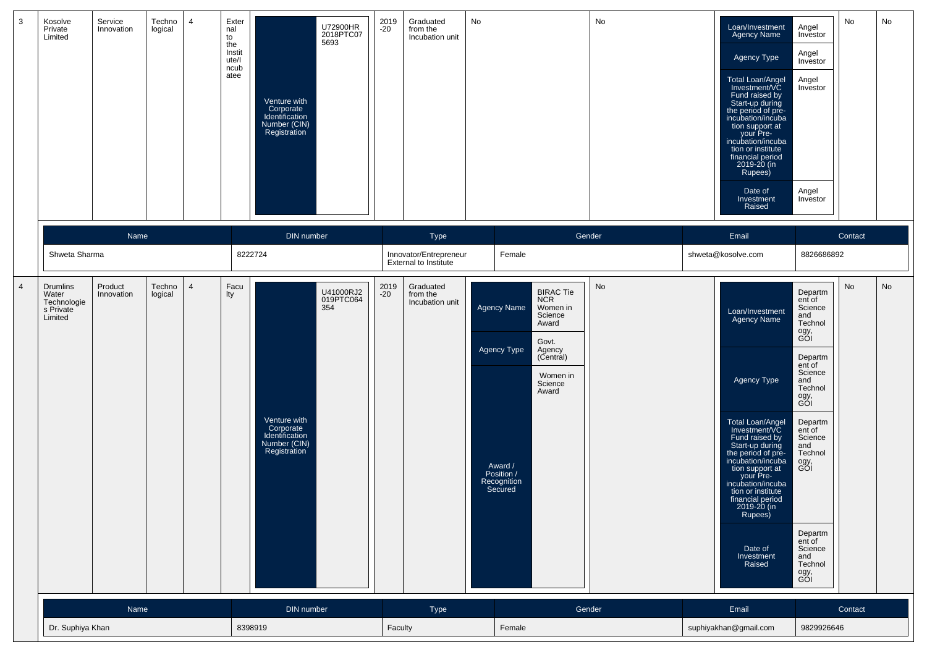| $\overline{3}$<br>No<br>Service<br>Techno<br>Exter<br>2019<br>No<br>Kosolve<br>4<br>Graduated<br>U72900HR<br>$-20$<br>Private<br>Innovation<br>logical<br>nal<br>from the<br>2018PTC07<br>Incubation unit<br>Limited<br>to<br>5693<br>the<br>Instit<br>ute/l<br>ncub<br>atee<br>Venture with<br>Corporate<br>Identification<br>Number (CIN)<br>Registration                                                                                                                                                                                                                   | Loan/Investment<br>Agency Name<br>Agency Type<br><b>Total Loan/Angel</b><br>Investment/VC<br>Fund raised by<br>Start-up during<br>the period of pre-<br>incubation/incuba<br>tion support at<br>your Pre-<br>incubation/incuba<br>tion or institute<br>financial period<br>2019-20 (in<br>Rupees)<br>Date of<br>Investment<br>Raised | No<br>No<br>Angel<br>Investor<br>Angel<br>Investor<br>Angel<br>Investor<br>Angel<br>Investor                                                                                                                                                                                 |
|-------------------------------------------------------------------------------------------------------------------------------------------------------------------------------------------------------------------------------------------------------------------------------------------------------------------------------------------------------------------------------------------------------------------------------------------------------------------------------------------------------------------------------------------------------------------------------|--------------------------------------------------------------------------------------------------------------------------------------------------------------------------------------------------------------------------------------------------------------------------------------------------------------------------------------|------------------------------------------------------------------------------------------------------------------------------------------------------------------------------------------------------------------------------------------------------------------------------|
| DIN number<br>Name<br>Gender<br>Type                                                                                                                                                                                                                                                                                                                                                                                                                                                                                                                                          | Email                                                                                                                                                                                                                                                                                                                                | Contact                                                                                                                                                                                                                                                                      |
| Shweta Sharma<br>8222724<br>Innovator/Entrepreneur<br>Female<br><b>External to Institute</b>                                                                                                                                                                                                                                                                                                                                                                                                                                                                                  | shweta@kosolve.com                                                                                                                                                                                                                                                                                                                   | 8826686892                                                                                                                                                                                                                                                                   |
| $\overline{4}$<br>Techno<br>2019<br>Graduated<br>No<br><b>Drumlins</b><br>Product<br>$\overline{4}$<br>Facu<br>U41000RJ2<br>019PTC064<br><b>BIRAC Tie</b><br>$-20$<br>from the<br>Water<br>logical<br>Innovation<br>lty<br><b>NCR</b><br>Incubation unit<br>Technologie<br>354<br><b>Agency Name</b><br>Women in<br>s Private<br>Science<br>Limited<br>Award<br>Govt.<br>Agency Type<br>Agency<br>(Central)<br>Women in<br>Science<br>Award<br>Venture with<br>Corporate<br>Identification<br>Number (CIN)<br>Registration<br>Award /<br>Position /<br>Recognition<br>Secured | Loan/Investment<br><b>Agency Name</b><br>Agency Type<br>Total Loan/Angel<br>Investment/VC<br>Fund raised by<br>Start-up during<br>the period of pre-<br>incubation/incuba<br>tion support at<br>your Pre-<br>incubation/incuba<br>tion or institute<br>financial period<br>2019-20 (in<br>Rupees)<br>Date of<br>Investment<br>Raised | No<br>No<br>Departm<br>ent of<br>Science<br>and<br>Technol<br>ogy,<br>GOI<br>Departm<br>ent of<br>Science<br>and<br>Technol<br>ogy,<br>GOI<br>Departm<br>ent of<br>Science<br>and<br>Technol<br>ogy,<br>GOI<br>Departm<br>ent of<br>Science<br>and<br>Technol<br>ogy,<br>GOI |
| Name<br>DIN number<br>Type<br>Gender<br>Dr. Suphiya Khan<br>8398919<br>Faculty<br>Female                                                                                                                                                                                                                                                                                                                                                                                                                                                                                      | Email<br>suphiyakhan@gmail.com                                                                                                                                                                                                                                                                                                       | Contact<br>9829926646                                                                                                                                                                                                                                                        |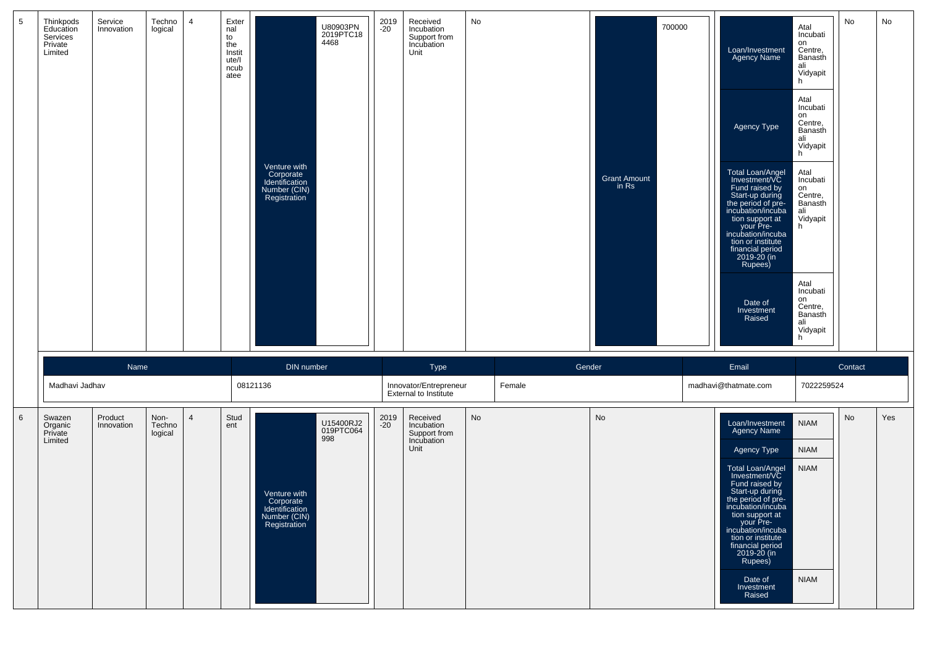| $5\phantom{.0}$ | Thinkpods<br>Education<br>Services<br>Private<br>Limited | Service<br>Innovation | Techno<br>logical         | $\overline{4}$ | Exter<br>nal<br>to<br>the<br>Instit<br>ute/l<br>ncub<br>atee | Venture with<br>Corporate<br>Identification<br>Number (CIN)<br>Registration | U80903PN<br>2019PTC18<br>4468 | 2019<br>$-20$ | Received<br>Incubation<br>Support from<br>Incubation<br>Unit | No        | <b>Grant Amount</b><br>in Rs | 700000 | Loan/Investment<br>Agency Name<br>Agency Type<br>Total Loan/Angel<br>Investment/VC<br>Fund raised by<br>Start-up during<br>the period of pre-<br>incubation/incuba<br>tion support at<br>your Pre-<br>incubation/incuba<br>tion or institute<br>financial period<br>2019-20 (in<br>Rupees)<br>Date of<br>Investment<br>Raised | Atal<br>Incubati<br>on<br>Centre,<br>Banasth<br>ali<br>Vidyapit<br>h<br>Atal<br>Incubati<br>on<br>Centre,<br>Banasth<br>ali<br>Vidyapit<br>h<br>Atal<br>Incubati<br>on<br>Centre,<br>Banasth<br>ali<br>Vidyapit<br>h<br>Atal<br>Incubati<br>on<br>Centre,<br>Banasth<br>ali<br>Vidyapit<br>h | No      | No  |
|-----------------|----------------------------------------------------------|-----------------------|---------------------------|----------------|--------------------------------------------------------------|-----------------------------------------------------------------------------|-------------------------------|---------------|--------------------------------------------------------------|-----------|------------------------------|--------|-------------------------------------------------------------------------------------------------------------------------------------------------------------------------------------------------------------------------------------------------------------------------------------------------------------------------------|----------------------------------------------------------------------------------------------------------------------------------------------------------------------------------------------------------------------------------------------------------------------------------------------|---------|-----|
|                 |                                                          | Name                  |                           |                |                                                              | DIN number                                                                  |                               |               | Type                                                         |           | Gender                       |        | Email                                                                                                                                                                                                                                                                                                                         |                                                                                                                                                                                                                                                                                              | Contact |     |
|                 | Madhavi Jadhav                                           |                       |                           |                |                                                              | 08121136                                                                    |                               |               | Innovator/Entrepreneur<br><b>External to Institute</b>       | Female    |                              |        | madhavi@thatmate.com                                                                                                                                                                                                                                                                                                          | 7022259524                                                                                                                                                                                                                                                                                   |         |     |
| $6\phantom{1}6$ | Swazen<br>Organic<br>Private                             | Product<br>Innovation | Non-<br>Techno<br>logical | $\overline{4}$ | Stud<br>ent                                                  |                                                                             | U15400RJ2<br>019PTC064<br>998 | 2019<br>$-20$ | Received<br>Incubation<br>Support from                       | <b>No</b> | No                           |        | Loan/Investment<br>Agency Name                                                                                                                                                                                                                                                                                                | <b>NIAM</b>                                                                                                                                                                                                                                                                                  | No      | Yes |
|                 | Limited                                                  |                       |                           |                |                                                              |                                                                             |                               |               | Incubation<br>Unit                                           |           |                              |        | Agency Type                                                                                                                                                                                                                                                                                                                   | <b>NIAM</b>                                                                                                                                                                                                                                                                                  |         |     |
|                 |                                                          |                       |                           |                |                                                              | Venture with<br>Corporate<br>Identification<br>Number (CIN)<br>Registration |                               |               |                                                              |           |                              |        | Total Loan/Angel<br>Investment/VC<br>Fund raised by<br>Start-up during<br>the period of pre-<br>incupation/incupa<br>tion support at<br>your Pre-<br>incubation/incuba<br>tion or institute<br>financial period<br>2019-20 (in<br>Rupees)<br>Date of<br>Investment                                                            | <b>NIAM</b><br><b>NIAM</b>                                                                                                                                                                                                                                                                   |         |     |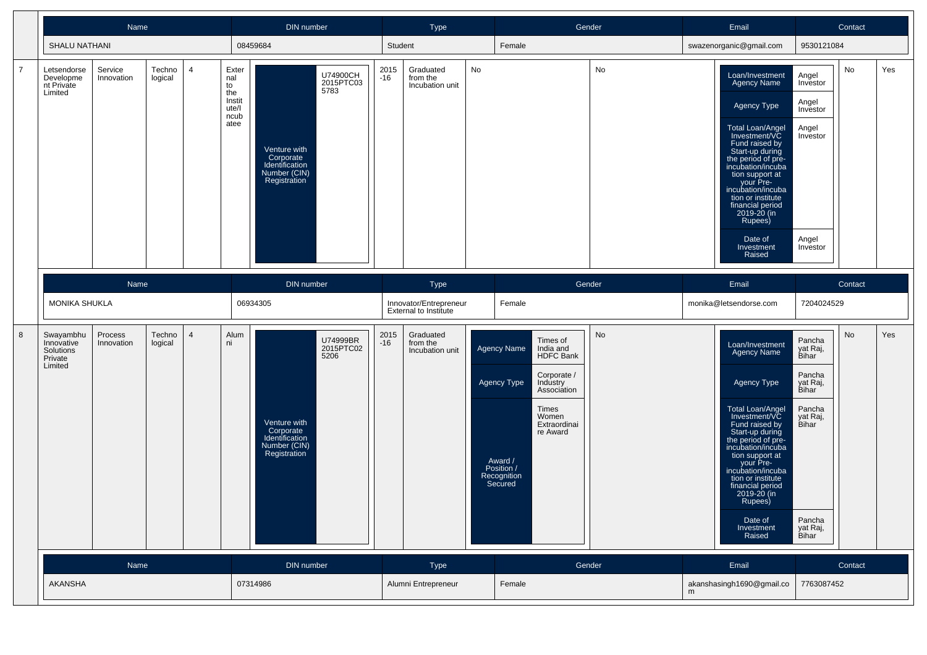|                |                                                            | Name                                                                          |                   |   |                                              | DIN number                                                                  |                               |               | Type                                                   |    | Gender                                                                                                                   |    | Email                                                                                                                                                                                                                                                                               |                                                                   | Contact |     |
|----------------|------------------------------------------------------------|-------------------------------------------------------------------------------|-------------------|---|----------------------------------------------|-----------------------------------------------------------------------------|-------------------------------|---------------|--------------------------------------------------------|----|--------------------------------------------------------------------------------------------------------------------------|----|-------------------------------------------------------------------------------------------------------------------------------------------------------------------------------------------------------------------------------------------------------------------------------------|-------------------------------------------------------------------|---------|-----|
|                | <b>SHALU NATHANI</b>                                       |                                                                               |                   |   |                                              | 08459684                                                                    |                               | Student       |                                                        |    | Female                                                                                                                   |    | swazenorganic@gmail.com                                                                                                                                                                                                                                                             | 9530121084                                                        |         |     |
| $\overline{7}$ | Letsendorse<br>Developme<br>nt Private<br>Limited          | Service<br>Innovation                                                         | Techno<br>logical | 4 | Exter<br>nal<br>to<br>the<br>Instit<br>ute/l |                                                                             | U74900CH<br>2015PTC03<br>5783 | 2015<br>$-16$ | Graduated<br>from the<br>Incubation unit               | No |                                                                                                                          | No | Loan/Investment<br><b>Agency Name</b><br>Agency Type                                                                                                                                                                                                                                | Angel<br>Investor<br>Angel<br>Investor                            | No      | Yes |
|                |                                                            |                                                                               |                   |   | ncub<br>atee                                 | Venture with<br>Corporate<br>Identification<br>Number (CIN)<br>Registration |                               |               |                                                        |    |                                                                                                                          |    | <b>Total Loan/Angel</b><br>Investment/VC<br>Fund raised by<br>Start-up during<br>the period of pre-<br>incubation/incuba<br>tion support at<br>your Pre-<br>incubation/incuba<br>tion or institute<br>financial period<br>2019-20 (in<br>Rupees)<br>Date of<br>Investment<br>Raised | Angel<br>Investor<br>Angel<br>Investor                            |         |     |
|                |                                                            | Name                                                                          |                   |   |                                              | DIN number                                                                  |                               |               | Type                                                   |    | Gender                                                                                                                   |    | Email                                                                                                                                                                                                                                                                               |                                                                   | Contact |     |
|                |                                                            |                                                                               |                   |   |                                              | 06934305                                                                    |                               |               | Innovator/Entrepreneur<br><b>External to Institute</b> |    | Female                                                                                                                   |    | monika@letsendorse.com                                                                                                                                                                                                                                                              | 7204024529                                                        |         |     |
| 8              | Swayambhu<br>Innovative<br>Solutions<br>Private<br>Limited | MONIKA SHUKLA<br>Techno<br>Process<br>$\overline{4}$<br>logical<br>Innovation |                   |   | Alum<br>ni                                   |                                                                             | U74999BR<br>2015PTC02<br>5206 | 2015<br>-16   | Graduated<br>from the<br>Incubation unit               |    | Times of<br><b>Agency Name</b><br>India and<br><b>HDFC Bank</b><br>Corporate /<br>Agency Type<br>Industry<br>Association | No | Loan/Investment<br>Agency Name<br>Agency Type                                                                                                                                                                                                                                       | Pancha<br>yat Raj,<br>Bihar<br>Pancha<br>yat Raj,<br><b>Bihar</b> | No      | Yes |
|                |                                                            |                                                                               |                   |   |                                              | Venture with<br>Corporate<br>Identification<br>Number (CIN)<br>Registration |                               |               |                                                        |    | Times<br>Women<br>Extraordinai<br>re Award<br>Award /<br>Position /<br>Recognition<br>Secured                            |    | Total Loan/Angel<br>Investment/VC<br>Fund raised by<br>Start-up during<br>the period of pre-<br>incubation/incuba<br>tion support at<br>your Pre-<br>incubation/incuba<br>tion or institute<br>financial period<br>2019-20 (in<br>Rupees)<br>Date of<br>Investment                  | Pancha<br>yat Raj,<br>Bihar<br>Pancha                             |         |     |
|                |                                                            |                                                                               |                   |   |                                              |                                                                             |                               |               |                                                        |    |                                                                                                                          |    | Raised                                                                                                                                                                                                                                                                              | yat Raj,<br>Bihar                                                 |         |     |
|                | <b>AKANSHA</b>                                             | Name                                                                          |                   |   |                                              | DIN number<br>07314986                                                      |                               |               | Type<br>Alumni Entrepreneur                            |    | Gender<br>Female                                                                                                         |    | Email<br>akanshasingh1690@gmail.co<br>m                                                                                                                                                                                                                                             | 7763087452                                                        | Contact |     |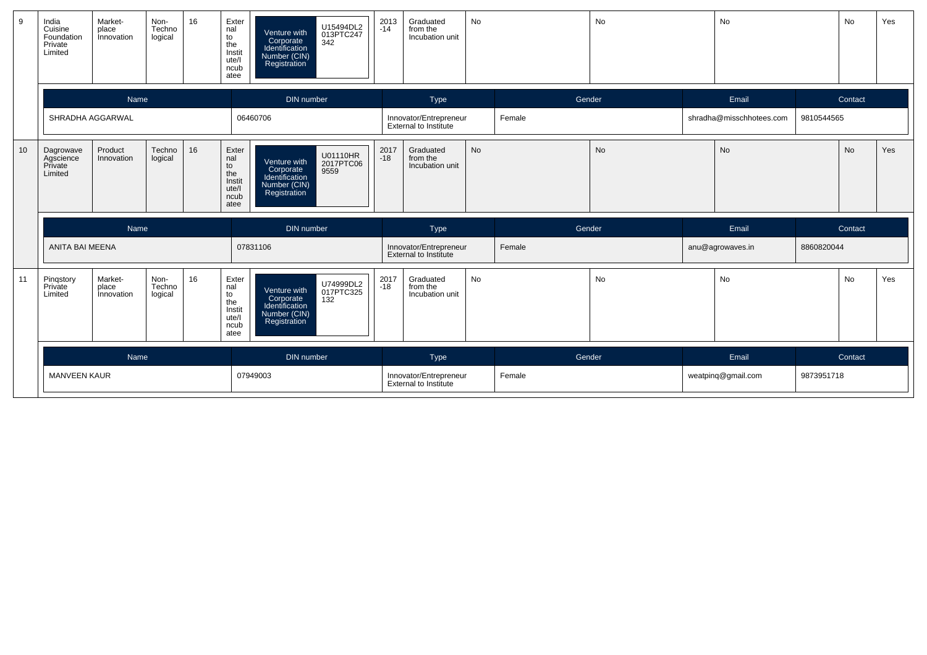| 9               | India<br>Cuisine<br>Foundation<br>Private<br>Limited | Market-<br>place<br>Innovation        | Non-<br>Techno<br>logical | 16 | Exter<br>nal<br>to<br>the<br>Instit<br>ute/l<br>ncub<br>atee | Venture with<br>Corporate<br>Identification<br>Number (CIN)<br>Registration | U15494DL2<br>013PTC247<br>342 | 2013<br>-14   | Graduated<br>from the<br>Incubation unit               | No        |        | No     | No                       |            | No        | Yes |
|-----------------|------------------------------------------------------|---------------------------------------|---------------------------|----|--------------------------------------------------------------|-----------------------------------------------------------------------------|-------------------------------|---------------|--------------------------------------------------------|-----------|--------|--------|--------------------------|------------|-----------|-----|
|                 |                                                      | Name                                  |                           |    |                                                              | DIN number                                                                  |                               |               | Type                                                   |           | Gender |        | Email                    |            | Contact   |     |
|                 | SHRADHA AGGARWAL                                     |                                       |                           |    |                                                              | 06460706                                                                    |                               |               | Innovator/Entrepreneur<br>External to Institute        |           | Female |        | shradha@misschhotees.com | 9810544565 |           |     |
| 10 <sup>1</sup> | Dagrowave<br>Agscience<br>Private<br>Limited         | Product<br>Innovation                 | Techno<br>logical         | 16 | Exter<br>nal<br>to<br>the<br>Instit<br>ute/l<br>ncub<br>atee | Venture with<br>Corporate<br>Identification<br>Number (CIN)<br>Registration | U01110HR<br>2017PTC06<br>9559 | 2017<br>$-18$ | Graduated<br>from the<br>Incubation unit               | <b>No</b> |        | No     | No                       |            | <b>No</b> | Yes |
|                 |                                                      | Name                                  |                           |    |                                                              | DIN number                                                                  |                               |               | Type                                                   |           | Gender |        | Email                    |            | Contact   |     |
|                 | ANITA BAI MEENA                                      |                                       |                           |    |                                                              | 07831106                                                                    |                               |               | Innovator/Entrepreneur<br><b>External to Institute</b> |           | Female |        | anu@agrowaves.in         | 8860820044 |           |     |
| 11              | Pinqstory<br>Private<br>Limited                      | Market-<br>place<br><i>innovation</i> | Non-<br>Techno<br>logical | 16 | Exter<br>nal<br>to<br>the<br>Instit<br>ute/l<br>ncub<br>atee | Venture with<br>Corporate<br>Identification<br>Number (CIN)<br>Registration | U74999DL2<br>017PTC325<br>132 | 2017<br>-18   | Graduated<br>from the<br>Incubation unit               | No        |        | No     | No                       |            | No        | Yes |
|                 |                                                      | Name                                  |                           |    |                                                              | DIN number                                                                  |                               |               | Type                                                   |           |        | Gender | Email                    |            | Contact   |     |
|                 | <b>MANVEEN KAUR</b>                                  |                                       |                           |    |                                                              | 07949003                                                                    |                               |               | Innovator/Entrepreneur<br><b>External to Institute</b> |           | Female |        | weatping@gmail.com       | 9873951718 |           |     |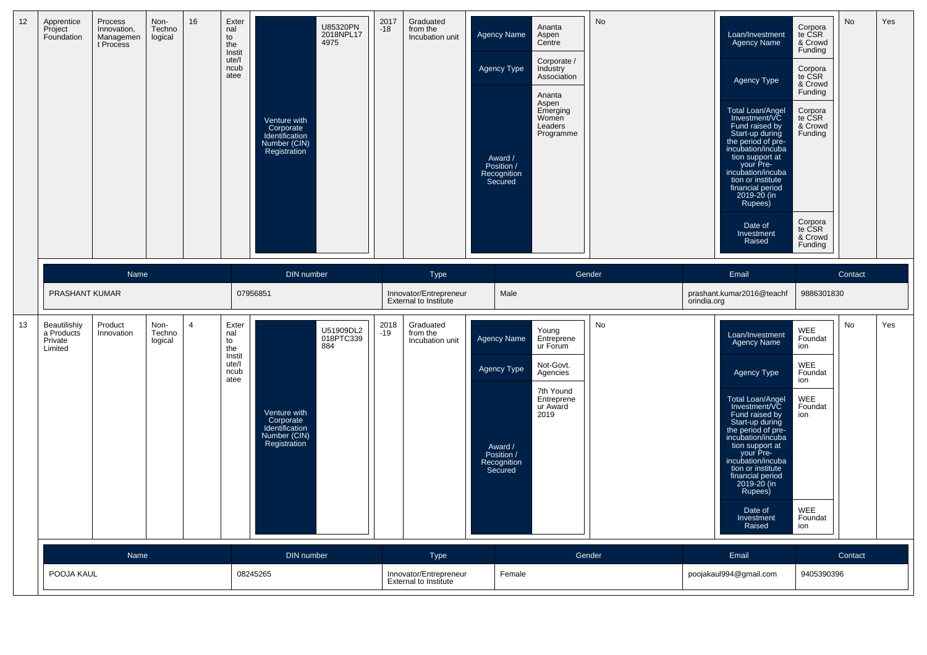| 12 | Apprentice<br>Project<br>Foundation              | Process<br>Innovation,<br>Managemen<br>t Process | Non-<br>Techno<br>logical | 16 | Exter<br>nal<br>to<br>the<br>Instit<br>ute/l<br>ncub<br>atee | Venture with<br>Corporate<br>Identification<br>Number (CIN)<br>Registration        | U85320PN<br>2018NPL17<br>4975 | 2017<br>$-18$ | Graduated<br>from the<br>Incubation unit               | <b>Agency Name</b><br>Agency Type<br>Award /<br>Position /<br>Recognition<br>Secured | Ananta<br>Aspen<br>Centre<br>Corporate /<br>Industry<br>Association<br>Ananta<br>Aspen<br>Emerging<br>Women<br>Leaders<br>Programme | No     |             | Loan/Investment<br>Agency Name<br>Agency Type<br>Total Loan/Angel<br>Investment/VC<br>Fund raised by<br>Start-up during<br>the period of pre-<br>incubation/incuba<br>tion support at<br>your Pre-<br>incubation/incuba<br>tion or institute<br>financial period<br>2019-20 (in<br>Rupees)<br>Date of<br>Investment<br>Raised        | Corpora<br>te CSR<br>& Crowd<br>Funding<br>Corpora<br>te CSR<br>& Crowd<br>Funding<br>Corpora<br>te CSR<br>& Crowd<br>Funding<br>Corpora<br>te CSR<br>& Crowd<br>Funding | No      | Yes |
|----|--------------------------------------------------|--------------------------------------------------|---------------------------|----|--------------------------------------------------------------|------------------------------------------------------------------------------------|-------------------------------|---------------|--------------------------------------------------------|--------------------------------------------------------------------------------------|-------------------------------------------------------------------------------------------------------------------------------------|--------|-------------|--------------------------------------------------------------------------------------------------------------------------------------------------------------------------------------------------------------------------------------------------------------------------------------------------------------------------------------|--------------------------------------------------------------------------------------------------------------------------------------------------------------------------|---------|-----|
|    |                                                  | <b>Name</b>                                      |                           |    |                                                              | DIN number                                                                         |                               |               | Type                                                   |                                                                                      |                                                                                                                                     | Gender |             | Email                                                                                                                                                                                                                                                                                                                                |                                                                                                                                                                          | Contact |     |
|    | PRASHANT KUMAR                                   |                                                  |                           |    |                                                              | 07956851                                                                           |                               |               | Innovator/Entrepreneur<br><b>External to Institute</b> |                                                                                      | Male                                                                                                                                |        | orindia.org | prashant.kumar2016@teachf                                                                                                                                                                                                                                                                                                            | 9886301830                                                                                                                                                               |         |     |
| 13 | Beautilishiy<br>a Products<br>Private<br>Limited | Product<br>Innovation                            | Non-<br>Techno<br>logical | 4  | Exter<br>nal<br>to<br>the<br>Instit<br>ute/l<br>ncub<br>atee | 884<br>Venture with<br>Corporate<br>Identification<br>Number (CIN)<br>Registration | U51909DL2<br>018PTC339        | 2018<br>$-19$ | Graduated<br>from the<br>Incubation unit               | <b>Agency Name</b><br>Agency Type<br>Award /<br>Position /<br>Recognition<br>Secured | Young<br>Entreprene<br>ur Forum<br>Not-Govt.<br>Agencies<br>7th Yound<br>Entreprene<br>ur Award<br>2019                             | No     |             | Loan/Investment<br>Agency Name<br>Agency Type<br><b>Total Loan/Angel</b><br>Investment/VC<br>Fund raised by<br>Start-up during<br>the period of pre-<br>incubation/incuba<br>tion support at<br>your Pre-<br>incubation/incuba<br>tion or institute<br>financial period<br>2019-20 (in<br>Rupees)<br>Date of<br>Investment<br>Raised | WEE<br>Foundat<br>ion<br>WEE<br>Foundat<br>ion<br><b>WEE</b><br>Foundat<br>ion<br>WEE<br>Foundat<br>ion                                                                  | No      | Yes |
|    |                                                  | Name                                             |                           |    |                                                              | DIN number                                                                         |                               |               | Type                                                   |                                                                                      |                                                                                                                                     | Gender |             | Email                                                                                                                                                                                                                                                                                                                                |                                                                                                                                                                          | Contact |     |
|    | POOJA KAUL                                       |                                                  |                           |    |                                                              | 08245265                                                                           |                               |               | Innovator/Entrepreneur<br>External to Institute        |                                                                                      | Female                                                                                                                              |        |             | poojakaul994@gmail.com                                                                                                                                                                                                                                                                                                               | 9405390396                                                                                                                                                               |         |     |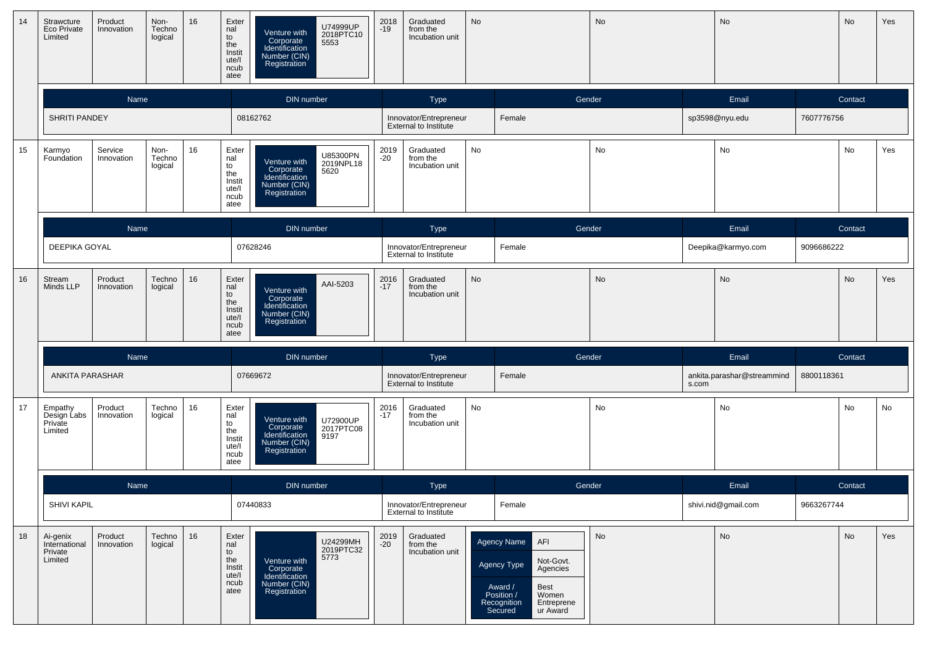| 14 | Strawcture<br>Eco Private<br>Limited            | Product<br>Innovation | Non-<br>Techno<br>logical | 16 | Exter<br>nal<br>to<br>the<br>Instit<br>ute/l<br>ncub<br>atee | U74999UP<br>Venture with<br>2018PTC10<br>5553<br>Corporate<br>Identification<br>Number (CIN)<br>Registration | 2018<br>-19   | Graduated<br>from the<br>Incubation unit               | No |                                                                                                                                                          | No        |       | No                         |            | No      | Yes |
|----|-------------------------------------------------|-----------------------|---------------------------|----|--------------------------------------------------------------|--------------------------------------------------------------------------------------------------------------|---------------|--------------------------------------------------------|----|----------------------------------------------------------------------------------------------------------------------------------------------------------|-----------|-------|----------------------------|------------|---------|-----|
|    |                                                 | Name                  |                           |    |                                                              | DIN number                                                                                                   |               | Type                                                   |    | Gender                                                                                                                                                   |           |       | Email                      |            | Contact |     |
|    | <b>SHRITI PANDEY</b>                            |                       |                           |    |                                                              | 08162762                                                                                                     |               | Innovator/Entrepreneur<br><b>External to Institute</b> |    | Female                                                                                                                                                   |           |       | sp3598@nyu.edu             | 7607776756 |         |     |
| 15 | Karmyo<br>Foundation                            | Service<br>Innovation | Non-<br>Techno<br>logical | 16 | Exter<br>nal<br>to<br>the<br>Instit<br>ute/l<br>ncub<br>atee | U85300PN<br>Venture with<br>2019NPL18<br>Corporate<br>Identification<br>5620<br>Number (CIN)<br>Registration | 2019<br>-20   | Graduated<br>from the<br>Incubation unit               | No |                                                                                                                                                          | No        |       | No                         |            | No      | Yes |
|    |                                                 | Name                  |                           |    |                                                              | <b>DIN</b> number                                                                                            |               | Type                                                   |    | Gender                                                                                                                                                   |           |       | Email                      |            | Contact |     |
|    | DEEPIKA GOYAL                                   |                       |                           |    |                                                              | 07628246                                                                                                     |               | Innovator/Entrepreneur<br>External to Institute        |    | Female                                                                                                                                                   |           |       | Deepika@karmyo.com         | 9096686222 |         |     |
| 16 | Stream<br>Minds LLP                             | Product<br>Innovation | Techno<br>logical         | 16 | Exter<br>nal<br>to<br>the<br>Instit<br>ute/l<br>ncub<br>atee | AAI-5203<br>Venture with<br>Corporate<br>Identification<br>Number (CIN)<br>Registration                      | 2016<br>$-17$ | Graduated<br>from the<br>Incubation unit               | No |                                                                                                                                                          | <b>No</b> |       | No                         |            | No      | Yes |
|    |                                                 | Name                  |                           |    |                                                              | DIN number                                                                                                   |               | Type                                                   |    | Gender                                                                                                                                                   |           |       | Email                      |            | Contact |     |
|    | ANKITA PARASHAR                                 |                       |                           |    |                                                              | 07669672                                                                                                     |               | Innovator/Entrepreneur<br>External to Institute        |    | Female                                                                                                                                                   |           | s.com | ankita.parashar@streammind | 8800118361 |         |     |
| 17 | Empathy<br>Design Labs<br>Private<br>Limited    | Product<br>Innovation | Techno<br>logical         | 16 | Exter<br>nal<br>to<br>the<br>Instit<br>ute/l<br>ncub<br>atee | Venture with<br>U72900UP<br>2017PTC08<br>9197<br>Corporate<br>Identification<br>Number (CIN)<br>Registration | 2016<br>$-17$ | Graduated<br>from the<br>Incubation unit               | No |                                                                                                                                                          | No        |       | No                         |            | No      | No  |
|    |                                                 | Name                  |                           |    |                                                              | DIN number                                                                                                   |               | Type                                                   |    | Gender                                                                                                                                                   |           |       | Email                      |            | Contact |     |
|    | SHIVI KAPIL                                     |                       |                           |    |                                                              | 07440833                                                                                                     |               | Innovator/Entrepreneur<br><b>External to Institute</b> |    | Female                                                                                                                                                   |           |       | shivi.nid@gmail.com        | 9663267744 |         |     |
| 18 | Ai-genix<br>International<br>Private<br>Limited | Product<br>Innovation | Techno<br>logical         | 16 | Exter<br>nal<br>to<br>the<br>Instit<br>ute/l<br>ncub<br>atee | U24299MH<br>2019PTC32<br>5773<br>Venture with<br>Corporate<br>Identification<br>Number (CIN)<br>Registration | 2019<br>$-20$ | Graduated<br>from the<br>Incubation unit               |    | Agency Name<br>AFI<br>Not-Govt.<br>Agencies<br>Agency Type<br>Award /<br>Best<br>Women<br>Position /<br>Entreprene<br>Recognition<br>Secured<br>ur Award | <b>No</b> |       | No                         |            | No      | Yes |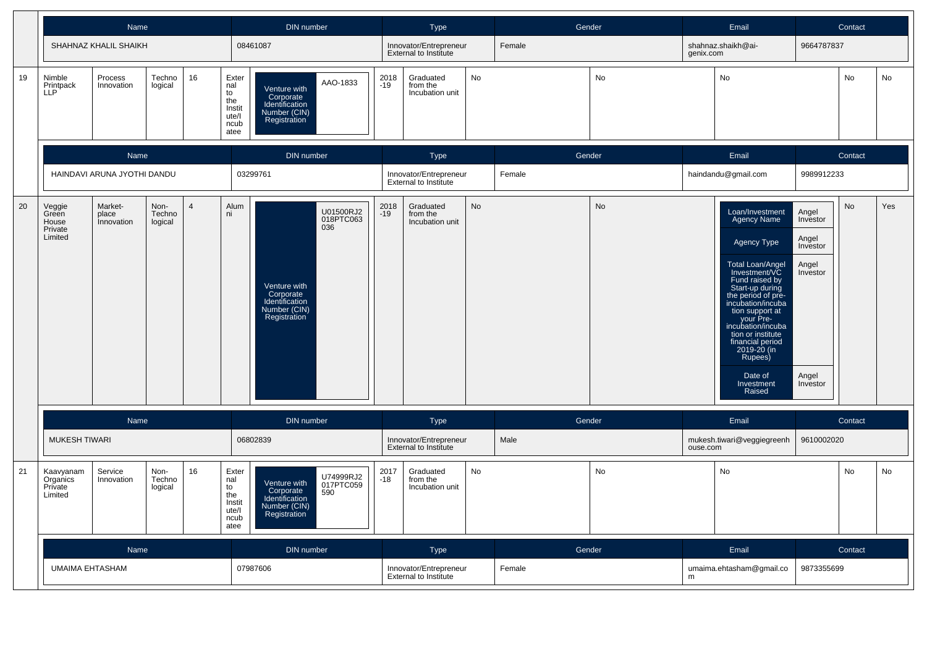|    |                                                                                                                                                | Name                        |                   |            |                                                                                                              | DIN number                                                                                                   |                                                        | <b>Type</b>                                            |           | Gender    |           |                                                                                                                                                                                                                                                                                                                                             | Email                                                                            |            | Contact |    |
|----|------------------------------------------------------------------------------------------------------------------------------------------------|-----------------------------|-------------------|------------|--------------------------------------------------------------------------------------------------------------|--------------------------------------------------------------------------------------------------------------|--------------------------------------------------------|--------------------------------------------------------|-----------|-----------|-----------|---------------------------------------------------------------------------------------------------------------------------------------------------------------------------------------------------------------------------------------------------------------------------------------------------------------------------------------------|----------------------------------------------------------------------------------|------------|---------|----|
|    |                                                                                                                                                | SHAHNAZ KHALIL SHAIKH       |                   |            |                                                                                                              | 08461087                                                                                                     |                                                        | Innovator/Entrepreneur<br><b>External to Institute</b> |           | Female    |           | genix.com                                                                                                                                                                                                                                                                                                                                   | shahnaz.shaikh@ai-                                                               | 9664787837 |         |    |
| 19 | Nimble<br>Printpack<br>LLP                                                                                                                     | Process<br>Innovation       | Techno<br>logical | 16         | Exter<br>nal<br>to<br>the<br>Instit<br>ute/l<br>ncub<br>atee                                                 | AAO-1833<br>Venture with<br>Corporate<br>Identification<br>Number (CIN)<br>Registration                      | 2018<br>$-19$                                          | Graduated<br>from the<br>Incubation unit               | No        |           | No        |                                                                                                                                                                                                                                                                                                                                             | No                                                                               |            | No      | No |
|    |                                                                                                                                                | Name                        |                   |            |                                                                                                              | DIN number                                                                                                   |                                                        | <b>Type</b>                                            |           | Gender    |           |                                                                                                                                                                                                                                                                                                                                             | Email                                                                            |            | Contact |    |
|    |                                                                                                                                                | HAINDAVI ARUNA JYOTHI DANDU |                   |            |                                                                                                              | 03299761                                                                                                     |                                                        | Innovator/Entrepreneur<br>External to Institute        |           | Female    |           |                                                                                                                                                                                                                                                                                                                                             | haindandu@gmail.com                                                              | 9989912233 |         |    |
| 20 | Market-<br>$\overline{4}$<br>Veggie<br>Green<br>Non-<br>place<br>Techno<br><i>innovation</i><br>House<br>logical<br>Private<br>Limited<br>Name |                             |                   | Alum<br>ni | U01500RJ2<br>018PTC063<br>036<br>Venture with<br>Corporate<br>Identification<br>Number (CIN)<br>Registration | 2018<br>$-19$                                                                                                | Graduated<br>from the<br>Incubation unit               | No                                                     |           | <b>No</b> |           | Loan/Investment<br><b>Agency Name</b><br>Agency Type<br><b>Total Loan/Angel</b><br>Investment/VC<br>Fund raised by<br>Start-up during<br>the period of pre-<br>incubation/incuba<br>tion support at<br>your Pre-<br>incubation/incuba<br>tion or institute<br>financial period<br>2019-20 (in<br>Rupees)<br>Date of<br>Investment<br>Raised | Angel<br>Investor<br>Angel<br>Investor<br>Angel<br>Investor<br>Angel<br>Investor | No         | Yes     |    |
|    |                                                                                                                                                |                             |                   |            |                                                                                                              | DIN number                                                                                                   |                                                        | Type                                                   |           | Gender    |           |                                                                                                                                                                                                                                                                                                                                             | Email                                                                            |            | Contact |    |
|    | <b>MUKESH TIWARI</b>                                                                                                                           |                             |                   |            | 06802839                                                                                                     |                                                                                                              | Innovator/Entrepreneur<br><b>External to Institute</b> |                                                        | Male      |           | ouse.com  | mukesh.tiwari@veggiegreenh                                                                                                                                                                                                                                                                                                                  | 9610002020                                                                       |            |         |    |
| 21 | 16<br>Service<br>Kaavyanam<br>Non-<br>Organics<br>Techno<br>Innovation<br>Private<br>logical<br>Limited                                        |                             |                   |            | Exter<br>nal<br>to<br>the<br>Instit<br>ute/l<br>ncub<br>atee                                                 | U74999RJ2<br>017PTC059<br>Venture with<br>Corporate<br>Identification<br>590<br>Number (CIN)<br>Registration | 2017<br>$-18$                                          | Graduated<br>from the<br>Incubation unit               | <b>No</b> |           | <b>No</b> |                                                                                                                                                                                                                                                                                                                                             | No                                                                               |            | No      | No |
|    |                                                                                                                                                | Name                        |                   |            |                                                                                                              | DIN number                                                                                                   |                                                        | <b>Type</b>                                            |           | Gender    |           |                                                                                                                                                                                                                                                                                                                                             | Email                                                                            |            | Contact |    |
|    | <b>UMAIMA EHTASHAM</b>                                                                                                                         |                             |                   |            |                                                                                                              | 07987606                                                                                                     |                                                        | Innovator/Entrepreneur<br>External to Institute        |           | Female    |           | m                                                                                                                                                                                                                                                                                                                                           | umaima.ehtasham@gmail.co                                                         | 9873355699 |         |    |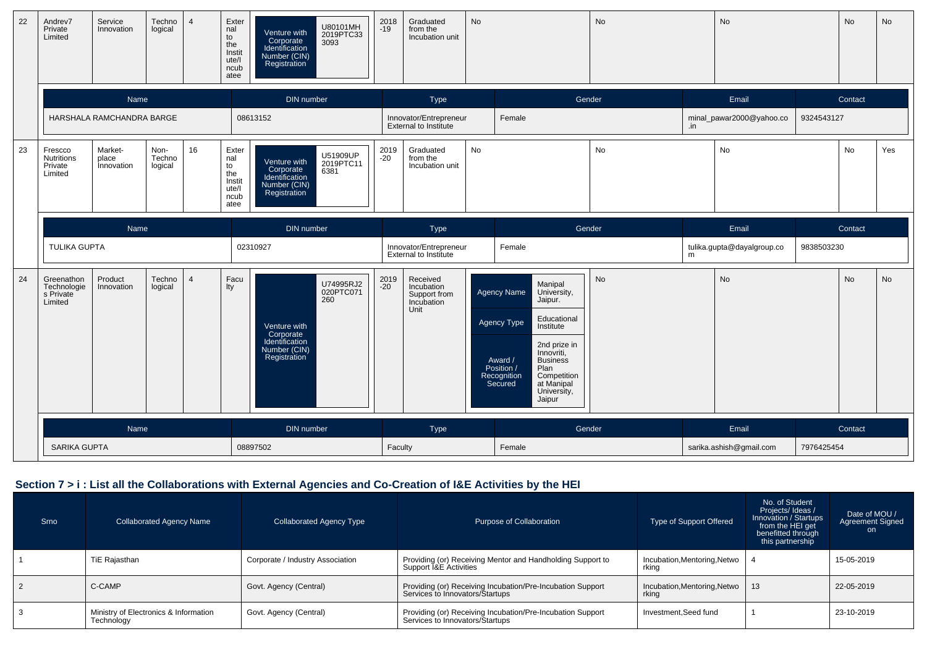| 22 | Andrev7<br>Private<br>Limited                      | Service<br>Innovation          | Techno<br>logical         | $\overline{4}$ | Exter<br>nal<br>to<br>the<br>Instit<br>ute/l<br>ncub<br>atee | U80101MH<br>2019PTC33<br>3093<br>Venture with<br>Corporate<br>Identification<br>Number (CIN)<br>Registration | 2018<br>$-19$ | Graduated<br>from the<br>Incubation unit                     | No |                                                                                                                                                                                                                                                                      | No        |     | <b>No</b>                  |            | No        | No        |
|----|----------------------------------------------------|--------------------------------|---------------------------|----------------|--------------------------------------------------------------|--------------------------------------------------------------------------------------------------------------|---------------|--------------------------------------------------------------|----|----------------------------------------------------------------------------------------------------------------------------------------------------------------------------------------------------------------------------------------------------------------------|-----------|-----|----------------------------|------------|-----------|-----------|
|    |                                                    | Name                           |                           |                |                                                              | DIN number                                                                                                   |               | Type                                                         |    | Gender                                                                                                                                                                                                                                                               |           |     | Email                      |            | Contact   |           |
|    |                                                    | HARSHALA RAMCHANDRA BARGE      |                           |                |                                                              | 08613152                                                                                                     |               | Innovator/Entrepreneur<br><b>External to Institute</b>       |    | Female                                                                                                                                                                                                                                                               |           | .in | minal_pawar2000@yahoo.co   | 9324543127 |           |           |
| 23 | Frescco<br><b>Nutritions</b><br>Private<br>Limited | Market-<br>place<br>Innovation | Non-<br>Techno<br>logical | 16             | Exter<br>nal<br>to<br>the<br>Instit<br>ute/l<br>ncub<br>atee | U51909UP<br>2019PTC11<br>6381<br>Venture with<br>Corporate<br>Identification<br>Number (CIN)<br>Registration | 2019<br>$-20$ | Graduated<br>from the<br>Incubation unit                     | No |                                                                                                                                                                                                                                                                      | No        |     | No                         |            | No        | Yes       |
|    |                                                    |                                |                           |                |                                                              | DIN number                                                                                                   |               | Type                                                         |    | Gender                                                                                                                                                                                                                                                               |           |     | Email                      |            | Contact   |           |
|    |                                                    | Name<br><b>TULIKA GUPTA</b>    |                           |                |                                                              | 02310927                                                                                                     |               | Innovator/Entrepreneur<br>External to Institute              |    | Female                                                                                                                                                                                                                                                               |           | m   | tulika.gupta@dayalgroup.co | 9838503230 |           |           |
| 24 | Greenathon<br>Technologie<br>s Private<br>Limited  | Product<br>Innovation          | Techno<br>logical         | $\overline{4}$ | Facu<br>lty                                                  | U74995RJ2<br>020PTC071<br>260<br>Venture with<br>Corporate<br>Identification<br>Number (CIN)<br>Registration | 2019<br>-20   | Received<br>Incubation<br>Support from<br>Incubation<br>Unit |    | Manipal<br><b>Agency Name</b><br>University,<br>Jaipur.<br>Educational<br>Agency Type<br>Institute<br>2nd prize in<br>Innovriti,<br>Award /<br><b>Business</b><br>Plan<br>Position /<br>Recognition<br>Secured<br>Competition<br>at Manipal<br>University,<br>Jaipur | <b>No</b> |     | <b>No</b>                  |            | <b>No</b> | <b>No</b> |
|    |                                                    | Name                           |                           |                |                                                              | DIN number                                                                                                   |               | Type                                                         |    | Gender                                                                                                                                                                                                                                                               |           |     | Email                      |            | Contact   |           |
|    | <b>SARIKA GUPTA</b>                                |                                |                           |                |                                                              | 08897502                                                                                                     | Faculty       |                                                              |    | Female                                                                                                                                                                                                                                                               |           |     | sarika.ashish@gmail.com    | 7976425454 |           |           |

# **Section 7 > i : List all the Collaborations with External Agencies and Co-Creation of I&E Activities by the HEI**

| Srno | <b>Collaborated Agency Name</b>                     | <b>Collaborated Agency Type</b>  | Purpose of Collaboration                                                                        | Type of Support Offered               | No. of Student<br>Projects/Ideas/<br>Innovation / Startups<br>from the HEI get<br>benefitted through<br>this partnership | Date of MOU /<br>Agreement Signed<br>on. |
|------|-----------------------------------------------------|----------------------------------|-------------------------------------------------------------------------------------------------|---------------------------------------|--------------------------------------------------------------------------------------------------------------------------|------------------------------------------|
|      | TiE Rajasthan                                       | Corporate / Industry Association | Providing (or) Receiving Mentor and Handholding Support to<br>Support <i>I&amp;E</i> Activities | Incubation, Mentoring, Netwo<br>rkina |                                                                                                                          | 15-05-2019                               |
|      | C-CAMP                                              | Govt. Agency (Central)           | Providing (or) Receiving Incubation/Pre-Incubation Support<br>Services to Innovators/Startups   | Incubation, Mentoring, Netwo<br>rking | 13                                                                                                                       | 22-05-2019                               |
|      | Ministry of Electronics & Information<br>Technology | Govt. Agency (Central)           | Providing (or) Receiving Incubation/Pre-Incubation Support<br>Services to Innovators/Startups   | Investment.Seed fund                  |                                                                                                                          | 23-10-2019                               |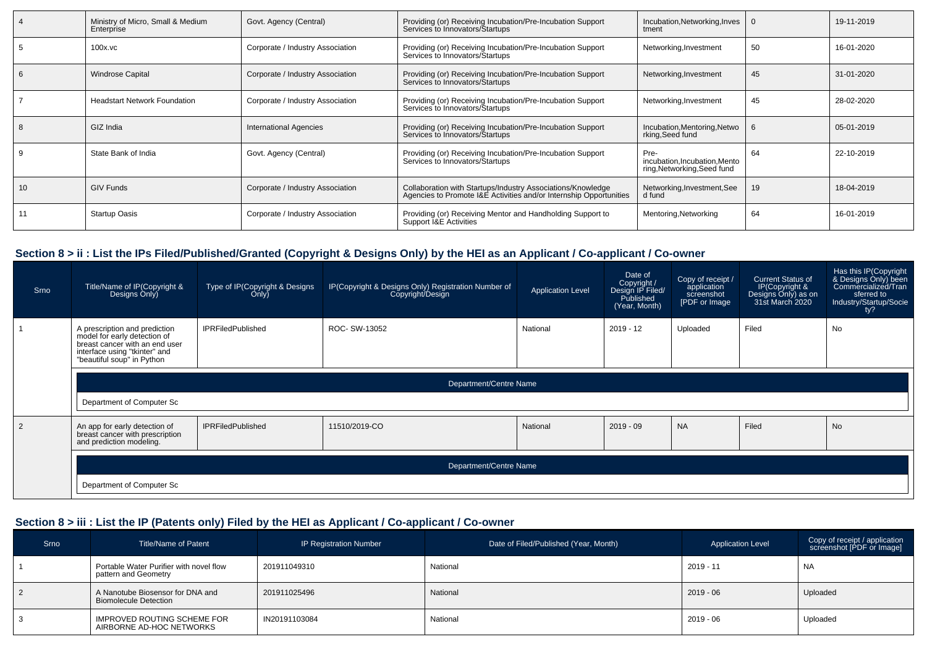| Ministry of Micro, Small & Medium<br>Enterprise | Govt. Agency (Central)           | Providing (or) Receiving Incubation/Pre-Incubation Support<br>Services to Innovators/Startups                                     | Incubation, Networking, Inves<br>tment                               |    | 19-11-2019 |
|-------------------------------------------------|----------------------------------|-----------------------------------------------------------------------------------------------------------------------------------|----------------------------------------------------------------------|----|------------|
| $100x$ . $vc$                                   | Corporate / Industry Association | Providing (or) Receiving Incubation/Pre-Incubation Support<br>Services to Innovators/Startups                                     | Networking, Investment                                               | 50 | 16-01-2020 |
| <b>Windrose Capital</b>                         | Corporate / Industry Association | Providing (or) Receiving Incubation/Pre-Incubation Support<br>Services to Innovators/Startups                                     | Networking, Investment                                               | 45 | 31-01-2020 |
| <b>Headstart Network Foundation</b>             | Corporate / Industry Association | Providing (or) Receiving Incubation/Pre-Incubation Support<br>Services to Innovators/Startups                                     | Networking, Investment                                               | 45 | 28-02-2020 |
| GIZ India                                       | <b>International Agencies</b>    | Providing (or) Receiving Incubation/Pre-Incubation Support<br>Services to Innovators/Startups                                     | Incubation, Mentoring, Netwo<br>rking, Seed fund                     |    | 05-01-2019 |
| State Bank of India                             | Govt. Agency (Central)           | Providing (or) Receiving Incubation/Pre-Incubation Support<br>Services to Innovators/Startups                                     | Pre-<br>incubation, Incubation, Mento<br>ring, Networking, Seed fund | 64 | 22-10-2019 |
| <b>GIV Funds</b>                                | Corporate / Industry Association | Collaboration with Startups/Industry Associations/Knowledge<br>Agencies to Promote I&E Activities and/or Internship Opportunities | Networking, Investment, See<br>d fund                                | 19 | 18-04-2019 |
| <b>Startup Oasis</b>                            | Corporate / Industry Association | Providing (or) Receiving Mentor and Handholding Support to<br>Support I&E Activities                                              | Mentoring, Networking                                                | 64 | 16-01-2019 |

# **Section 8 > ii : List the IPs Filed/Published/Granted (Copyright & Designs Only) by the HEI as an Applicant / Co-applicant / Co-owner**

| Srno           | Title/Name of IP(Copyright &<br>Designs Only)                                                                                                                  | Type of IP(Copyright & Designs<br>Only) | IP(Copyright & Designs Only) Registration Number of<br>Copyright/Design | <b>Application Level</b> | Date of<br>Copyright /<br>Design IP Filed/<br>Published<br>(Year, Month) | Copy of receipt /<br>application<br>screenshot<br>[PDF or Image | <b>Current Status of</b><br>IP(Copyright &<br>Designs Only) as on<br>31st March 2020 | Has this IP(Copyright<br>& Designs Only) been<br>Commercialized/Tran<br>sferred to<br>Industry/Startup/Socie<br>ty? |
|----------------|----------------------------------------------------------------------------------------------------------------------------------------------------------------|-----------------------------------------|-------------------------------------------------------------------------|--------------------------|--------------------------------------------------------------------------|-----------------------------------------------------------------|--------------------------------------------------------------------------------------|---------------------------------------------------------------------------------------------------------------------|
|                | A prescription and prediction<br>model for early detection of<br>breast cancer with an end user<br>interface using "tkinter" and<br>"beautiful soup" in Python | <b>IPRFiledPublished</b>                | ROC- SW-13052                                                           | National                 | $2019 - 12$                                                              | Uploaded                                                        | Filed                                                                                | No                                                                                                                  |
|                | Department/Centre Name                                                                                                                                         |                                         |                                                                         |                          |                                                                          |                                                                 |                                                                                      |                                                                                                                     |
|                | Department of Computer Sc                                                                                                                                      |                                         |                                                                         |                          |                                                                          |                                                                 |                                                                                      |                                                                                                                     |
| $\mathfrak{p}$ | An app for early detection of<br>breast cancer with prescription<br>and prediction modeling.                                                                   | <b>IPRFiledPublished</b>                | 11510/2019-CO                                                           | National                 | $2019 - 09$                                                              | <b>NA</b>                                                       | Filed                                                                                | <b>No</b>                                                                                                           |
|                | Department/Centre Name                                                                                                                                         |                                         |                                                                         |                          |                                                                          |                                                                 |                                                                                      |                                                                                                                     |
|                | Department of Computer Sc                                                                                                                                      |                                         |                                                                         |                          |                                                                          |                                                                 |                                                                                      |                                                                                                                     |

# **Section 8 > iii : List the IP (Patents only) Filed by the HEI as Applicant / Co-applicant / Co-owner**

| Srno           | <b>Title/Name of Patent</b>                                      | <b>IP Registration Number</b> | Date of Filed/Published (Year, Month) | <b>Application Level</b> | Copy of receipt / application<br>screenshot [PDF or Image] |
|----------------|------------------------------------------------------------------|-------------------------------|---------------------------------------|--------------------------|------------------------------------------------------------|
|                | Portable Water Purifier with novel flow<br>pattern and Geometry  | 201911049310                  | National                              | $2019 - 11$              | <b>NA</b>                                                  |
| $\overline{2}$ | A Nanotube Biosensor for DNA and<br><b>Biomolecule Detection</b> | 201911025496                  | National                              | $2019 - 06$              | Uploaded                                                   |
|                | IMPROVED ROUTING SCHEME FOR<br>AIRBORNE AD-HOC NETWORKS          | IN20191103084                 | National                              | $2019 - 06$              | Uploaded                                                   |